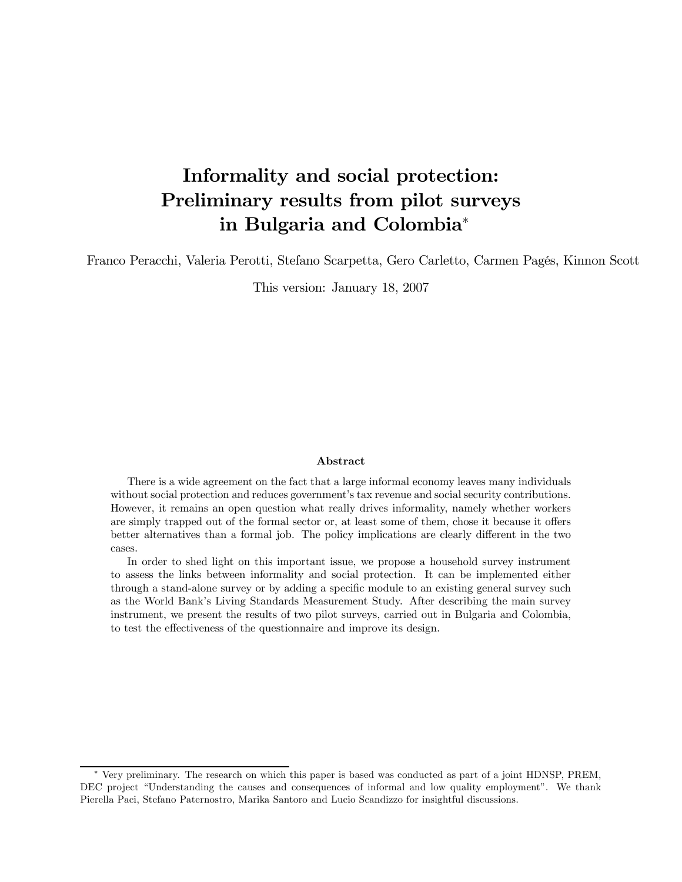# Informality and social protection: Preliminary results from pilot surveys in Bulgaria and Colombia<sup>∗</sup>

Franco Peracchi, Valeria Perotti, Stefano Scarpetta, Gero Carletto, Carmen Pagés, Kinnon Scott

This version: January 18, 2007

#### Abstract

There is a wide agreement on the fact that a large informal economy leaves many individuals without social protection and reduces government's tax revenue and social security contributions. However, it remains an open question what really drives informality, namely whether workers are simply trapped out of the formal sector or, at least some of them, chose it because it offers better alternatives than a formal job. The policy implications are clearly different in the two cases.

In order to shed light on this important issue, we propose a household survey instrument to assess the links between informality and social protection. It can be implemented either through a stand-alone survey or by adding a specific module to an existing general survey such as the World Bank's Living Standards Measurement Study. After describing the main survey instrument, we present the results of two pilot surveys, carried out in Bulgaria and Colombia, to test the effectiveness of the questionnaire and improve its design.

<sup>∗</sup> Very preliminary. The research on which this paper is based was conducted as part of a joint HDNSP, PREM, DEC project "Understanding the causes and consequences of informal and low quality employment". We thank Pierella Paci, Stefano Paternostro, Marika Santoro and Lucio Scandizzo for insightful discussions.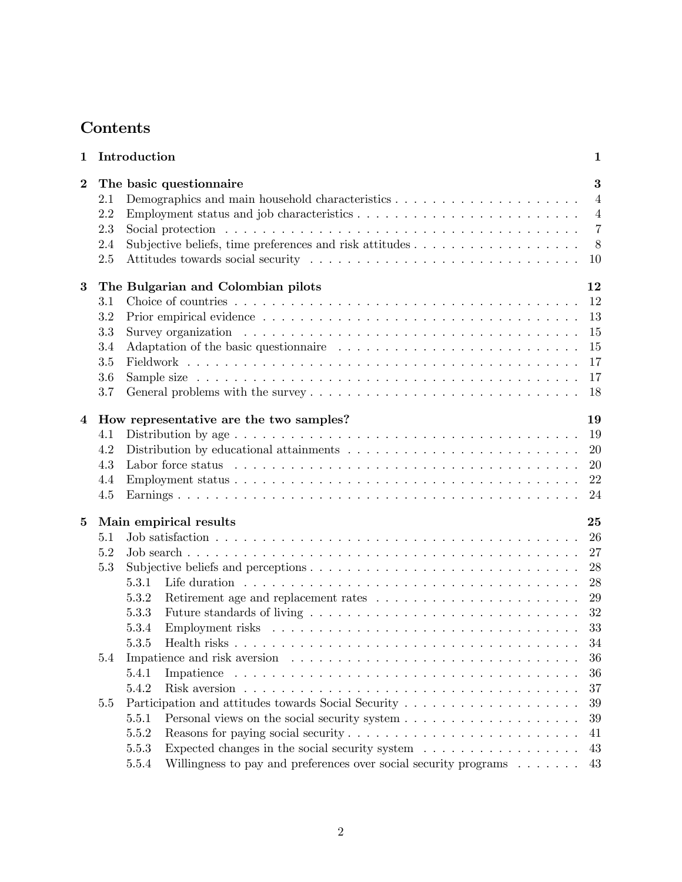## **Contents**

| 1        |                   | Introduction                                                                                                   | 1                                                              |
|----------|-------------------|----------------------------------------------------------------------------------------------------------------|----------------------------------------------------------------|
| $\bf{2}$ | 2.1<br>2.2        | The basic questionnaire                                                                                        | $\bf{3}$<br>$\overline{4}$<br>$\overline{4}$<br>$\overline{7}$ |
|          | 2.3<br>2.4<br>2.5 | Social protection $\ldots \ldots \ldots \ldots \ldots \ldots \ldots \ldots \ldots \ldots \ldots \ldots \ldots$ | 8<br><b>10</b>                                                 |
| $\bf{3}$ |                   | The Bulgarian and Colombian pilots                                                                             | 12                                                             |
|          | 3.1               |                                                                                                                | 12                                                             |
|          | 3.2               |                                                                                                                | 13                                                             |
|          | 3.3               |                                                                                                                | 15                                                             |
|          | 3.4               |                                                                                                                | 15                                                             |
|          | 3.5               |                                                                                                                | 17                                                             |
|          | 3.6               |                                                                                                                | 17                                                             |
|          | 3.7               |                                                                                                                | 18                                                             |
| 4        |                   | How representative are the two samples?                                                                        | 19                                                             |
|          | 4.1               |                                                                                                                | 19                                                             |
|          | 4.2               |                                                                                                                | 20                                                             |
|          | 4.3               |                                                                                                                | 20                                                             |
|          | 4.4               |                                                                                                                | 22                                                             |
|          | 4.5               |                                                                                                                | 24                                                             |
| $\bf{5}$ |                   | Main empirical results                                                                                         | 25                                                             |
|          | 5.1               |                                                                                                                | 26                                                             |
|          | 5.2               |                                                                                                                | 27                                                             |
|          | 5.3               |                                                                                                                | 28                                                             |
|          |                   | 5.3.1                                                                                                          | 28                                                             |
|          |                   | 5.3.2                                                                                                          | 29                                                             |
|          |                   | 5.3.3                                                                                                          | 32                                                             |
|          |                   | 5.3.4                                                                                                          | 33                                                             |
|          |                   | 5.3.5                                                                                                          | -34                                                            |
|          | 5.4               |                                                                                                                | 36                                                             |
|          |                   | 5.4.1                                                                                                          | 36                                                             |
|          |                   | 5.4.2                                                                                                          | 37                                                             |
|          | 5.5               | Participation and attitudes towards Social Security                                                            | 39                                                             |
|          |                   | 5.5.1                                                                                                          | 39                                                             |
|          |                   | 5.5.2                                                                                                          | 41                                                             |
|          |                   | Expected changes in the social security system<br>5.5.3                                                        | 43                                                             |
|          |                   | Willingness to pay and preferences over social security programs<br>5.5.4                                      | 43                                                             |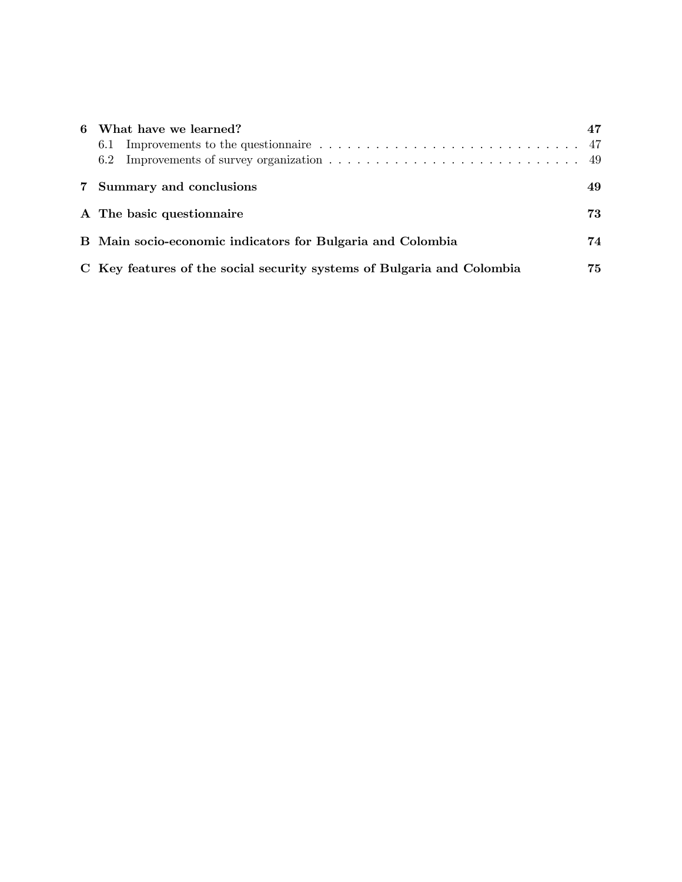| 6 What have we learned?<br>6.1                                         |     |
|------------------------------------------------------------------------|-----|
| 7 Summary and conclusions                                              | 49  |
| A The basic question naire                                             | 73. |
| B Main socio-economic indicators for Bulgaria and Colombia             | 74  |
| C Key features of the social security systems of Bulgaria and Colombia | 75. |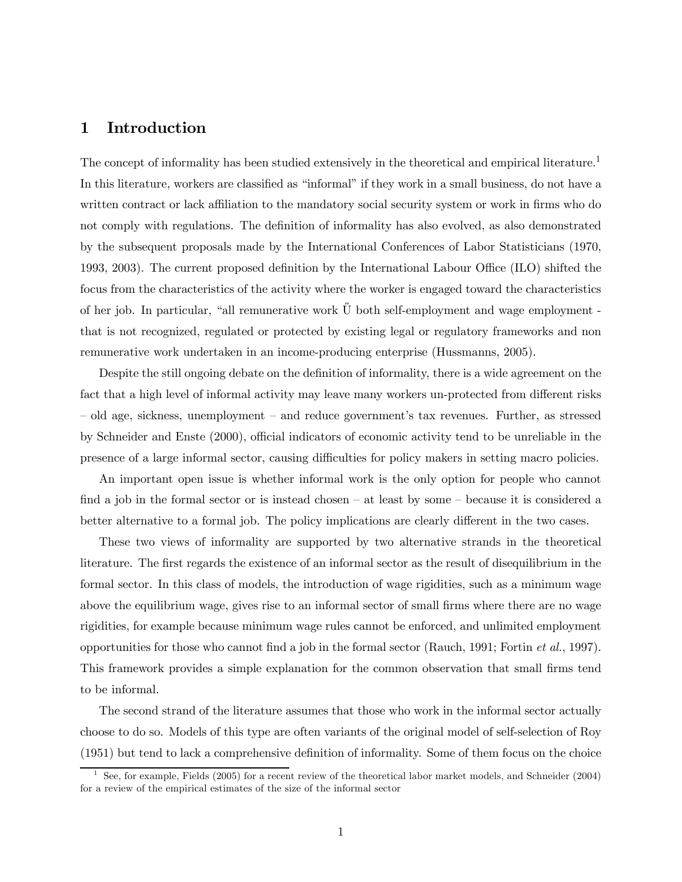## 1 Introduction

The concept of informality has been studied extensively in the theoretical and empirical literature.<sup>1</sup> In this literature, workers are classified as "informal" if they work in a small business, do not have a written contract or lack affiliation to the mandatory social security system or work in firms who do not comply with regulations. The definition of informality has also evolved, as also demonstrated by the subsequent proposals made by the International Conferences of Labor Statisticians (1970, 1993, 2003). The current proposed definition by the International Labour Office (ILO) shifted the focus from the characteristics of the activity where the worker is engaged toward the characteristics of her job. In particular, "all remunerative work  $\ddot{U}$  both self-employment and wage employment that is not recognized, regulated or protected by existing legal or regulatory frameworks and non remunerative work undertaken in an income-producing enterprise (Hussmanns, 2005).

Despite the still ongoing debate on the definition of informality, there is a wide agreement on the fact that a high level of informal activity may leave many workers un-protected from different risks — old age, sickness, unemployment — and reduce government's tax revenues. Further, as stressed by Schneider and Enste (2000), official indicators of economic activity tend to be unreliable in the presence of a large informal sector, causing difficulties for policy makers in setting macro policies.

An important open issue is whether informal work is the only option for people who cannot find a job in the formal sector or is instead chosen – at least by some – because it is considered a better alternative to a formal job. The policy implications are clearly different in the two cases.

These two views of informality are supported by two alternative strands in the theoretical literature. The first regards the existence of an informal sector as the result of disequilibrium in the formal sector. In this class of models, the introduction of wage rigidities, such as a minimum wage above the equilibrium wage, gives rise to an informal sector of small firms where there are no wage rigidities, for example because minimum wage rules cannot be enforced, and unlimited employment opportunities for those who cannot find a job in the formal sector (Rauch, 1991; Fortin  $et al., 1997$ ). This framework provides a simple explanation for the common observation that small firms tend to be informal.

The second strand of the literature assumes that those who work in the informal sector actually choose to do so. Models of this type are often variants of the original model of self-selection of Roy (1951) but tend to lack a comprehensive definition of informality. Some of them focus on the choice

<sup>1</sup> See, for example, Fields (2005) for a recent review of the theoretical labor market models, and Schneider (2004) for a review of the empirical estimates of the size of the informal sector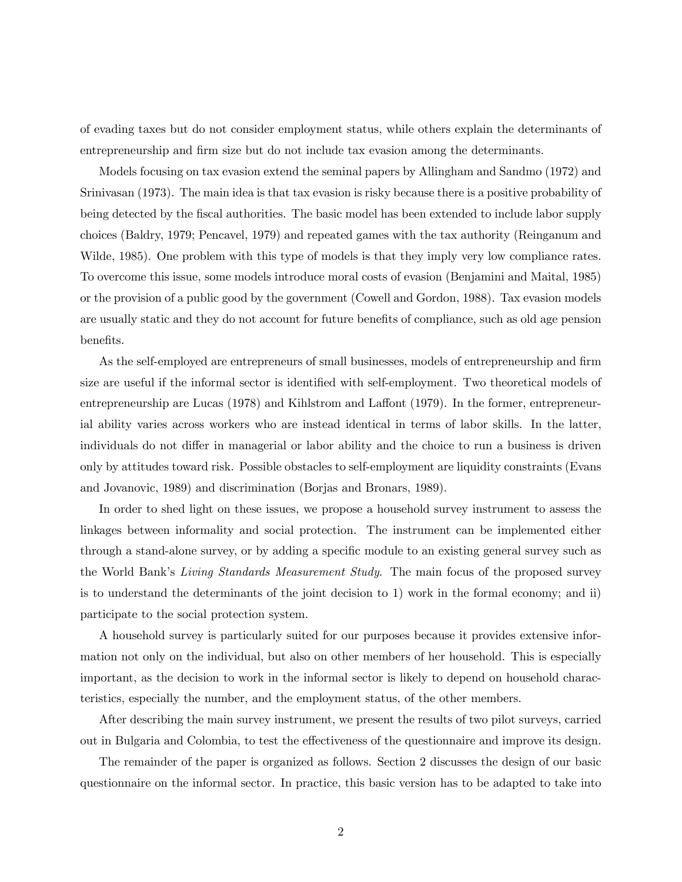of evading taxes but do not consider employment status, while others explain the determinants of entrepreneurship and firm size but do not include tax evasion among the determinants.

Models focusing on tax evasion extend the seminal papers by Allingham and Sandmo (1972) and Srinivasan (1973). The main idea is that tax evasion is risky because there is a positive probability of being detected by the fiscal authorities. The basic model has been extended to include labor supply choices (Baldry, 1979; Pencavel, 1979) and repeated games with the tax authority (Reinganum and Wilde, 1985). One problem with this type of models is that they imply very low compliance rates. To overcome this issue, some models introduce moral costs of evasion (Benjamini and Maital, 1985) or the provision of a public good by the government (Cowell and Gordon, 1988). Tax evasion models are usually static and they do not account for future benefits of compliance, such as old age pension benefits.

As the self-employed are entrepreneurs of small businesses, models of entrepreneurship and firm size are useful if the informal sector is identified with self-employment. Two theoretical models of entrepreneurship are Lucas (1978) and Kihlstrom and Laffont (1979). In the former, entrepreneurial ability varies across workers who are instead identical in terms of labor skills. In the latter, individuals do not differ in managerial or labor ability and the choice to run a business is driven only by attitudes toward risk. Possible obstacles to self-employment are liquidity constraints (Evans and Jovanovic, 1989) and discrimination (Borjas and Bronars, 1989).

In order to shed light on these issues, we propose a household survey instrument to assess the linkages between informality and social protection. The instrument can be implemented either through a stand-alone survey, or by adding a specific module to an existing general survey such as the World Bank's Living Standards Measurement Study. The main focus of the proposed survey is to understand the determinants of the joint decision to 1) work in the formal economy; and ii) participate to the social protection system.

A household survey is particularly suited for our purposes because it provides extensive information not only on the individual, but also on other members of her household. This is especially important, as the decision to work in the informal sector is likely to depend on household characteristics, especially the number, and the employment status, of the other members.

After describing the main survey instrument, we present the results of two pilot surveys, carried out in Bulgaria and Colombia, to test the effectiveness of the questionnaire and improve its design.

The remainder of the paper is organized as follows. Section 2 discusses the design of our basic questionnaire on the informal sector. In practice, this basic version has to be adapted to take into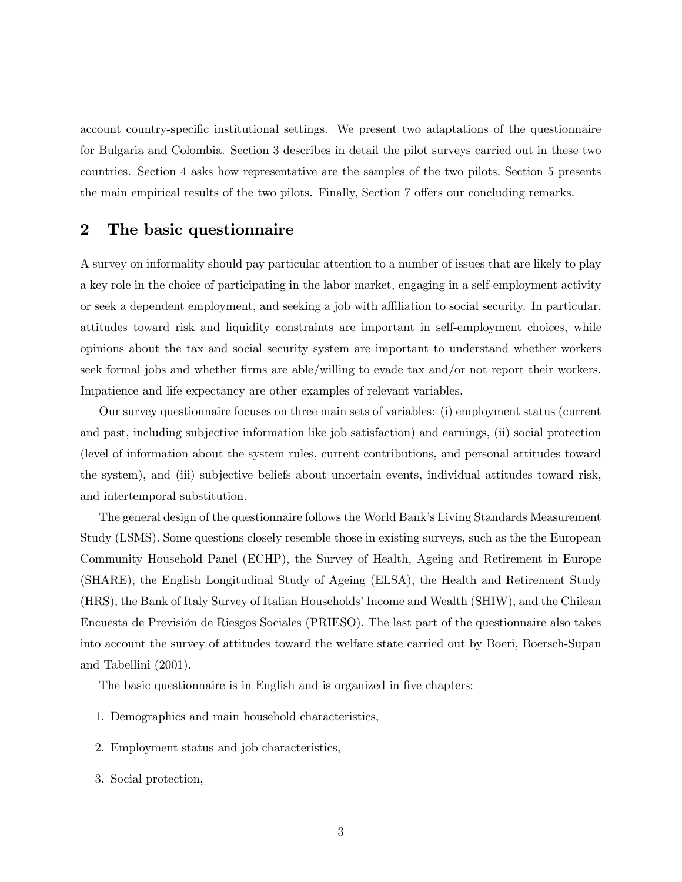account country-specific institutional settings. We present two adaptations of the questionnaire for Bulgaria and Colombia. Section 3 describes in detail the pilot surveys carried out in these two countries. Section 4 asks how representative are the samples of the two pilots. Section 5 presents the main empirical results of the two pilots. Finally, Section 7 offers our concluding remarks.

## 2 The basic questionnaire

A survey on informality should pay particular attention to a number of issues that are likely to play a key role in the choice of participating in the labor market, engaging in a self-employment activity or seek a dependent employment, and seeking a job with affiliation to social security. In particular, attitudes toward risk and liquidity constraints are important in self-employment choices, while opinions about the tax and social security system are important to understand whether workers seek formal jobs and whether firms are able/willing to evade tax and/or not report their workers. Impatience and life expectancy are other examples of relevant variables.

Our survey questionnaire focuses on three main sets of variables: (i) employment status (current and past, including subjective information like job satisfaction) and earnings, (ii) social protection (level of information about the system rules, current contributions, and personal attitudes toward the system), and (iii) subjective beliefs about uncertain events, individual attitudes toward risk, and intertemporal substitution.

The general design of the questionnaire follows the World Bank's Living Standards Measurement Study (LSMS). Some questions closely resemble those in existing surveys, such as the the European Community Household Panel (ECHP), the Survey of Health, Ageing and Retirement in Europe (SHARE), the English Longitudinal Study of Ageing (ELSA), the Health and Retirement Study (HRS), the Bank of Italy Survey of Italian Households' Income and Wealth (SHIW), and the Chilean Encuesta de Previsión de Riesgos Sociales (PRIESO). The last part of the questionnaire also takes into account the survey of attitudes toward the welfare state carried out by Boeri, Boersch-Supan and Tabellini (2001).

The basic questionnaire is in English and is organized in five chapters:

- 1. Demographics and main household characteristics,
- 2. Employment status and job characteristics,
- 3. Social protection,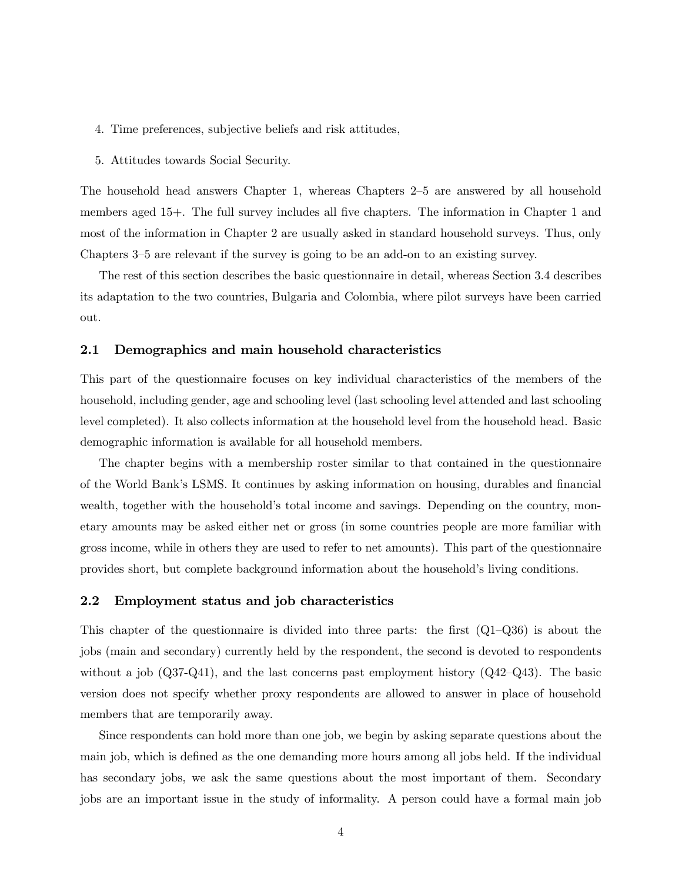- 4. Time preferences, subjective beliefs and risk attitudes,
- 5. Attitudes towards Social Security.

The household head answers Chapter 1, whereas Chapters 2—5 are answered by all household members aged 15+. The full survey includes all five chapters. The information in Chapter 1 and most of the information in Chapter 2 are usually asked in standard household surveys. Thus, only Chapters 3—5 are relevant if the survey is going to be an add-on to an existing survey.

The rest of this section describes the basic questionnaire in detail, whereas Section 3.4 describes its adaptation to the two countries, Bulgaria and Colombia, where pilot surveys have been carried out.

#### 2.1 Demographics and main household characteristics

This part of the questionnaire focuses on key individual characteristics of the members of the household, including gender, age and schooling level (last schooling level attended and last schooling level completed). It also collects information at the household level from the household head. Basic demographic information is available for all household members.

The chapter begins with a membership roster similar to that contained in the questionnaire of the World Bank's LSMS. It continues by asking information on housing, durables and financial wealth, together with the household's total income and savings. Depending on the country, monetary amounts may be asked either net or gross (in some countries people are more familiar with gross income, while in others they are used to refer to net amounts). This part of the questionnaire provides short, but complete background information about the household's living conditions.

#### 2.2 Employment status and job characteristics

This chapter of the questionnaire is divided into three parts: the first  $(Q1-Q36)$  is about the jobs (main and secondary) currently held by the respondent, the second is devoted to respondents without a job (Q37-Q41), and the last concerns past employment history (Q42—Q43). The basic version does not specify whether proxy respondents are allowed to answer in place of household members that are temporarily away.

Since respondents can hold more than one job, we begin by asking separate questions about the main job, which is defined as the one demanding more hours among all jobs held. If the individual has secondary jobs, we ask the same questions about the most important of them. Secondary jobs are an important issue in the study of informality. A person could have a formal main job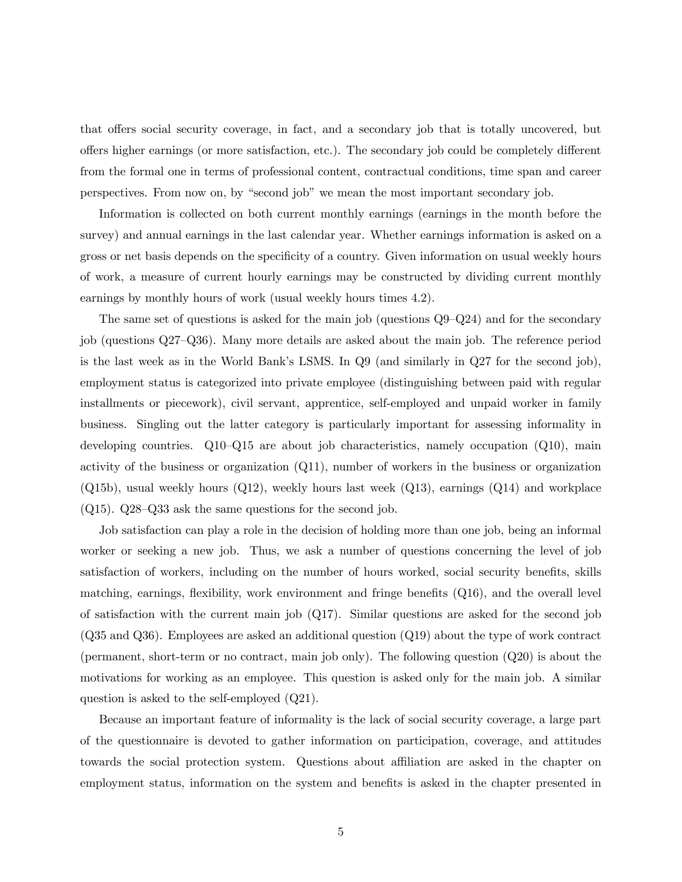that offers social security coverage, in fact, and a secondary job that is totally uncovered, but offers higher earnings (or more satisfaction, etc.). The secondary job could be completely different from the formal one in terms of professional content, contractual conditions, time span and career perspectives. From now on, by "second job" we mean the most important secondary job.

Information is collected on both current monthly earnings (earnings in the month before the survey) and annual earnings in the last calendar year. Whether earnings information is asked on a gross or net basis depends on the specificity of a country. Given information on usual weekly hours of work, a measure of current hourly earnings may be constructed by dividing current monthly earnings by monthly hours of work (usual weekly hours times 4.2).

The same set of questions is asked for the main job (questions Q9—Q24) and for the secondary job (questions Q27—Q36). Many more details are asked about the main job. The reference period is the last week as in the World Bank's LSMS. In Q9 (and similarly in Q27 for the second job), employment status is categorized into private employee (distinguishing between paid with regular installments or piecework), civil servant, apprentice, self-employed and unpaid worker in family business. Singling out the latter category is particularly important for assessing informality in developing countries. Q10—Q15 are about job characteristics, namely occupation (Q10), main activity of the business or organization (Q11), number of workers in the business or organization  $(Q15b)$ , usual weekly hours  $(Q12)$ , weekly hours last week  $(Q13)$ , earnings  $(Q14)$  and workplace (Q15). Q28—Q33 ask the same questions for the second job.

Job satisfaction can play a role in the decision of holding more than one job, being an informal worker or seeking a new job. Thus, we ask a number of questions concerning the level of job satisfaction of workers, including on the number of hours worked, social security benefits, skills matching, earnings, flexibility, work environment and fringe benefits (Q16), and the overall level of satisfaction with the current main job (Q17). Similar questions are asked for the second job (Q35 and Q36). Employees are asked an additional question (Q19) about the type of work contract (permanent, short-term or no contract, main job only). The following question (Q20) is about the motivations for working as an employee. This question is asked only for the main job. A similar question is asked to the self-employed (Q21).

Because an important feature of informality is the lack of social security coverage, a large part of the questionnaire is devoted to gather information on participation, coverage, and attitudes towards the social protection system. Questions about affiliation are asked in the chapter on employment status, information on the system and benefits is asked in the chapter presented in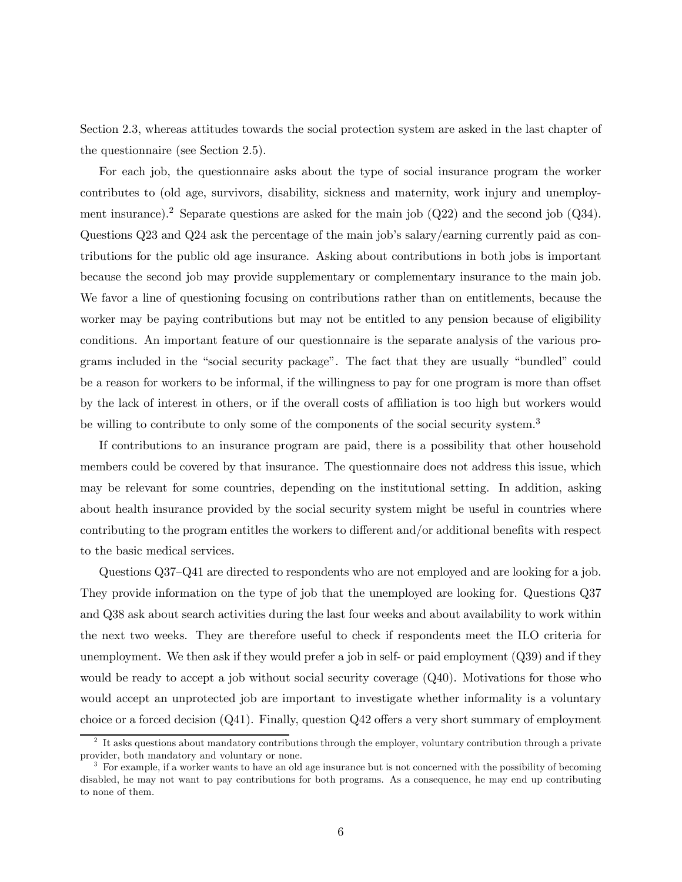Section 2.3, whereas attitudes towards the social protection system are asked in the last chapter of the questionnaire (see Section 2.5).

For each job, the questionnaire asks about the type of social insurance program the worker contributes to (old age, survivors, disability, sickness and maternity, work injury and unemployment insurance).<sup>2</sup> Separate questions are asked for the main job  $(Q22)$  and the second job  $(Q34)$ . Questions Q23 and Q24 ask the percentage of the main job's salary/earning currently paid as contributions for the public old age insurance. Asking about contributions in both jobs is important because the second job may provide supplementary or complementary insurance to the main job. We favor a line of questioning focusing on contributions rather than on entitlements, because the worker may be paying contributions but may not be entitled to any pension because of eligibility conditions. An important feature of our questionnaire is the separate analysis of the various programs included in the "social security package". The fact that they are usually "bundled" could be a reason for workers to be informal, if the willingness to pay for one program is more than offset by the lack of interest in others, or if the overall costs of affiliation is too high but workers would be willing to contribute to only some of the components of the social security system.<sup>3</sup>

If contributions to an insurance program are paid, there is a possibility that other household members could be covered by that insurance. The questionnaire does not address this issue, which may be relevant for some countries, depending on the institutional setting. In addition, asking about health insurance provided by the social security system might be useful in countries where contributing to the program entitles the workers to different and/or additional benefits with respect to the basic medical services.

Questions Q37—Q41 are directed to respondents who are not employed and are looking for a job. They provide information on the type of job that the unemployed are looking for. Questions Q37 and Q38 ask about search activities during the last four weeks and about availability to work within the next two weeks. They are therefore useful to check if respondents meet the ILO criteria for unemployment. We then ask if they would prefer a job in self- or paid employment (Q39) and if they would be ready to accept a job without social security coverage (Q40). Motivations for those who would accept an unprotected job are important to investigate whether informality is a voluntary choice or a forced decision (Q41). Finally, question Q42 offers a very short summary of employment

<sup>&</sup>lt;sup>2</sup> It asks questions about mandatory contributions through the employer, voluntary contribution through a private provider, both mandatory and voluntary or none.

<sup>&</sup>lt;sup>3</sup> For example, if a worker wants to have an old age insurance but is not concerned with the possibility of becoming disabled, he may not want to pay contributions for both programs. As a consequence, he may end up contributing to none of them.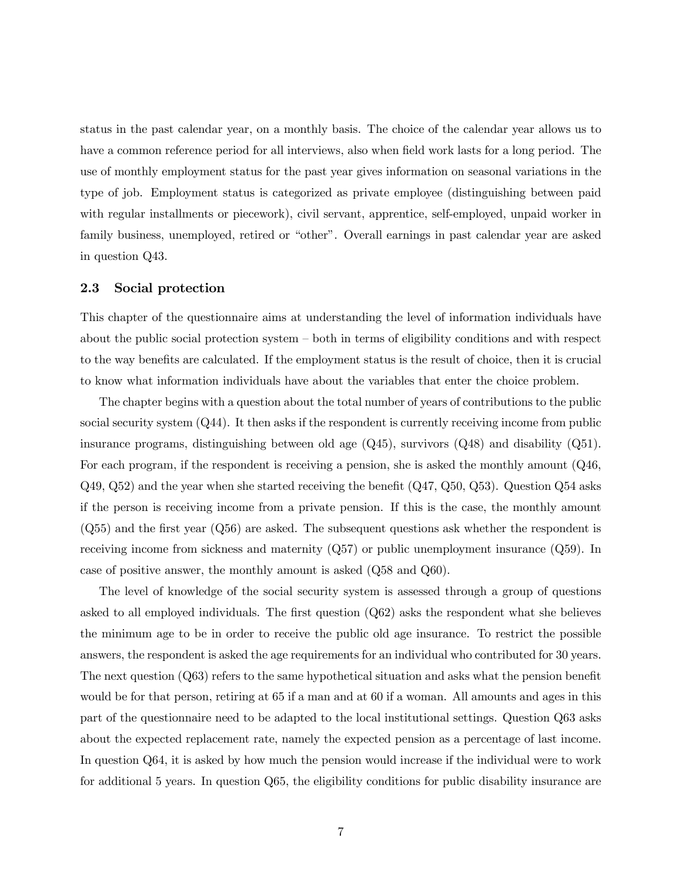status in the past calendar year, on a monthly basis. The choice of the calendar year allows us to have a common reference period for all interviews, also when field work lasts for a long period. The use of monthly employment status for the past year gives information on seasonal variations in the type of job. Employment status is categorized as private employee (distinguishing between paid with regular installments or piecework), civil servant, apprentice, self-employed, unpaid worker in family business, unemployed, retired or "other". Overall earnings in past calendar year are asked in question Q43.

#### 2.3 Social protection

This chapter of the questionnaire aims at understanding the level of information individuals have about the public social protection system — both in terms of eligibility conditions and with respect to the way benefits are calculated. If the employment status is the result of choice, then it is crucial to know what information individuals have about the variables that enter the choice problem.

The chapter begins with a question about the total number of years of contributions to the public social security system (Q44). It then asks if the respondent is currently receiving income from public insurance programs, distinguishing between old age  $(Q45)$ , survivors  $(Q48)$  and disability  $(Q51)$ . For each program, if the respondent is receiving a pension, she is asked the monthly amount (Q46,  $Q_49, Q_52$  and the year when she started receiving the benefit  $(Q_47, Q_50, Q_53)$ . Question  $Q_54$  asks if the person is receiving income from a private pension. If this is the case, the monthly amount (Q55) and the first year (Q56) are asked. The subsequent questions ask whether the respondent is receiving income from sickness and maternity (Q57) or public unemployment insurance (Q59). In case of positive answer, the monthly amount is asked (Q58 and Q60).

The level of knowledge of the social security system is assessed through a group of questions asked to all employed individuals. The first question (Q62) asks the respondent what she believes the minimum age to be in order to receive the public old age insurance. To restrict the possible answers, the respondent is asked the age requirements for an individual who contributed for 30 years. The next question (Q63) refers to the same hypothetical situation and asks what the pension benefit would be for that person, retiring at 65 if a man and at 60 if a woman. All amounts and ages in this part of the questionnaire need to be adapted to the local institutional settings. Question Q63 asks about the expected replacement rate, namely the expected pension as a percentage of last income. In question Q64, it is asked by how much the pension would increase if the individual were to work for additional 5 years. In question Q65, the eligibility conditions for public disability insurance are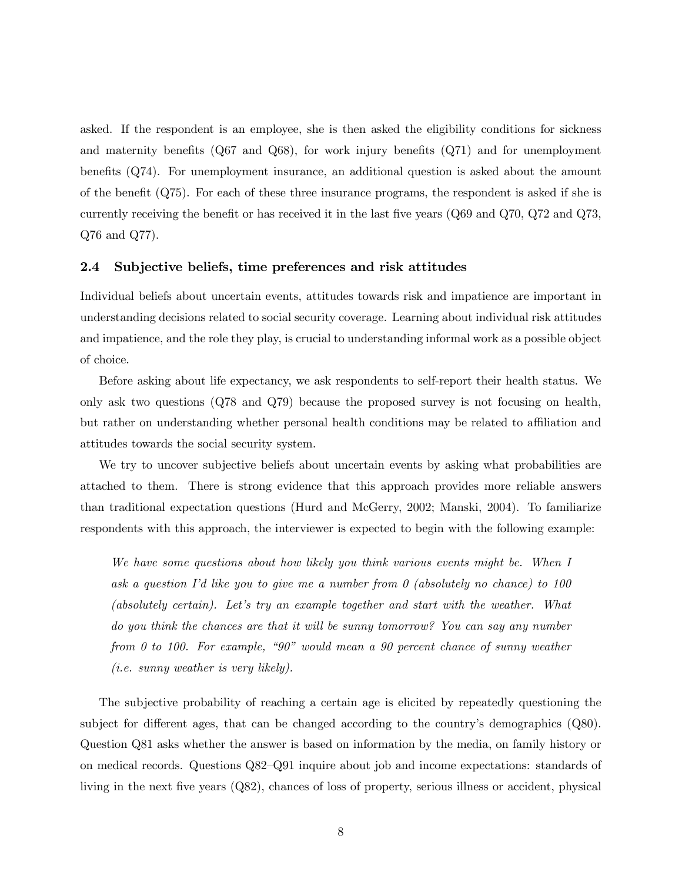asked. If the respondent is an employee, she is then asked the eligibility conditions for sickness and maternity benefits  $(Q67 \text{ and } Q68)$ , for work injury benefits  $(Q71)$  and for unemployment benefits (Q74). For unemployment insurance, an additional question is asked about the amount of the benefit (Q75). For each of these three insurance programs, the respondent is asked if she is currently receiving the benefit or has received it in the last five years (Q69 and Q70, Q72 and Q73, Q76 and Q77).

#### 2.4 Subjective beliefs, time preferences and risk attitudes

Individual beliefs about uncertain events, attitudes towards risk and impatience are important in understanding decisions related to social security coverage. Learning about individual risk attitudes and impatience, and the role they play, is crucial to understanding informal work as a possible object of choice.

Before asking about life expectancy, we ask respondents to self-report their health status. We only ask two questions (Q78 and Q79) because the proposed survey is not focusing on health, but rather on understanding whether personal health conditions may be related to affiliation and attitudes towards the social security system.

We try to uncover subjective beliefs about uncertain events by asking what probabilities are attached to them. There is strong evidence that this approach provides more reliable answers than traditional expectation questions (Hurd and McGerry, 2002; Manski, 2004). To familiarize respondents with this approach, the interviewer is expected to begin with the following example:

We have some questions about how likely you think various events might be. When I ask a question I'd like you to give me a number from  $\theta$  (absolutely no chance) to 100 (absolutely certain). Let's try an example together and start with the weather. What do you think the chances are that it will be sunny tomorrow? You can say any number from 0 to 100. For example, "90" would mean a 90 percent chance of sunny weather (i.e. sunny weather is very likely).

The subjective probability of reaching a certain age is elicited by repeatedly questioning the subject for different ages, that can be changed according to the country's demographics (Q80). Question Q81 asks whether the answer is based on information by the media, on family history or on medical records. Questions Q82—Q91 inquire about job and income expectations: standards of living in the next five years (Q82), chances of loss of property, serious illness or accident, physical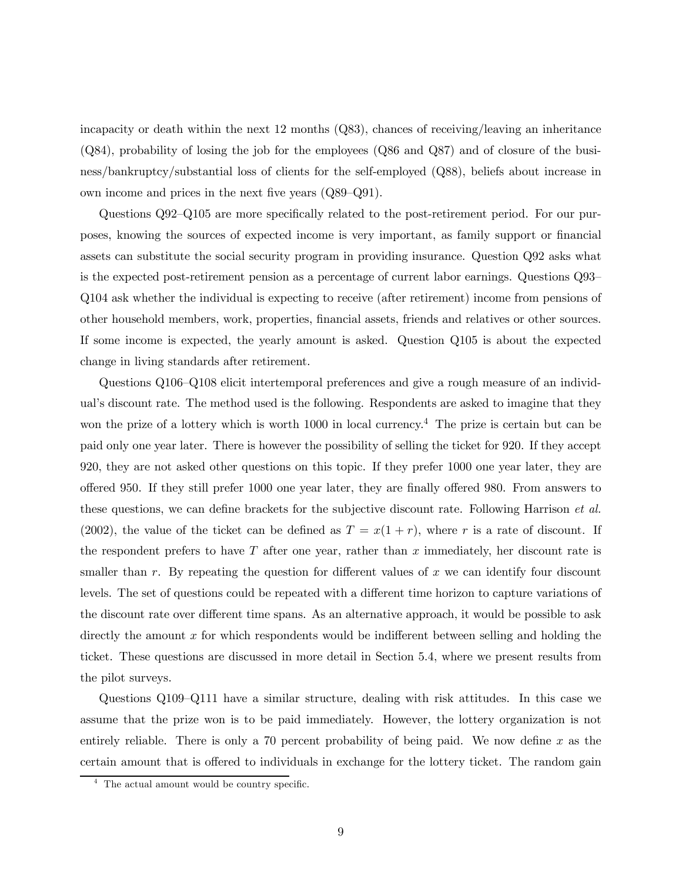incapacity or death within the next 12 months (Q83), chances of receiving/leaving an inheritance (Q84), probability of losing the job for the employees (Q86 and Q87) and of closure of the business/bankruptcy/substantial loss of clients for the self-employed (Q88), beliefs about increase in own income and prices in the next five years (Q89—Q91).

Questions Q92—Q105 are more specifically related to the post-retirement period. For our purposes, knowing the sources of expected income is very important, as family support or financial assets can substitute the social security program in providing insurance. Question Q92 asks what is the expected post-retirement pension as a percentage of current labor earnings. Questions Q93— Q104 ask whether the individual is expecting to receive (after retirement) income from pensions of other household members, work, properties, financial assets, friends and relatives or other sources. If some income is expected, the yearly amount is asked. Question Q105 is about the expected change in living standards after retirement.

Questions Q106—Q108 elicit intertemporal preferences and give a rough measure of an individual's discount rate. The method used is the following. Respondents are asked to imagine that they won the prize of a lottery which is worth 1000 in local currency.<sup>4</sup> The prize is certain but can be paid only one year later. There is however the possibility of selling the ticket for 920. If they accept 920, they are not asked other questions on this topic. If they prefer 1000 one year later, they are offered 950. If they still prefer 1000 one year later, they are finally offered 980. From answers to these questions, we can define brackets for the subjective discount rate. Following Harrison et al. (2002), the value of the ticket can be defined as  $T = x(1 + r)$ , where r is a rate of discount. If the respondent prefers to have  $T$  after one year, rather than  $x$  immediately, her discount rate is smaller than r. By repeating the question for different values of  $x$  we can identify four discount levels. The set of questions could be repeated with a different time horizon to capture variations of the discount rate over different time spans. As an alternative approach, it would be possible to ask directly the amount x for which respondents would be indifferent between selling and holding the ticket. These questions are discussed in more detail in Section 5.4, where we present results from the pilot surveys.

Questions Q109—Q111 have a similar structure, dealing with risk attitudes. In this case we assume that the prize won is to be paid immediately. However, the lottery organization is not entirely reliable. There is only a 70 percent probability of being paid. We now define x as the certain amount that is offered to individuals in exchange for the lottery ticket. The random gain

 $4$  The actual amount would be country specific.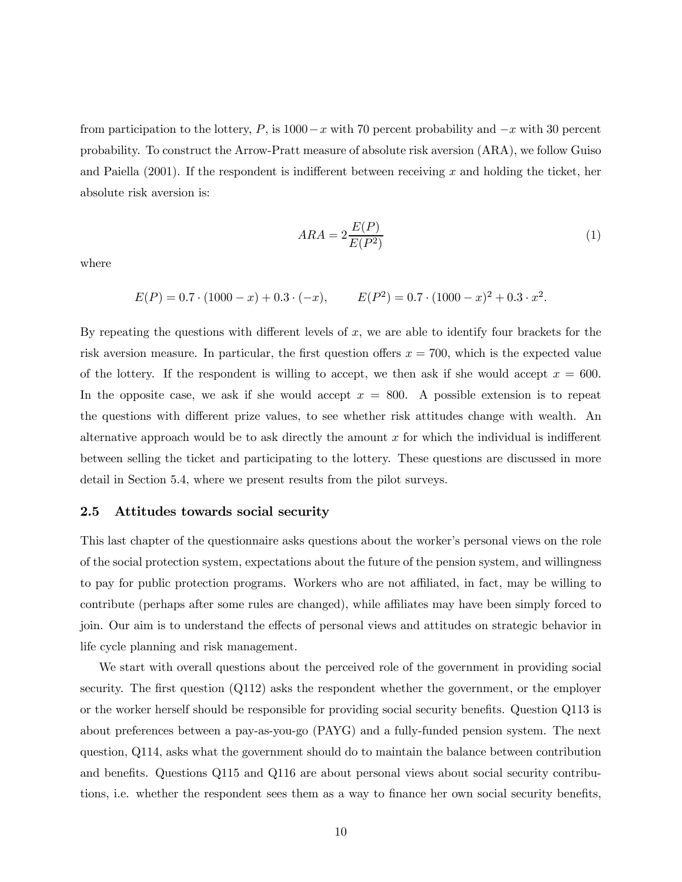from participation to the lottery, P, is  $1000-x$  with 70 percent probability and  $-x$  with 30 percent probability. To construct the Arrow-Pratt measure of absolute risk aversion (ARA), we follow Guiso and Paiella  $(2001)$ . If the respondent is indifferent between receiving x and holding the ticket, her absolute risk aversion is:

$$
ARA = 2\frac{E(P)}{E(P^2)}
$$
\n<sup>(1)</sup>

where

$$
E(P) = 0.7 \cdot (1000 - x) + 0.3 \cdot (-x), \qquad E(P^2) = 0.7 \cdot (1000 - x)^2 + 0.3 \cdot x^2.
$$

By repeating the questions with different levels of  $x$ , we are able to identify four brackets for the risk aversion measure. In particular, the first question offers  $x = 700$ , which is the expected value of the lottery. If the respondent is willing to accept, we then ask if she would accept  $x = 600$ . In the opposite case, we ask if she would accept  $x = 800$ . A possible extension is to repeat the questions with different prize values, to see whether risk attitudes change with wealth. An alternative approach would be to ask directly the amount  $x$  for which the individual is indifferent between selling the ticket and participating to the lottery. These questions are discussed in more detail in Section 5.4, where we present results from the pilot surveys.

#### 2.5 Attitudes towards social security

This last chapter of the questionnaire asks questions about the worker's personal views on the role of the social protection system, expectations about the future of the pension system, and willingness to pay for public protection programs. Workers who are not affiliated, in fact, may be willing to contribute (perhaps after some rules are changed), while affiliates may have been simply forced to join. Our aim is to understand the effects of personal views and attitudes on strategic behavior in life cycle planning and risk management.

We start with overall questions about the perceived role of the government in providing social security. The first question (Q112) asks the respondent whether the government, or the employer or the worker herself should be responsible for providing social security benefits. Question Q113 is about preferences between a pay-as-you-go (PAYG) and a fully-funded pension system. The next question, Q114, asks what the government should do to maintain the balance between contribution and benefits. Questions Q115 and Q116 are about personal views about social security contributions, i.e. whether the respondent sees them as a way to finance her own social security benefits,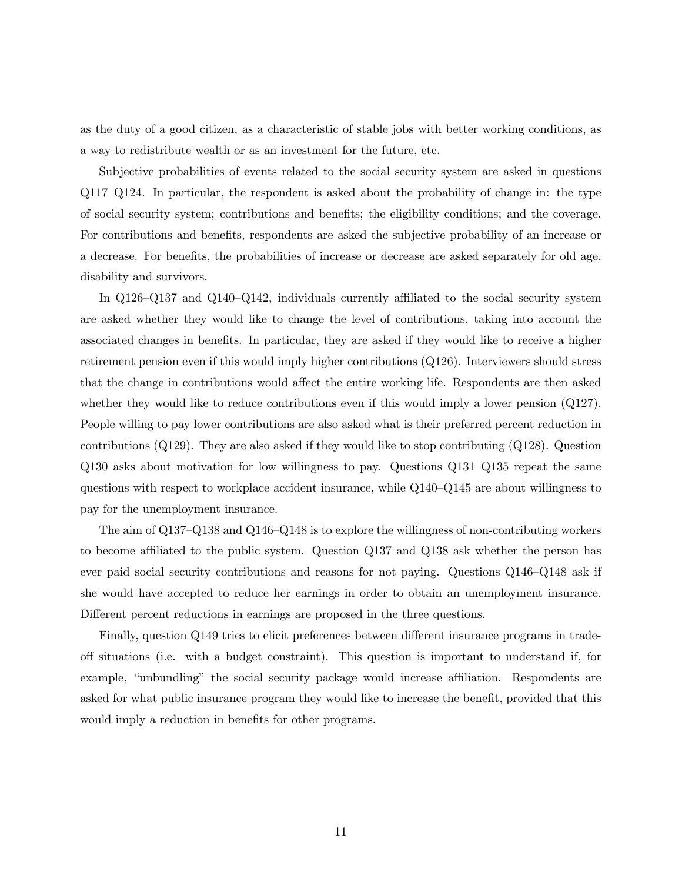as the duty of a good citizen, as a characteristic of stable jobs with better working conditions, as a way to redistribute wealth or as an investment for the future, etc.

Subjective probabilities of events related to the social security system are asked in questions Q117—Q124. In particular, the respondent is asked about the probability of change in: the type of social security system; contributions and benefits; the eligibility conditions; and the coverage. For contributions and benefits, respondents are asked the subjective probability of an increase or a decrease. For benefits, the probabilities of increase or decrease are asked separately for old age, disability and survivors.

In Q126—Q137 and Q140—Q142, individuals currently affiliated to the social security system are asked whether they would like to change the level of contributions, taking into account the associated changes in benefits. In particular, they are asked if they would like to receive a higher retirement pension even if this would imply higher contributions (Q126). Interviewers should stress that the change in contributions would affect the entire working life. Respondents are then asked whether they would like to reduce contributions even if this would imply a lower pension  $(Q127)$ . People willing to pay lower contributions are also asked what is their preferred percent reduction in contributions (Q129). They are also asked if they would like to stop contributing (Q128). Question Q130 asks about motivation for low willingness to pay. Questions Q131—Q135 repeat the same questions with respect to workplace accident insurance, while Q140—Q145 are about willingness to pay for the unemployment insurance.

The aim of Q137—Q138 and Q146—Q148 is to explore the willingness of non-contributing workers to become affiliated to the public system. Question Q137 and Q138 ask whether the person has ever paid social security contributions and reasons for not paying. Questions Q146—Q148 ask if she would have accepted to reduce her earnings in order to obtain an unemployment insurance. Different percent reductions in earnings are proposed in the three questions.

Finally, question Q149 tries to elicit preferences between different insurance programs in tradeoff situations (i.e. with a budget constraint). This question is important to understand if, for example, "unbundling" the social security package would increase affiliation. Respondents are asked for what public insurance program they would like to increase the benefit, provided that this would imply a reduction in benefits for other programs.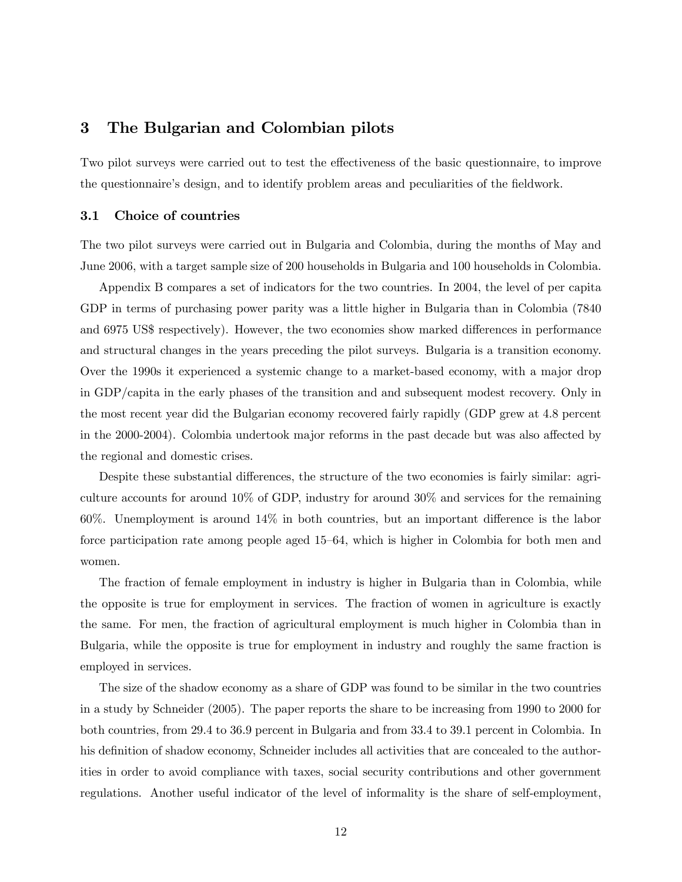## 3 The Bulgarian and Colombian pilots

Two pilot surveys were carried out to test the effectiveness of the basic questionnaire, to improve the questionnaire's design, and to identify problem areas and peculiarities of the fieldwork.

#### 3.1 Choice of countries

The two pilot surveys were carried out in Bulgaria and Colombia, during the months of May and June 2006, with a target sample size of 200 households in Bulgaria and 100 households in Colombia.

Appendix B compares a set of indicators for the two countries. In 2004, the level of per capita GDP in terms of purchasing power parity was a little higher in Bulgaria than in Colombia (7840 and 6975 US\$ respectively). However, the two economies show marked differences in performance and structural changes in the years preceding the pilot surveys. Bulgaria is a transition economy. Over the 1990s it experienced a systemic change to a market-based economy, with a major drop in GDP/capita in the early phases of the transition and and subsequent modest recovery. Only in the most recent year did the Bulgarian economy recovered fairly rapidly (GDP grew at 4.8 percent in the 2000-2004). Colombia undertook major reforms in the past decade but was also affected by the regional and domestic crises.

Despite these substantial differences, the structure of the two economies is fairly similar: agriculture accounts for around 10% of GDP, industry for around 30% and services for the remaining 60%. Unemployment is around 14% in both countries, but an important difference is the labor force participation rate among people aged 15—64, which is higher in Colombia for both men and women.

The fraction of female employment in industry is higher in Bulgaria than in Colombia, while the opposite is true for employment in services. The fraction of women in agriculture is exactly the same. For men, the fraction of agricultural employment is much higher in Colombia than in Bulgaria, while the opposite is true for employment in industry and roughly the same fraction is employed in services.

The size of the shadow economy as a share of GDP was found to be similar in the two countries in a study by Schneider (2005). The paper reports the share to be increasing from 1990 to 2000 for both countries, from 29.4 to 36.9 percent in Bulgaria and from 33.4 to 39.1 percent in Colombia. In his definition of shadow economy, Schneider includes all activities that are concealed to the authorities in order to avoid compliance with taxes, social security contributions and other government regulations. Another useful indicator of the level of informality is the share of self-employment,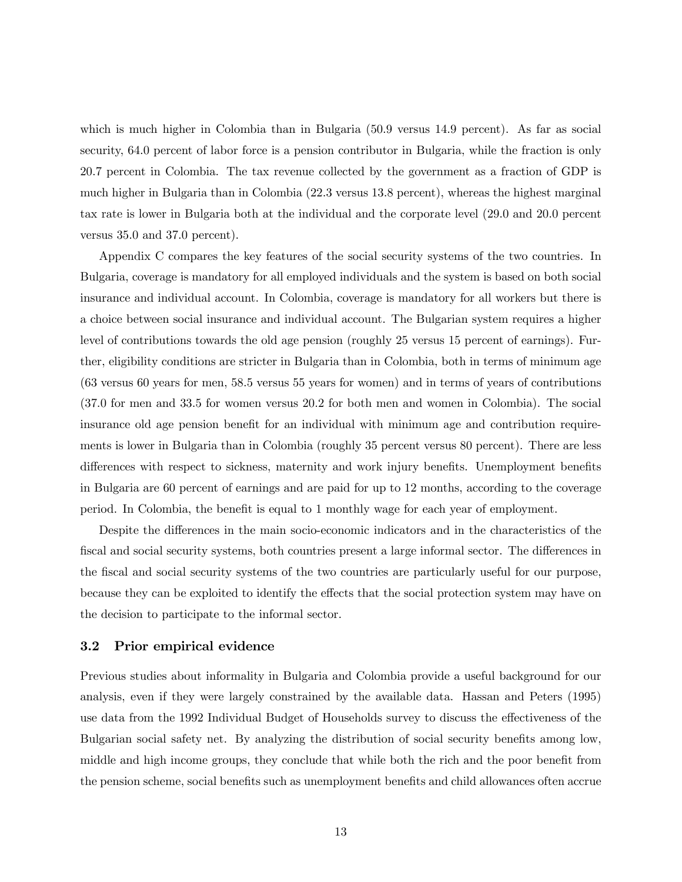which is much higher in Colombia than in Bulgaria (50.9 versus 14.9 percent). As far as social security, 64.0 percent of labor force is a pension contributor in Bulgaria, while the fraction is only 20.7 percent in Colombia. The tax revenue collected by the government as a fraction of GDP is much higher in Bulgaria than in Colombia (22.3 versus 13.8 percent), whereas the highest marginal tax rate is lower in Bulgaria both at the individual and the corporate level (29.0 and 20.0 percent versus 35.0 and 37.0 percent).

Appendix C compares the key features of the social security systems of the two countries. In Bulgaria, coverage is mandatory for all employed individuals and the system is based on both social insurance and individual account. In Colombia, coverage is mandatory for all workers but there is a choice between social insurance and individual account. The Bulgarian system requires a higher level of contributions towards the old age pension (roughly 25 versus 15 percent of earnings). Further, eligibility conditions are stricter in Bulgaria than in Colombia, both in terms of minimum age (63 versus 60 years for men, 58.5 versus 55 years for women) and in terms of years of contributions (37.0 for men and 33.5 for women versus 20.2 for both men and women in Colombia). The social insurance old age pension benefit for an individual with minimum age and contribution requirements is lower in Bulgaria than in Colombia (roughly 35 percent versus 80 percent). There are less differences with respect to sickness, maternity and work injury benefits. Unemployment benefits in Bulgaria are 60 percent of earnings and are paid for up to 12 months, according to the coverage period. In Colombia, the benefit is equal to 1 monthly wage for each year of employment.

Despite the differences in the main socio-economic indicators and in the characteristics of the fiscal and social security systems, both countries present a large informal sector. The differences in the fiscal and social security systems of the two countries are particularly useful for our purpose, because they can be exploited to identify the effects that the social protection system may have on the decision to participate to the informal sector.

#### 3.2 Prior empirical evidence

Previous studies about informality in Bulgaria and Colombia provide a useful background for our analysis, even if they were largely constrained by the available data. Hassan and Peters (1995) use data from the 1992 Individual Budget of Households survey to discuss the effectiveness of the Bulgarian social safety net. By analyzing the distribution of social security benefits among low, middle and high income groups, they conclude that while both the rich and the poor benefit from the pension scheme, social benefits such as unemployment benefits and child allowances often accrue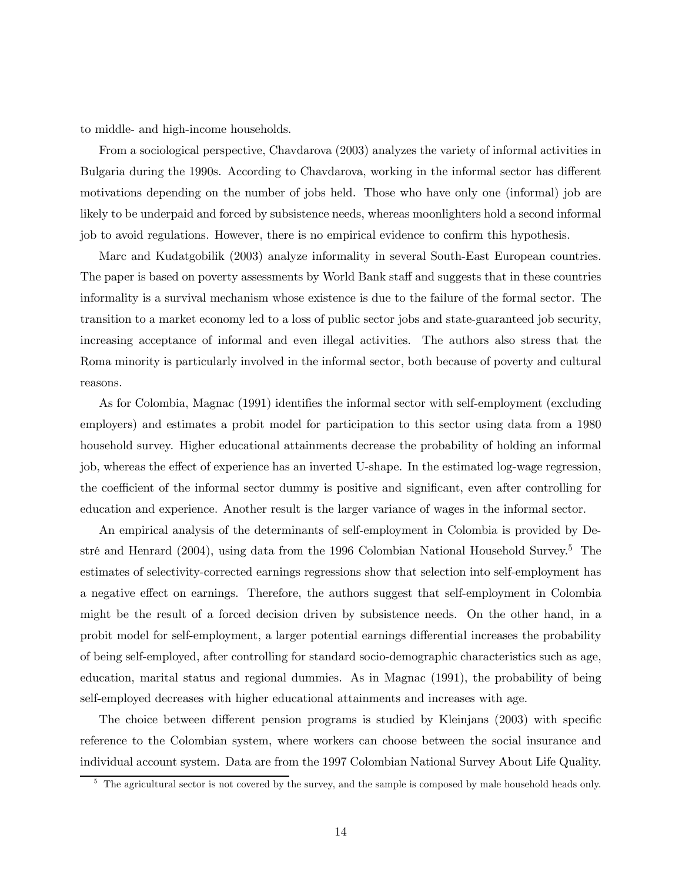to middle- and high-income households.

From a sociological perspective, Chavdarova (2003) analyzes the variety of informal activities in Bulgaria during the 1990s. According to Chavdarova, working in the informal sector has different motivations depending on the number of jobs held. Those who have only one (informal) job are likely to be underpaid and forced by subsistence needs, whereas moonlighters hold a second informal job to avoid regulations. However, there is no empirical evidence to confirm this hypothesis.

Marc and Kudatgobilik (2003) analyze informality in several South-East European countries. The paper is based on poverty assessments by World Bank staff and suggests that in these countries informality is a survival mechanism whose existence is due to the failure of the formal sector. The transition to a market economy led to a loss of public sector jobs and state-guaranteed job security, increasing acceptance of informal and even illegal activities. The authors also stress that the Roma minority is particularly involved in the informal sector, both because of poverty and cultural reasons.

As for Colombia, Magnac (1991) identifies the informal sector with self-employment (excluding employers) and estimates a probit model for participation to this sector using data from a 1980 household survey. Higher educational attainments decrease the probability of holding an informal job, whereas the effect of experience has an inverted U-shape. In the estimated log-wage regression, the coefficient of the informal sector dummy is positive and significant, even after controlling for education and experience. Another result is the larger variance of wages in the informal sector.

An empirical analysis of the determinants of self-employment in Colombia is provided by Destré and Henrard (2004), using data from the 1996 Colombian National Household Survey.<sup>5</sup> The estimates of selectivity-corrected earnings regressions show that selection into self-employment has a negative effect on earnings. Therefore, the authors suggest that self-employment in Colombia might be the result of a forced decision driven by subsistence needs. On the other hand, in a probit model for self-employment, a larger potential earnings differential increases the probability of being self-employed, after controlling for standard socio-demographic characteristics such as age, education, marital status and regional dummies. As in Magnac (1991), the probability of being self-employed decreases with higher educational attainments and increases with age.

The choice between different pension programs is studied by Kleinjans (2003) with specific reference to the Colombian system, where workers can choose between the social insurance and individual account system. Data are from the 1997 Colombian National Survey About Life Quality.

<sup>&</sup>lt;sup>5</sup> The agricultural sector is not covered by the survey, and the sample is composed by male household heads only.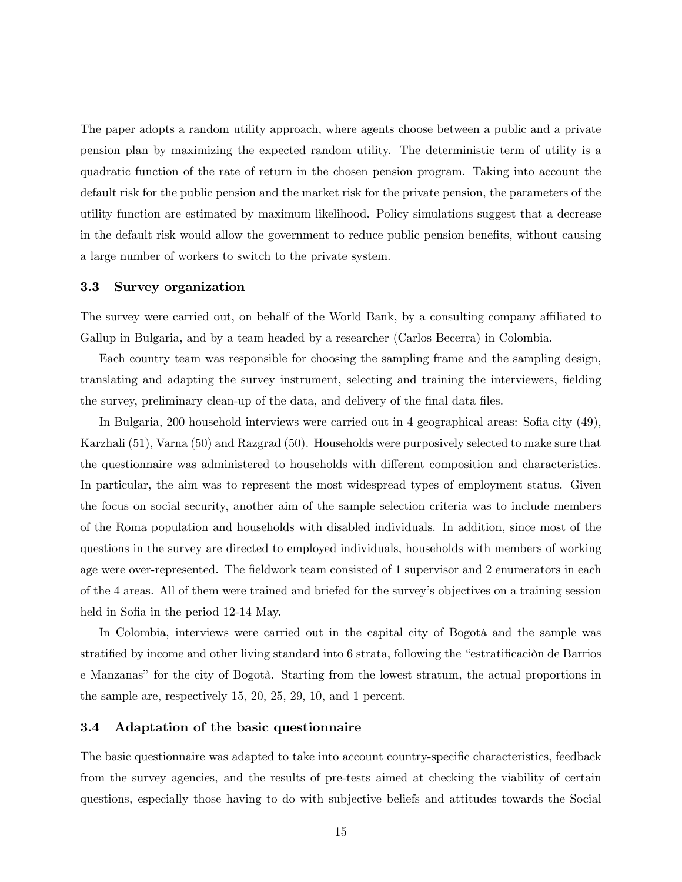The paper adopts a random utility approach, where agents choose between a public and a private pension plan by maximizing the expected random utility. The deterministic term of utility is a quadratic function of the rate of return in the chosen pension program. Taking into account the default risk for the public pension and the market risk for the private pension, the parameters of the utility function are estimated by maximum likelihood. Policy simulations suggest that a decrease in the default risk would allow the government to reduce public pension benefits, without causing a large number of workers to switch to the private system.

#### 3.3 Survey organization

The survey were carried out, on behalf of the World Bank, by a consulting company affiliated to Gallup in Bulgaria, and by a team headed by a researcher (Carlos Becerra) in Colombia.

Each country team was responsible for choosing the sampling frame and the sampling design, translating and adapting the survey instrument, selecting and training the interviewers, fielding the survey, preliminary clean-up of the data, and delivery of the final data files.

In Bulgaria, 200 household interviews were carried out in 4 geographical areas: Sofia city (49), Karzhali (51), Varna (50) and Razgrad (50). Households were purposively selected to make sure that the questionnaire was administered to households with different composition and characteristics. In particular, the aim was to represent the most widespread types of employment status. Given the focus on social security, another aim of the sample selection criteria was to include members of the Roma population and households with disabled individuals. In addition, since most of the questions in the survey are directed to employed individuals, households with members of working age were over-represented. The fieldwork team consisted of 1 supervisor and 2 enumerators in each of the 4 areas. All of them were trained and briefed for the survey's objectives on a training session held in Sofia in the period 12-14 May.

In Colombia, interviews were carried out in the capital city of Bogotà and the sample was stratified by income and other living standard into 6 strata, following the "estratificaciòn de Barrios e Manzanas" for the city of Bogotà. Starting from the lowest stratum, the actual proportions in the sample are, respectively 15, 20, 25, 29, 10, and 1 percent.

#### 3.4 Adaptation of the basic questionnaire

The basic questionnaire was adapted to take into account country-specific characteristics, feedback from the survey agencies, and the results of pre-tests aimed at checking the viability of certain questions, especially those having to do with subjective beliefs and attitudes towards the Social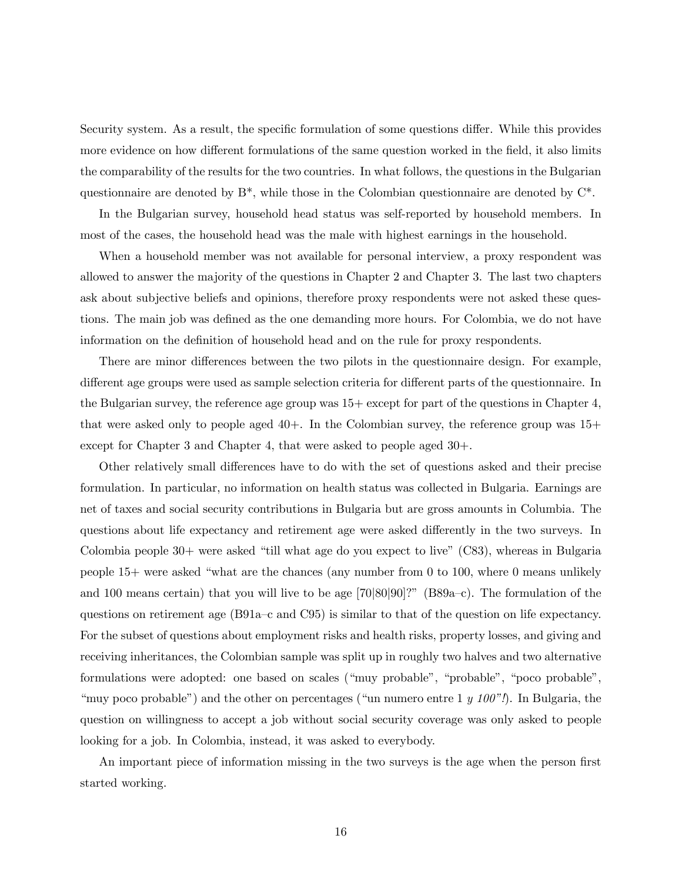Security system. As a result, the specific formulation of some questions differ. While this provides more evidence on how different formulations of the same question worked in the field, it also limits the comparability of the results for the two countries. In what follows, the questions in the Bulgarian questionnaire are denoted by  $B^*$ , while those in the Colombian questionnaire are denoted by  $C^*$ .

In the Bulgarian survey, household head status was self-reported by household members. In most of the cases, the household head was the male with highest earnings in the household.

When a household member was not available for personal interview, a proxy respondent was allowed to answer the majority of the questions in Chapter 2 and Chapter 3. The last two chapters ask about subjective beliefs and opinions, therefore proxy respondents were not asked these questions. The main job was defined as the one demanding more hours. For Colombia, we do not have information on the definition of household head and on the rule for proxy respondents.

There are minor differences between the two pilots in the questionnaire design. For example, different age groups were used as sample selection criteria for different parts of the questionnaire. In the Bulgarian survey, the reference age group was 15+ except for part of the questions in Chapter 4, that were asked only to people aged 40+. In the Colombian survey, the reference group was 15+ except for Chapter 3 and Chapter 4, that were asked to people aged 30+.

Other relatively small differences have to do with the set of questions asked and their precise formulation. In particular, no information on health status was collected in Bulgaria. Earnings are net of taxes and social security contributions in Bulgaria but are gross amounts in Columbia. The questions about life expectancy and retirement age were asked differently in the two surveys. In Colombia people 30+ were asked "till what age do you expect to live" (C83), whereas in Bulgaria people 15+ were asked "what are the chances (any number from 0 to 100, where 0 means unlikely and 100 means certain) that you will live to be age [70|80|90]?" (B89a—c). The formulation of the questions on retirement age (B91a—c and C95) is similar to that of the question on life expectancy. For the subset of questions about employment risks and health risks, property losses, and giving and receiving inheritances, the Colombian sample was split up in roughly two halves and two alternative formulations were adopted: one based on scales ("muy probable", "probable", "poco probable", "muy poco probable") and the other on percentages ("un numero entre  $1 \ y \ 100"$ "). In Bulgaria, the question on willingness to accept a job without social security coverage was only asked to people looking for a job. In Colombia, instead, it was asked to everybody.

An important piece of information missing in the two surveys is the age when the person first started working.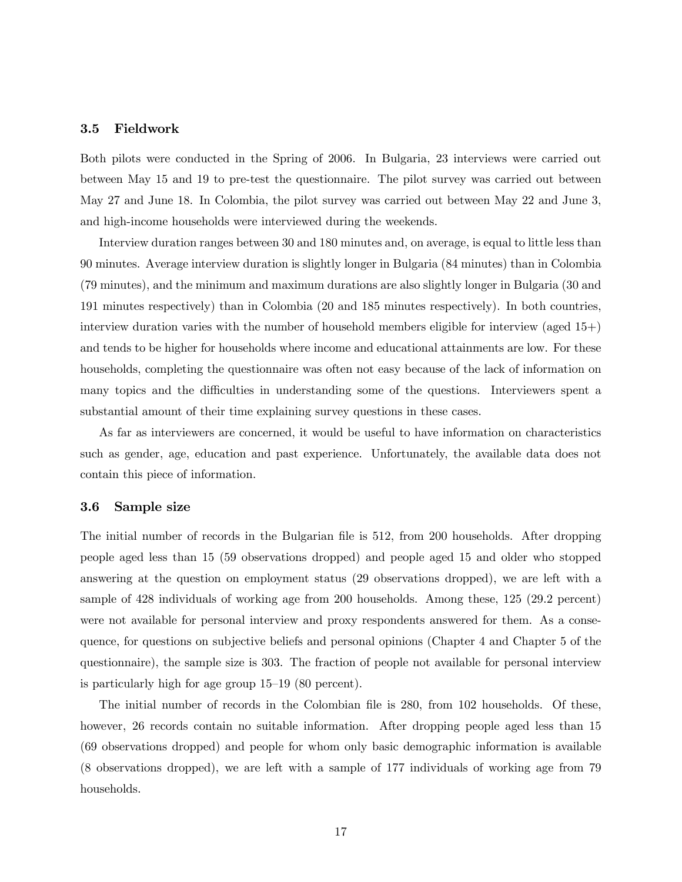#### 3.5 Fieldwork

Both pilots were conducted in the Spring of 2006. In Bulgaria, 23 interviews were carried out between May 15 and 19 to pre-test the questionnaire. The pilot survey was carried out between May 27 and June 18. In Colombia, the pilot survey was carried out between May 22 and June 3, and high-income households were interviewed during the weekends.

Interview duration ranges between 30 and 180 minutes and, on average, is equal to little less than 90 minutes. Average interview duration is slightly longer in Bulgaria (84 minutes) than in Colombia (79 minutes), and the minimum and maximum durations are also slightly longer in Bulgaria (30 and 191 minutes respectively) than in Colombia (20 and 185 minutes respectively). In both countries, interview duration varies with the number of household members eligible for interview (aged 15+) and tends to be higher for households where income and educational attainments are low. For these households, completing the questionnaire was often not easy because of the lack of information on many topics and the difficulties in understanding some of the questions. Interviewers spent a substantial amount of their time explaining survey questions in these cases.

As far as interviewers are concerned, it would be useful to have information on characteristics such as gender, age, education and past experience. Unfortunately, the available data does not contain this piece of information.

#### 3.6 Sample size

The initial number of records in the Bulgarian file is 512, from 200 households. After dropping people aged less than 15 (59 observations dropped) and people aged 15 and older who stopped answering at the question on employment status (29 observations dropped), we are left with a sample of 428 individuals of working age from 200 households. Among these, 125 (29.2 percent) were not available for personal interview and proxy respondents answered for them. As a consequence, for questions on subjective beliefs and personal opinions (Chapter 4 and Chapter 5 of the questionnaire), the sample size is 303. The fraction of people not available for personal interview is particularly high for age group 15—19 (80 percent).

The initial number of records in the Colombian file is 280, from 102 households. Of these, however, 26 records contain no suitable information. After dropping people aged less than 15 (69 observations dropped) and people for whom only basic demographic information is available (8 observations dropped), we are left with a sample of 177 individuals of working age from 79 households.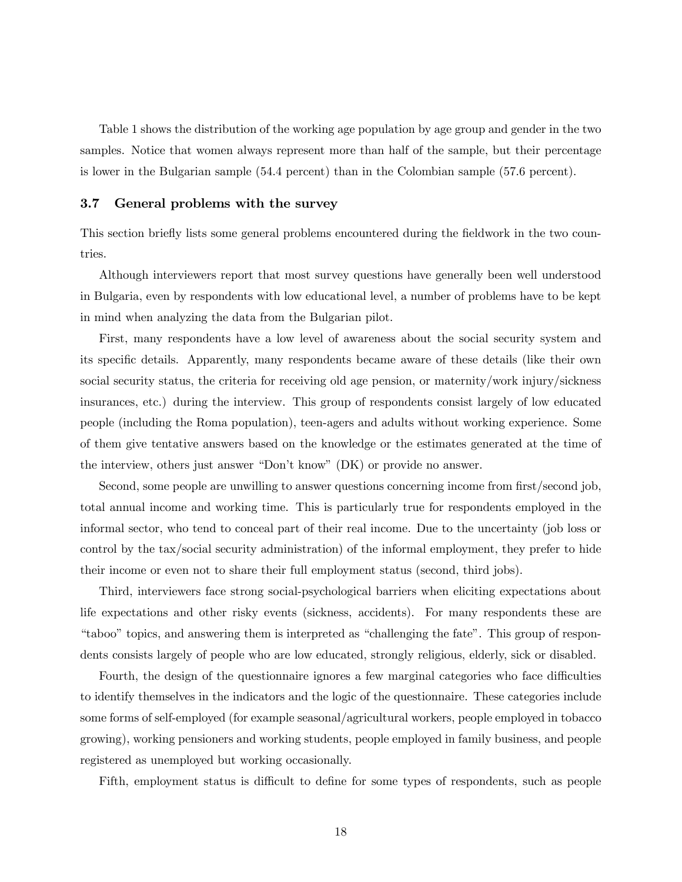Table 1 shows the distribution of the working age population by age group and gender in the two samples. Notice that women always represent more than half of the sample, but their percentage is lower in the Bulgarian sample (54.4 percent) than in the Colombian sample (57.6 percent).

#### 3.7 General problems with the survey

This section briefly lists some general problems encountered during the fieldwork in the two countries.

Although interviewers report that most survey questions have generally been well understood in Bulgaria, even by respondents with low educational level, a number of problems have to be kept in mind when analyzing the data from the Bulgarian pilot.

First, many respondents have a low level of awareness about the social security system and its specific details. Apparently, many respondents became aware of these details (like their own social security status, the criteria for receiving old age pension, or maternity/work injury/sickness insurances, etc.) during the interview. This group of respondents consist largely of low educated people (including the Roma population), teen-agers and adults without working experience. Some of them give tentative answers based on the knowledge or the estimates generated at the time of the interview, others just answer "Don't know" (DK) or provide no answer.

Second, some people are unwilling to answer questions concerning income from first/second job, total annual income and working time. This is particularly true for respondents employed in the informal sector, who tend to conceal part of their real income. Due to the uncertainty (job loss or control by the tax/social security administration) of the informal employment, they prefer to hide their income or even not to share their full employment status (second, third jobs).

Third, interviewers face strong social-psychological barriers when eliciting expectations about life expectations and other risky events (sickness, accidents). For many respondents these are "taboo" topics, and answering them is interpreted as "challenging the fate". This group of respondents consists largely of people who are low educated, strongly religious, elderly, sick or disabled.

Fourth, the design of the questionnaire ignores a few marginal categories who face difficulties to identify themselves in the indicators and the logic of the questionnaire. These categories include some forms of self-employed (for example seasonal/agricultural workers, people employed in tobacco growing), working pensioners and working students, people employed in family business, and people registered as unemployed but working occasionally.

Fifth, employment status is difficult to define for some types of respondents, such as people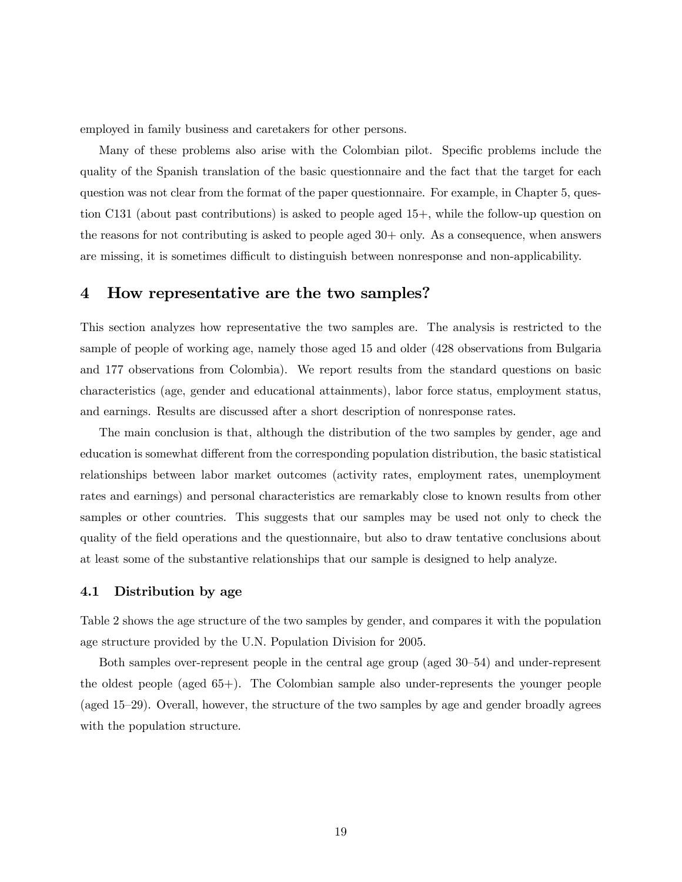employed in family business and caretakers for other persons.

Many of these problems also arise with the Colombian pilot. Specific problems include the quality of the Spanish translation of the basic questionnaire and the fact that the target for each question was not clear from the format of the paper questionnaire. For example, in Chapter 5, question C131 (about past contributions) is asked to people aged 15+, while the follow-up question on the reasons for not contributing is asked to people aged 30+ only. As a consequence, when answers are missing, it is sometimes difficult to distinguish between nonresponse and non-applicability.

### 4 How representative are the two samples?

This section analyzes how representative the two samples are. The analysis is restricted to the sample of people of working age, namely those aged 15 and older (428 observations from Bulgaria and 177 observations from Colombia). We report results from the standard questions on basic characteristics (age, gender and educational attainments), labor force status, employment status, and earnings. Results are discussed after a short description of nonresponse rates.

The main conclusion is that, although the distribution of the two samples by gender, age and education is somewhat different from the corresponding population distribution, the basic statistical relationships between labor market outcomes (activity rates, employment rates, unemployment rates and earnings) and personal characteristics are remarkably close to known results from other samples or other countries. This suggests that our samples may be used not only to check the quality of the field operations and the questionnaire, but also to draw tentative conclusions about at least some of the substantive relationships that our sample is designed to help analyze.

#### 4.1 Distribution by age

Table 2 shows the age structure of the two samples by gender, and compares it with the population age structure provided by the U.N. Population Division for 2005.

Both samples over-represent people in the central age group (aged 30—54) and under-represent the oldest people (aged 65+). The Colombian sample also under-represents the younger people (aged 15—29). Overall, however, the structure of the two samples by age and gender broadly agrees with the population structure.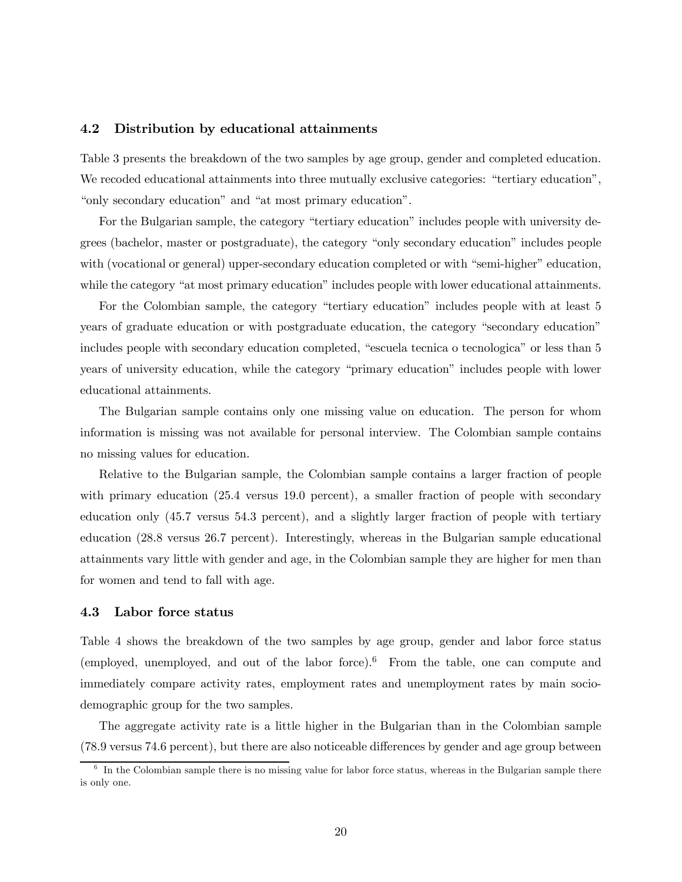#### 4.2 Distribution by educational attainments

Table 3 presents the breakdown of the two samples by age group, gender and completed education. We recoded educational attainments into three mutually exclusive categories: "tertiary education", "only secondary education" and "at most primary education".

For the Bulgarian sample, the category "tertiary education" includes people with university degrees (bachelor, master or postgraduate), the category "only secondary education" includes people with (vocational or general) upper-secondary education completed or with "semi-higher" education, while the category "at most primary education" includes people with lower educational attainments.

For the Colombian sample, the category "tertiary education" includes people with at least 5 years of graduate education or with postgraduate education, the category "secondary education" includes people with secondary education completed, "escuela tecnica o tecnologica" or less than 5 years of university education, while the category "primary education" includes people with lower educational attainments.

The Bulgarian sample contains only one missing value on education. The person for whom information is missing was not available for personal interview. The Colombian sample contains no missing values for education.

Relative to the Bulgarian sample, the Colombian sample contains a larger fraction of people with primary education (25.4 versus 19.0 percent), a smaller fraction of people with secondary education only (45.7 versus 54.3 percent), and a slightly larger fraction of people with tertiary education (28.8 versus 26.7 percent). Interestingly, whereas in the Bulgarian sample educational attainments vary little with gender and age, in the Colombian sample they are higher for men than for women and tend to fall with age.

#### 4.3 Labor force status

Table 4 shows the breakdown of the two samples by age group, gender and labor force status (employed, unemployed, and out of the labor force).6 From the table, one can compute and immediately compare activity rates, employment rates and unemployment rates by main sociodemographic group for the two samples.

The aggregate activity rate is a little higher in the Bulgarian than in the Colombian sample (78.9 versus 74.6 percent), but there are also noticeable differences by gender and age group between

 $6\;$  In the Colombian sample there is no missing value for labor force status, whereas in the Bulgarian sample there is only one.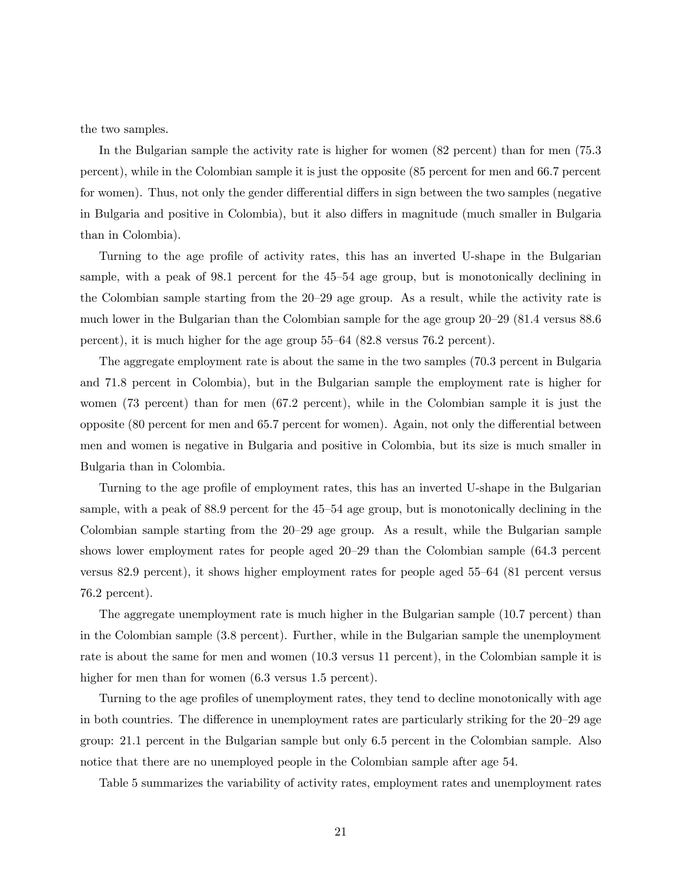the two samples.

In the Bulgarian sample the activity rate is higher for women (82 percent) than for men (75.3 percent), while in the Colombian sample it is just the opposite (85 percent for men and 66.7 percent for women). Thus, not only the gender differential differs in sign between the two samples (negative in Bulgaria and positive in Colombia), but it also differs in magnitude (much smaller in Bulgaria than in Colombia).

Turning to the age profile of activity rates, this has an inverted U-shape in the Bulgarian sample, with a peak of 98.1 percent for the 45—54 age group, but is monotonically declining in the Colombian sample starting from the 20—29 age group. As a result, while the activity rate is much lower in the Bulgarian than the Colombian sample for the age group 20—29 (81.4 versus 88.6 percent), it is much higher for the age group 55—64 (82.8 versus 76.2 percent).

The aggregate employment rate is about the same in the two samples (70.3 percent in Bulgaria and 71.8 percent in Colombia), but in the Bulgarian sample the employment rate is higher for women (73 percent) than for men (67.2 percent), while in the Colombian sample it is just the opposite (80 percent for men and 65.7 percent for women). Again, not only the differential between men and women is negative in Bulgaria and positive in Colombia, but its size is much smaller in Bulgaria than in Colombia.

Turning to the age profile of employment rates, this has an inverted U-shape in the Bulgarian sample, with a peak of 88.9 percent for the 45—54 age group, but is monotonically declining in the Colombian sample starting from the 20—29 age group. As a result, while the Bulgarian sample shows lower employment rates for people aged 20—29 than the Colombian sample (64.3 percent versus 82.9 percent), it shows higher employment rates for people aged 55—64 (81 percent versus 76.2 percent).

The aggregate unemployment rate is much higher in the Bulgarian sample (10.7 percent) than in the Colombian sample (3.8 percent). Further, while in the Bulgarian sample the unemployment rate is about the same for men and women (10.3 versus 11 percent), in the Colombian sample it is higher for men than for women  $(6.3 \text{ versus } 1.5 \text{ percent})$ .

Turning to the age profiles of unemployment rates, they tend to decline monotonically with age in both countries. The difference in unemployment rates are particularly striking for the 20—29 age group: 21.1 percent in the Bulgarian sample but only 6.5 percent in the Colombian sample. Also notice that there are no unemployed people in the Colombian sample after age 54.

Table 5 summarizes the variability of activity rates, employment rates and unemployment rates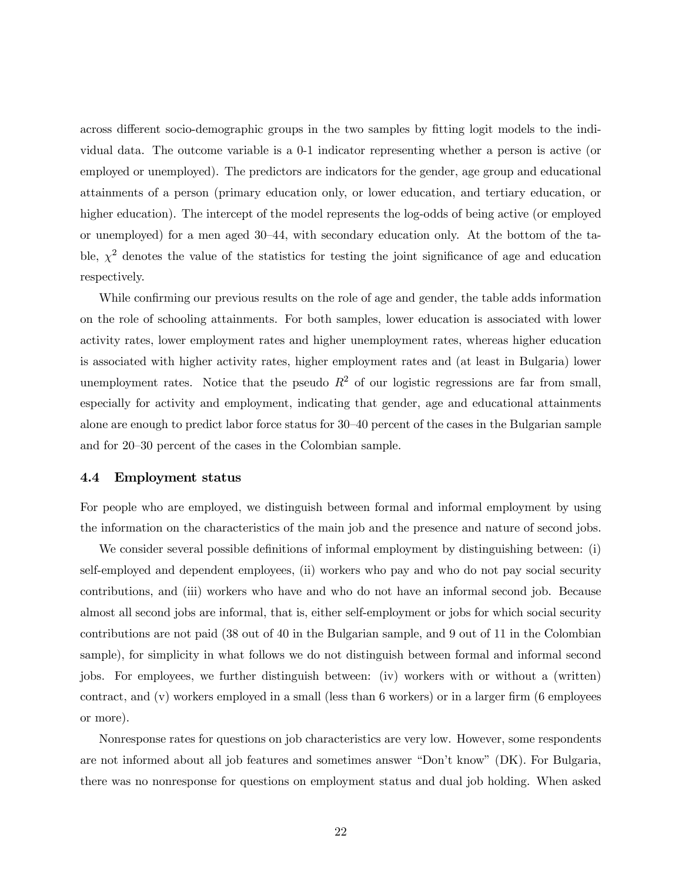across different socio-demographic groups in the two samples by fitting logit models to the individual data. The outcome variable is a 0-1 indicator representing whether a person is active (or employed or unemployed). The predictors are indicators for the gender, age group and educational attainments of a person (primary education only, or lower education, and tertiary education, or higher education). The intercept of the model represents the log-odds of being active (or employed or unemployed) for a men aged 30—44, with secondary education only. At the bottom of the table,  $\chi^2$  denotes the value of the statistics for testing the joint significance of age and education respectively.

While confirming our previous results on the role of age and gender, the table adds information on the role of schooling attainments. For both samples, lower education is associated with lower activity rates, lower employment rates and higher unemployment rates, whereas higher education is associated with higher activity rates, higher employment rates and (at least in Bulgaria) lower unemployment rates. Notice that the pseudo  $R^2$  of our logistic regressions are far from small, especially for activity and employment, indicating that gender, age and educational attainments alone are enough to predict labor force status for 30—40 percent of the cases in the Bulgarian sample and for 20—30 percent of the cases in the Colombian sample.

#### 4.4 Employment status

For people who are employed, we distinguish between formal and informal employment by using the information on the characteristics of the main job and the presence and nature of second jobs.

We consider several possible definitions of informal employment by distinguishing between: (i) self-employed and dependent employees, (ii) workers who pay and who do not pay social security contributions, and (iii) workers who have and who do not have an informal second job. Because almost all second jobs are informal, that is, either self-employment or jobs for which social security contributions are not paid (38 out of 40 in the Bulgarian sample, and 9 out of 11 in the Colombian sample), for simplicity in what follows we do not distinguish between formal and informal second jobs. For employees, we further distinguish between: (iv) workers with or without a (written) contract, and (v) workers employed in a small (less than 6 workers) or in a larger firm (6 employees or more).

Nonresponse rates for questions on job characteristics are very low. However, some respondents are not informed about all job features and sometimes answer "Don't know" (DK). For Bulgaria, there was no nonresponse for questions on employment status and dual job holding. When asked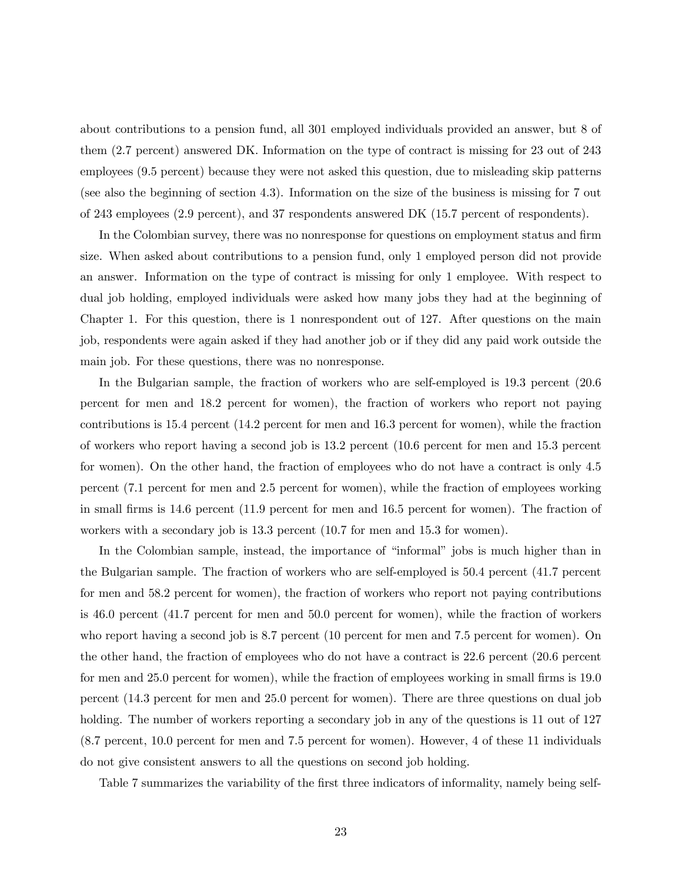about contributions to a pension fund, all 301 employed individuals provided an answer, but 8 of them (2.7 percent) answered DK. Information on the type of contract is missing for 23 out of 243 employees (9.5 percent) because they were not asked this question, due to misleading skip patterns (see also the beginning of section 4.3). Information on the size of the business is missing for 7 out of 243 employees (2.9 percent), and 37 respondents answered DK (15.7 percent of respondents).

In the Colombian survey, there was no nonresponse for questions on employment status and firm size. When asked about contributions to a pension fund, only 1 employed person did not provide an answer. Information on the type of contract is missing for only 1 employee. With respect to dual job holding, employed individuals were asked how many jobs they had at the beginning of Chapter 1. For this question, there is 1 nonrespondent out of 127. After questions on the main job, respondents were again asked if they had another job or if they did any paid work outside the main job. For these questions, there was no nonresponse.

In the Bulgarian sample, the fraction of workers who are self-employed is 19.3 percent (20.6 percent for men and 18.2 percent for women), the fraction of workers who report not paying contributions is 15.4 percent (14.2 percent for men and 16.3 percent for women), while the fraction of workers who report having a second job is 13.2 percent (10.6 percent for men and 15.3 percent for women). On the other hand, the fraction of employees who do not have a contract is only 4.5 percent (7.1 percent for men and 2.5 percent for women), while the fraction of employees working in small firms is 14.6 percent (11.9 percent for men and 16.5 percent for women). The fraction of workers with a secondary job is 13.3 percent (10.7 for men and 15.3 for women).

In the Colombian sample, instead, the importance of "informal" jobs is much higher than in the Bulgarian sample. The fraction of workers who are self-employed is 50.4 percent (41.7 percent for men and 58.2 percent for women), the fraction of workers who report not paying contributions is 46.0 percent (41.7 percent for men and 50.0 percent for women), while the fraction of workers who report having a second job is 8.7 percent (10 percent for men and 7.5 percent for women). On the other hand, the fraction of employees who do not have a contract is 22.6 percent (20.6 percent for men and 25.0 percent for women), while the fraction of employees working in small firms is 19.0 percent (14.3 percent for men and 25.0 percent for women). There are three questions on dual job holding. The number of workers reporting a secondary job in any of the questions is 11 out of 127 (8.7 percent, 10.0 percent for men and 7.5 percent for women). However, 4 of these 11 individuals do not give consistent answers to all the questions on second job holding.

Table 7 summarizes the variability of the first three indicators of informality, namely being self-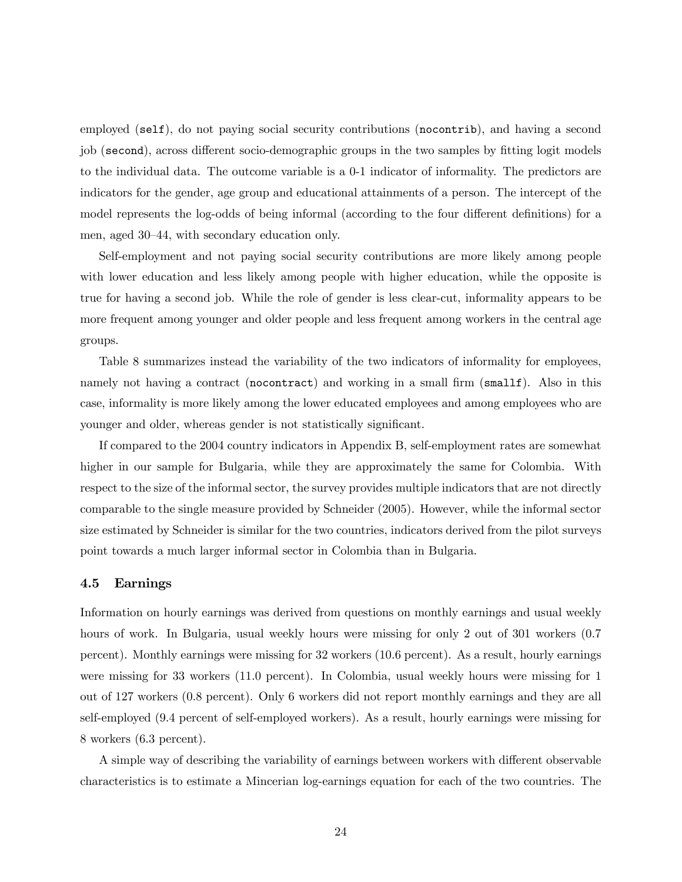employed (self), do not paying social security contributions (nocontrib), and having a second job (second), across different socio-demographic groups in the two samples by fitting logit models to the individual data. The outcome variable is a 0-1 indicator of informality. The predictors are indicators for the gender, age group and educational attainments of a person. The intercept of the model represents the log-odds of being informal (according to the four different definitions) for a men, aged 30—44, with secondary education only.

Self-employment and not paying social security contributions are more likely among people with lower education and less likely among people with higher education, while the opposite is true for having a second job. While the role of gender is less clear-cut, informality appears to be more frequent among younger and older people and less frequent among workers in the central age groups.

Table 8 summarizes instead the variability of the two indicators of informality for employees, namely not having a contract (nocontract) and working in a small firm (small f). Also in this case, informality is more likely among the lower educated employees and among employees who are younger and older, whereas gender is not statistically significant.

If compared to the 2004 country indicators in Appendix B, self-employment rates are somewhat higher in our sample for Bulgaria, while they are approximately the same for Colombia. With respect to the size of the informal sector, the survey provides multiple indicators that are not directly comparable to the single measure provided by Schneider (2005). However, while the informal sector size estimated by Schneider is similar for the two countries, indicators derived from the pilot surveys point towards a much larger informal sector in Colombia than in Bulgaria.

#### 4.5 Earnings

Information on hourly earnings was derived from questions on monthly earnings and usual weekly hours of work. In Bulgaria, usual weekly hours were missing for only 2 out of 301 workers  $(0.7)$ percent). Monthly earnings were missing for 32 workers (10.6 percent). As a result, hourly earnings were missing for 33 workers (11.0 percent). In Colombia, usual weekly hours were missing for 1 out of 127 workers (0.8 percent). Only 6 workers did not report monthly earnings and they are all self-employed (9.4 percent of self-employed workers). As a result, hourly earnings were missing for 8 workers (6.3 percent).

A simple way of describing the variability of earnings between workers with different observable characteristics is to estimate a Mincerian log-earnings equation for each of the two countries. The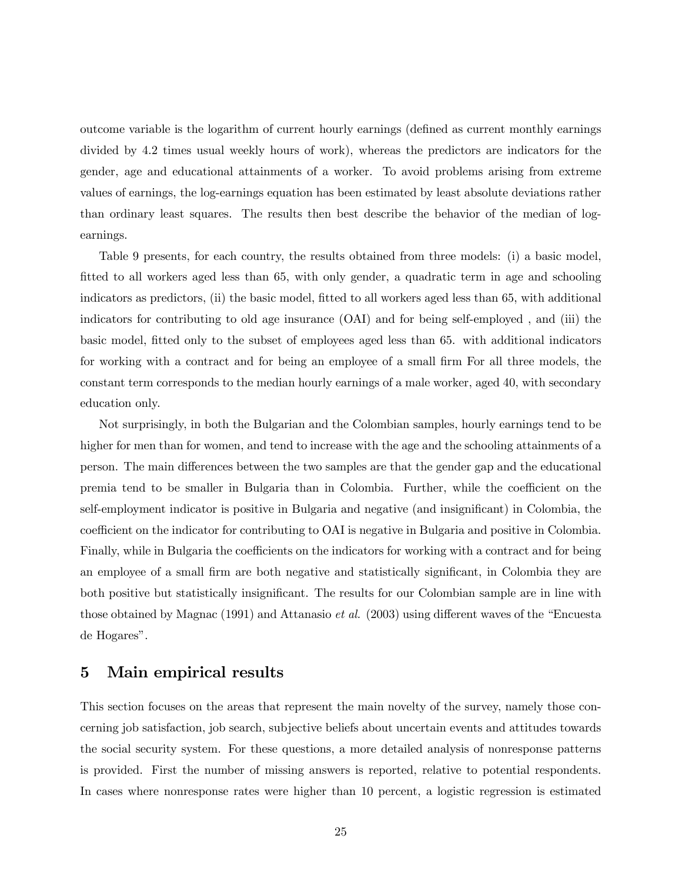outcome variable is the logarithm of current hourly earnings (defined as current monthly earnings divided by 4.2 times usual weekly hours of work), whereas the predictors are indicators for the gender, age and educational attainments of a worker. To avoid problems arising from extreme values of earnings, the log-earnings equation has been estimated by least absolute deviations rather than ordinary least squares. The results then best describe the behavior of the median of logearnings.

Table 9 presents, for each country, the results obtained from three models: (i) a basic model, fitted to all workers aged less than 65, with only gender, a quadratic term in age and schooling indicators as predictors, (ii) the basic model, fitted to all workers aged less than 65, with additional indicators for contributing to old age insurance (OAI) and for being self-employed , and (iii) the basic model, fitted only to the subset of employees aged less than 65. with additional indicators for working with a contract and for being an employee of a small firm For all three models, the constant term corresponds to the median hourly earnings of a male worker, aged 40, with secondary education only.

Not surprisingly, in both the Bulgarian and the Colombian samples, hourly earnings tend to be higher for men than for women, and tend to increase with the age and the schooling attainments of a person. The main differences between the two samples are that the gender gap and the educational premia tend to be smaller in Bulgaria than in Colombia. Further, while the coefficient on the self-employment indicator is positive in Bulgaria and negative (and insignificant) in Colombia, the coefficient on the indicator for contributing to OAI is negative in Bulgaria and positive in Colombia. Finally, while in Bulgaria the coefficients on the indicators for working with a contract and for being an employee of a small firm are both negative and statistically significant, in Colombia they are both positive but statistically insignificant. The results for our Colombian sample are in line with those obtained by Magnac (1991) and Attanasio et al. (2003) using different waves of the "Encuesta de Hogares".

## 5 Main empirical results

This section focuses on the areas that represent the main novelty of the survey, namely those concerning job satisfaction, job search, subjective beliefs about uncertain events and attitudes towards the social security system. For these questions, a more detailed analysis of nonresponse patterns is provided. First the number of missing answers is reported, relative to potential respondents. In cases where nonresponse rates were higher than 10 percent, a logistic regression is estimated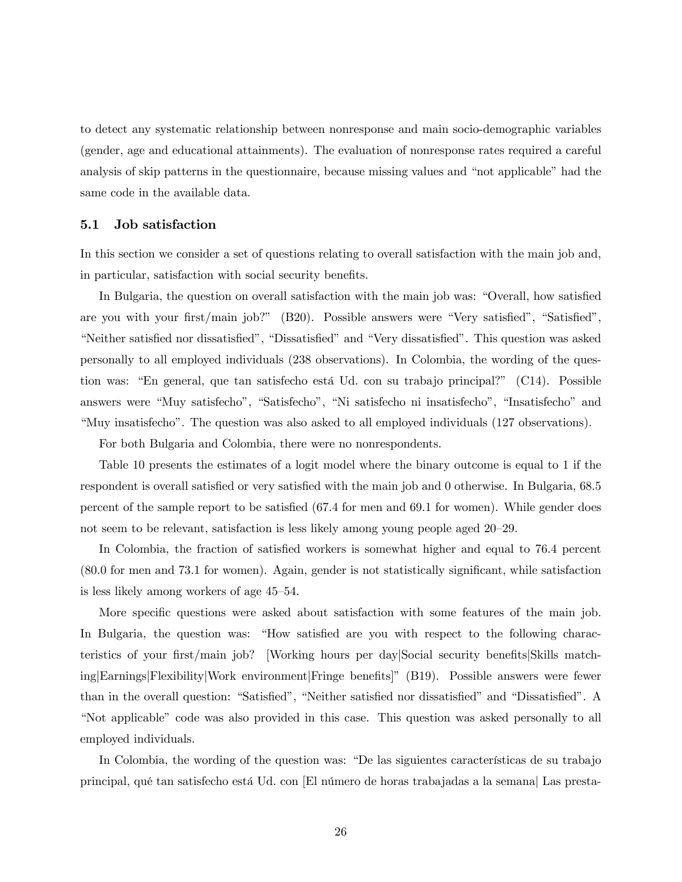to detect any systematic relationship between nonresponse and main socio-demographic variables (gender, age and educational attainments). The evaluation of nonresponse rates required a careful analysis of skip patterns in the questionnaire, because missing values and "not applicable" had the same code in the available data.

#### 5.1 Job satisfaction

In this section we consider a set of questions relating to overall satisfaction with the main job and, in particular, satisfaction with social security benefits.

In Bulgaria, the question on overall satisfaction with the main job was: "Overall, how satisfied are you with your first/main job?" (B20). Possible answers were "Very satisfied", "Satisfied", "Neither satisfied nor dissatisfied", "Dissatisfied" and "Very dissatisfied". This question was asked personally to all employed individuals (238 observations). In Colombia, the wording of the question was: "En general, que tan satisfecho está Ud. con su trabajo principal?" (C14). Possible answers were "Muy satisfecho", "Satisfecho", "Ni satisfecho ni insatisfecho", "Insatisfecho" and "Muy insatisfecho". The question was also asked to all employed individuals (127 observations).

For both Bulgaria and Colombia, there were no nonrespondents.

Table 10 presents the estimates of a logit model where the binary outcome is equal to 1 if the respondent is overall satisfied or very satisfied with the main job and 0 otherwise. In Bulgaria, 68.5 percent of the sample report to be satisfied (67.4 for men and 69.1 for women). While gender does not seem to be relevant, satisfaction is less likely among young people aged 20—29.

In Colombia, the fraction of satisfied workers is somewhat higher and equal to 76.4 percent (80.0 for men and 73.1 for women). Again, gender is not statistically significant, while satisfaction is less likely among workers of age 45—54.

More specific questions were asked about satisfaction with some features of the main job. In Bulgaria, the question was: "How satisfied are you with respect to the following characteristics of your first/main job? [Working hours per day|Social security benefits|Skills matching|Earnings|Flexibility|Work environment|Fringe benefits]" (B19). Possible answers were fewer than in the overall question: "Satisfied", "Neither satisfied nor dissatisfied" and "Dissatisfied". A "Not applicable" code was also provided in this case. This question was asked personally to all employed individuals.

In Colombia, the wording of the question was: "De las siguientes características de su trabajo principal, qué tan satisfecho está Ud. con [El número de horas trabajadas a la semana| Las presta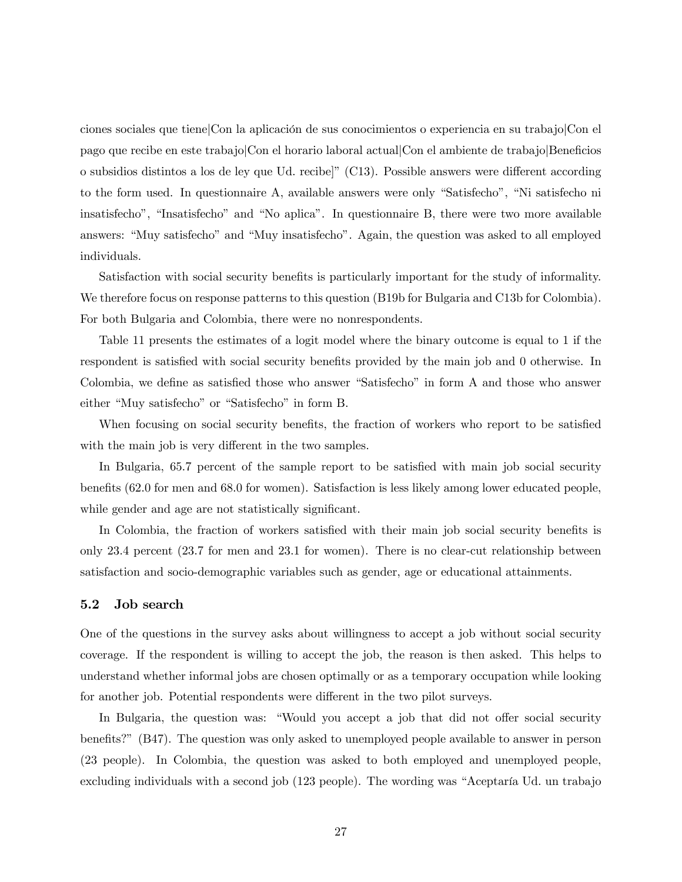ciones sociales que tiene|Con la aplicación de sus conocimientos o experiencia en su trabajo|Con el pago que recibe en este trabajo|Con el horario laboral actual|Con el ambiente de trabajo|Beneficios o subsidios distintos a los de ley que Ud. recibe]" (C13). Possible answers were different according to the form used. In questionnaire A, available answers were only "Satisfecho", "Ni satisfecho ni insatisfecho", "Insatisfecho" and "No aplica". In questionnaire B, there were two more available answers: "Muy satisfecho" and "Muy insatisfecho". Again, the question was asked to all employed individuals.

Satisfaction with social security benefits is particularly important for the study of informality. We therefore focus on response patterns to this question (B19b for Bulgaria and C13b for Colombia). For both Bulgaria and Colombia, there were no nonrespondents.

Table 11 presents the estimates of a logit model where the binary outcome is equal to 1 if the respondent is satisfied with social security benefits provided by the main job and 0 otherwise. In Colombia, we define as satisfied those who answer "Satisfecho" in form A and those who answer either "Muy satisfecho" or "Satisfecho" in form B.

When focusing on social security benefits, the fraction of workers who report to be satisfied with the main job is very different in the two samples.

In Bulgaria, 65.7 percent of the sample report to be satisfied with main job social security benefits (62.0 for men and 68.0 for women). Satisfaction is less likely among lower educated people, while gender and age are not statistically significant.

In Colombia, the fraction of workers satisfied with their main job social security benefits is only 23.4 percent (23.7 for men and 23.1 for women). There is no clear-cut relationship between satisfaction and socio-demographic variables such as gender, age or educational attainments.

#### 5.2 Job search

One of the questions in the survey asks about willingness to accept a job without social security coverage. If the respondent is willing to accept the job, the reason is then asked. This helps to understand whether informal jobs are chosen optimally or as a temporary occupation while looking for another job. Potential respondents were different in the two pilot surveys.

In Bulgaria, the question was: "Would you accept a job that did not offer social security benefits?" (B47). The question was only asked to unemployed people available to answer in person (23 people). In Colombia, the question was asked to both employed and unemployed people, excluding individuals with a second job (123 people). The wording was "Aceptaría Ud. un trabajo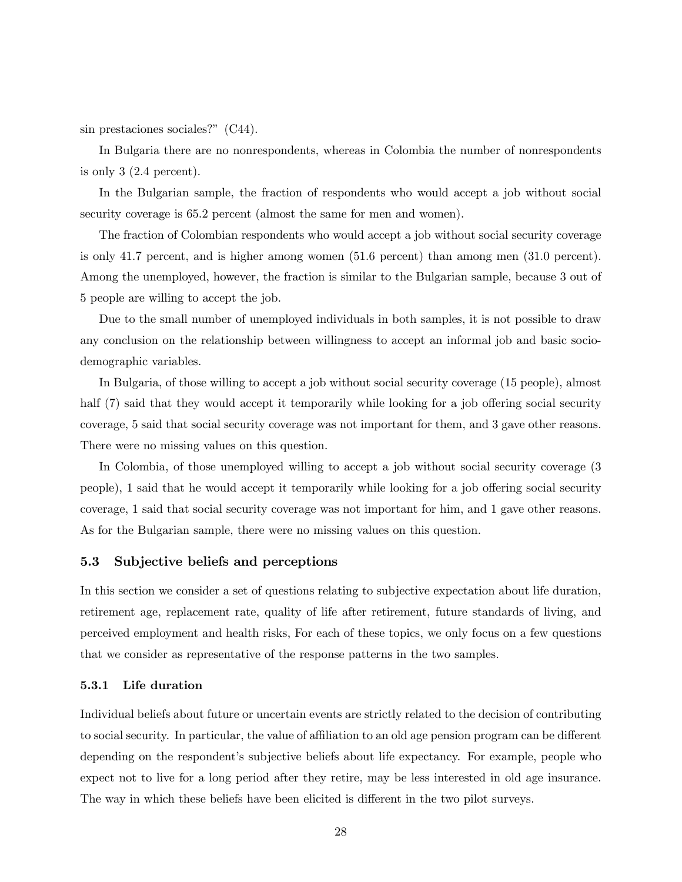sin prestaciones sociales?" (C44).

In Bulgaria there are no nonrespondents, whereas in Colombia the number of nonrespondents is only 3 (2.4 percent).

In the Bulgarian sample, the fraction of respondents who would accept a job without social security coverage is 65.2 percent (almost the same for men and women).

The fraction of Colombian respondents who would accept a job without social security coverage is only 41.7 percent, and is higher among women (51.6 percent) than among men (31.0 percent). Among the unemployed, however, the fraction is similar to the Bulgarian sample, because 3 out of 5 people are willing to accept the job.

Due to the small number of unemployed individuals in both samples, it is not possible to draw any conclusion on the relationship between willingness to accept an informal job and basic sociodemographic variables.

In Bulgaria, of those willing to accept a job without social security coverage (15 people), almost half (7) said that they would accept it temporarily while looking for a job offering social security coverage, 5 said that social security coverage was not important for them, and 3 gave other reasons. There were no missing values on this question.

In Colombia, of those unemployed willing to accept a job without social security coverage (3 people), 1 said that he would accept it temporarily while looking for a job offering social security coverage, 1 said that social security coverage was not important for him, and 1 gave other reasons. As for the Bulgarian sample, there were no missing values on this question.

#### 5.3 Subjective beliefs and perceptions

In this section we consider a set of questions relating to subjective expectation about life duration, retirement age, replacement rate, quality of life after retirement, future standards of living, and perceived employment and health risks, For each of these topics, we only focus on a few questions that we consider as representative of the response patterns in the two samples.

#### 5.3.1 Life duration

Individual beliefs about future or uncertain events are strictly related to the decision of contributing to social security. In particular, the value of affiliation to an old age pension program can be different depending on the respondent's subjective beliefs about life expectancy. For example, people who expect not to live for a long period after they retire, may be less interested in old age insurance. The way in which these beliefs have been elicited is different in the two pilot surveys.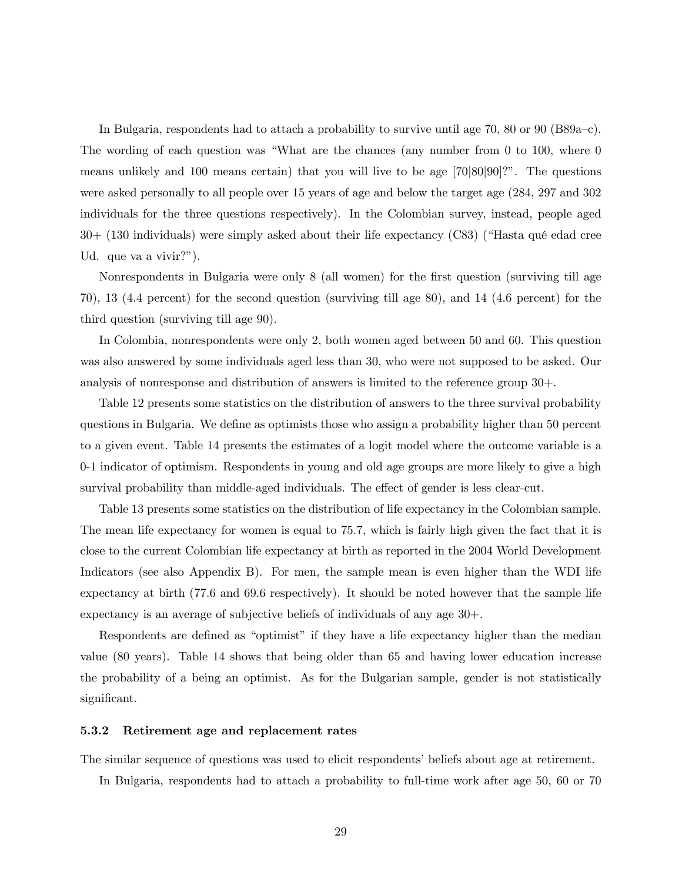In Bulgaria, respondents had to attach a probability to survive until age 70, 80 or 90 (B89a—c). The wording of each question was "What are the chances (any number from 0 to 100, where 0 means unlikely and 100 means certain) that you will live to be age [70|80|90]?". The questions were asked personally to all people over 15 years of age and below the target age (284, 297 and 302 individuals for the three questions respectively). In the Colombian survey, instead, people aged 30+ (130 individuals) were simply asked about their life expectancy (C83) ("Hasta qué edad cree Ud. que va a vivir?").

Nonrespondents in Bulgaria were only 8 (all women) for the first question (surviving till age 70), 13 (4.4 percent) for the second question (surviving till age 80), and 14 (4.6 percent) for the third question (surviving till age 90).

In Colombia, nonrespondents were only 2, both women aged between 50 and 60. This question was also answered by some individuals aged less than 30, who were not supposed to be asked. Our analysis of nonresponse and distribution of answers is limited to the reference group 30+.

Table 12 presents some statistics on the distribution of answers to the three survival probability questions in Bulgaria. We define as optimists those who assign a probability higher than 50 percent to a given event. Table 14 presents the estimates of a logit model where the outcome variable is a 0-1 indicator of optimism. Respondents in young and old age groups are more likely to give a high survival probability than middle-aged individuals. The effect of gender is less clear-cut.

Table 13 presents some statistics on the distribution of life expectancy in the Colombian sample. The mean life expectancy for women is equal to 75.7, which is fairly high given the fact that it is close to the current Colombian life expectancy at birth as reported in the 2004 World Development Indicators (see also Appendix B). For men, the sample mean is even higher than the WDI life expectancy at birth (77.6 and 69.6 respectively). It should be noted however that the sample life expectancy is an average of subjective beliefs of individuals of any age 30+.

Respondents are defined as "optimist" if they have a life expectancy higher than the median value (80 years). Table 14 shows that being older than 65 and having lower education increase the probability of a being an optimist. As for the Bulgarian sample, gender is not statistically significant.

#### 5.3.2 Retirement age and replacement rates

The similar sequence of questions was used to elicit respondents' beliefs about age at retirement.

In Bulgaria, respondents had to attach a probability to full-time work after age 50, 60 or 70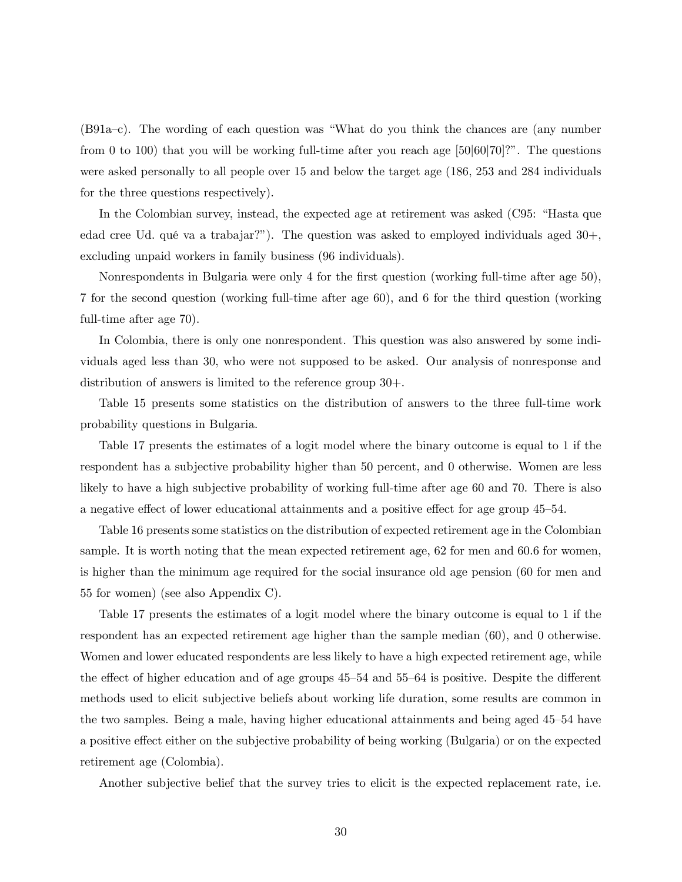(B91a—c). The wording of each question was "What do you think the chances are (any number from 0 to 100) that you will be working full-time after you reach age [50|60|70]?". The questions were asked personally to all people over 15 and below the target age (186, 253 and 284 individuals for the three questions respectively).

In the Colombian survey, instead, the expected age at retirement was asked (C95: "Hasta que edad cree Ud. qué va a trabajar?"). The question was asked to employed individuals aged  $30+$ , excluding unpaid workers in family business (96 individuals).

Nonrespondents in Bulgaria were only 4 for the first question (working full-time after age 50), 7 for the second question (working full-time after age 60), and 6 for the third question (working full-time after age 70).

In Colombia, there is only one nonrespondent. This question was also answered by some individuals aged less than 30, who were not supposed to be asked. Our analysis of nonresponse and distribution of answers is limited to the reference group 30+.

Table 15 presents some statistics on the distribution of answers to the three full-time work probability questions in Bulgaria.

Table 17 presents the estimates of a logit model where the binary outcome is equal to 1 if the respondent has a subjective probability higher than 50 percent, and 0 otherwise. Women are less likely to have a high subjective probability of working full-time after age 60 and 70. There is also a negative effect of lower educational attainments and a positive effect for age group 45—54.

Table 16 presents some statistics on the distribution of expected retirement age in the Colombian sample. It is worth noting that the mean expected retirement age, 62 for men and 60.6 for women, is higher than the minimum age required for the social insurance old age pension (60 for men and 55 for women) (see also Appendix C).

Table 17 presents the estimates of a logit model where the binary outcome is equal to 1 if the respondent has an expected retirement age higher than the sample median (60), and 0 otherwise. Women and lower educated respondents are less likely to have a high expected retirement age, while the effect of higher education and of age groups 45—54 and 55—64 is positive. Despite the different methods used to elicit subjective beliefs about working life duration, some results are common in the two samples. Being a male, having higher educational attainments and being aged 45—54 have a positive effect either on the subjective probability of being working (Bulgaria) or on the expected retirement age (Colombia).

Another subjective belief that the survey tries to elicit is the expected replacement rate, i.e.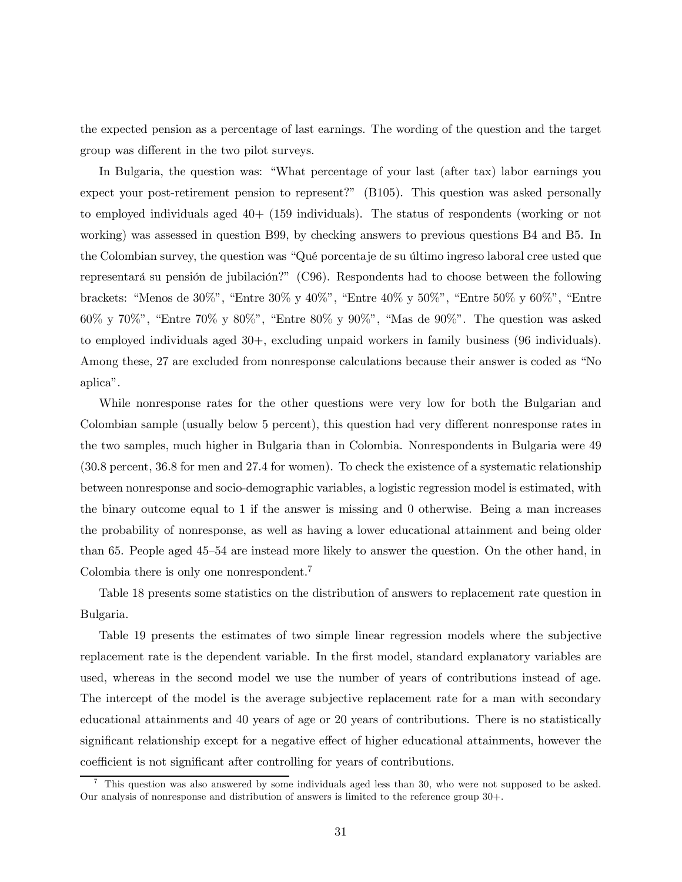the expected pension as a percentage of last earnings. The wording of the question and the target group was different in the two pilot surveys.

In Bulgaria, the question was: "What percentage of your last (after tax) labor earnings you expect your post-retirement pension to represent?" (B105). This question was asked personally to employed individuals aged 40+ (159 individuals). The status of respondents (working or not working) was assessed in question B99, by checking answers to previous questions B4 and B5. In the Colombian survey, the question was "Qué porcentaje de su último ingreso laboral cree usted que representará su pensión de jubilación?" (C96). Respondents had to choose between the following brackets: "Menos de 30%", "Entre 30% y 40%", "Entre 40% y 50%", "Entre 50% y 60%", "Entre 60% y 70%", "Entre 70% y 80%", "Entre 80% y 90%", "Mas de 90%". The question was asked to employed individuals aged 30+, excluding unpaid workers in family business (96 individuals). Among these, 27 are excluded from nonresponse calculations because their answer is coded as "No aplica".

While nonresponse rates for the other questions were very low for both the Bulgarian and Colombian sample (usually below 5 percent), this question had very different nonresponse rates in the two samples, much higher in Bulgaria than in Colombia. Nonrespondents in Bulgaria were 49 (30.8 percent, 36.8 for men and 27.4 for women). To check the existence of a systematic relationship between nonresponse and socio-demographic variables, a logistic regression model is estimated, with the binary outcome equal to 1 if the answer is missing and 0 otherwise. Being a man increases the probability of nonresponse, as well as having a lower educational attainment and being older than 65. People aged 45—54 are instead more likely to answer the question. On the other hand, in Colombia there is only one nonrespondent.<sup>7</sup>

Table 18 presents some statistics on the distribution of answers to replacement rate question in Bulgaria.

Table 19 presents the estimates of two simple linear regression models where the subjective replacement rate is the dependent variable. In the first model, standard explanatory variables are used, whereas in the second model we use the number of years of contributions instead of age. The intercept of the model is the average subjective replacement rate for a man with secondary educational attainments and 40 years of age or 20 years of contributions. There is no statistically significant relationship except for a negative effect of higher educational attainments, however the coefficient is not significant after controlling for years of contributions.

<sup>7</sup> This question was also answered by some individuals aged less than 30, who were not supposed to be asked. Our analysis of nonresponse and distribution of answers is limited to the reference group 30+.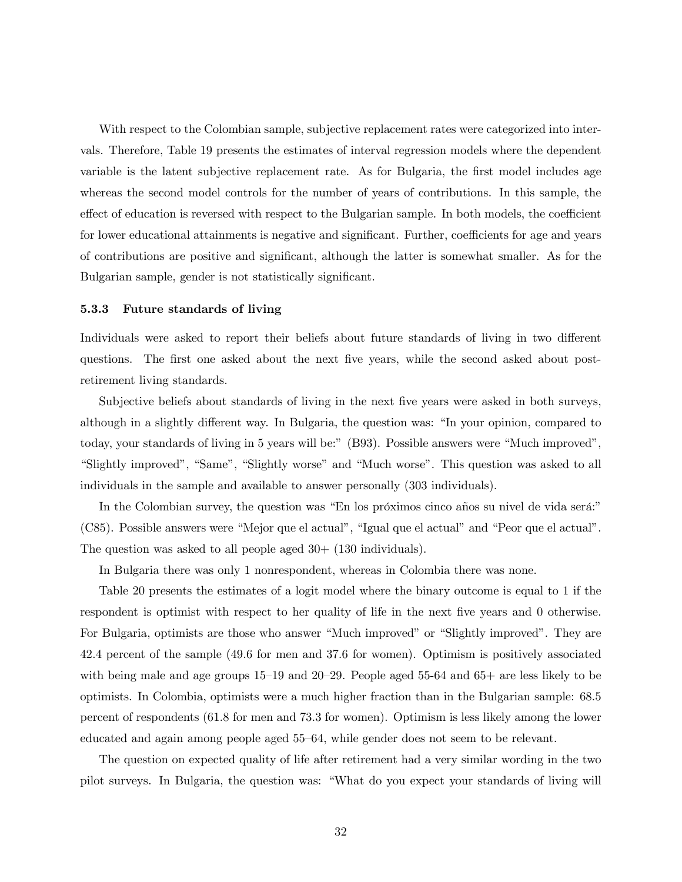With respect to the Colombian sample, subjective replacement rates were categorized into intervals. Therefore, Table 19 presents the estimates of interval regression models where the dependent variable is the latent subjective replacement rate. As for Bulgaria, the first model includes age whereas the second model controls for the number of years of contributions. In this sample, the effect of education is reversed with respect to the Bulgarian sample. In both models, the coefficient for lower educational attainments is negative and significant. Further, coefficients for age and years of contributions are positive and significant, although the latter is somewhat smaller. As for the Bulgarian sample, gender is not statistically significant.

#### 5.3.3 Future standards of living

Individuals were asked to report their beliefs about future standards of living in two different questions. The first one asked about the next five years, while the second asked about postretirement living standards.

Subjective beliefs about standards of living in the next five years were asked in both surveys, although in a slightly different way. In Bulgaria, the question was: "In your opinion, compared to today, your standards of living in 5 years will be:" (B93). Possible answers were "Much improved", "Slightly improved", "Same", "Slightly worse" and "Much worse". This question was asked to all individuals in the sample and available to answer personally (303 individuals).

In the Colombian survey, the question was "En los próximos cinco años su nivel de vida será:" (C85). Possible answers were "Mejor que el actual", "Igual que el actual" and "Peor que el actual". The question was asked to all people aged  $30+$  (130 individuals).

In Bulgaria there was only 1 nonrespondent, whereas in Colombia there was none.

Table 20 presents the estimates of a logit model where the binary outcome is equal to 1 if the respondent is optimist with respect to her quality of life in the next five years and 0 otherwise. For Bulgaria, optimists are those who answer "Much improved" or "Slightly improved". They are 42.4 percent of the sample (49.6 for men and 37.6 for women). Optimism is positively associated with being male and age groups  $15-19$  and  $20-29$ . People aged  $55-64$  and  $65+$  are less likely to be optimists. In Colombia, optimists were a much higher fraction than in the Bulgarian sample: 68.5 percent of respondents (61.8 for men and 73.3 for women). Optimism is less likely among the lower educated and again among people aged 55—64, while gender does not seem to be relevant.

The question on expected quality of life after retirement had a very similar wording in the two pilot surveys. In Bulgaria, the question was: "What do you expect your standards of living will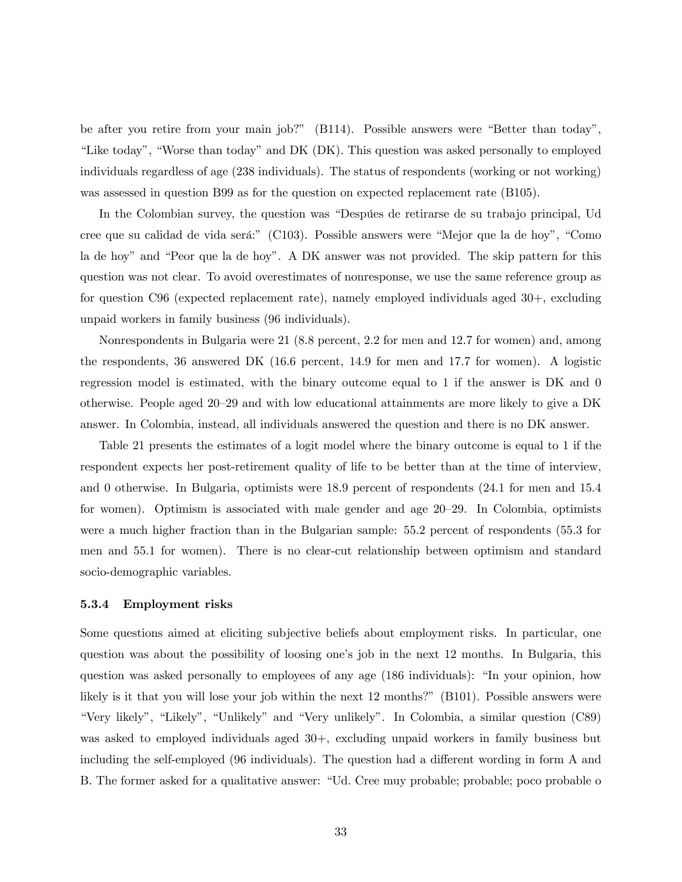be after you retire from your main job?" (B114). Possible answers were "Better than today", "Like today", "Worse than today" and DK (DK). This question was asked personally to employed individuals regardless of age (238 individuals). The status of respondents (working or not working) was assessed in question B99 as for the question on expected replacement rate (B105).

In the Colombian survey, the question was "Despúes de retirarse de su trabajo principal, Ud cree que su calidad de vida será:" (C103). Possible answers were "Mejor que la de hoy", "Como la de hoy" and "Peor que la de hoy". A DK answer was not provided. The skip pattern for this question was not clear. To avoid overestimates of nonresponse, we use the same reference group as for question C96 (expected replacement rate), namely employed individuals aged 30+, excluding unpaid workers in family business (96 individuals).

Nonrespondents in Bulgaria were 21 (8.8 percent, 2.2 for men and 12.7 for women) and, among the respondents, 36 answered DK (16.6 percent, 14.9 for men and 17.7 for women). A logistic regression model is estimated, with the binary outcome equal to 1 if the answer is DK and 0 otherwise. People aged 20—29 and with low educational attainments are more likely to give a DK answer. In Colombia, instead, all individuals answered the question and there is no DK answer.

Table 21 presents the estimates of a logit model where the binary outcome is equal to 1 if the respondent expects her post-retirement quality of life to be better than at the time of interview, and 0 otherwise. In Bulgaria, optimists were 18.9 percent of respondents (24.1 for men and 15.4 for women). Optimism is associated with male gender and age 20—29. In Colombia, optimists were a much higher fraction than in the Bulgarian sample: 55.2 percent of respondents (55.3 for men and 55.1 for women). There is no clear-cut relationship between optimism and standard socio-demographic variables.

#### 5.3.4 Employment risks

Some questions aimed at eliciting subjective beliefs about employment risks. In particular, one question was about the possibility of loosing one's job in the next 12 months. In Bulgaria, this question was asked personally to employees of any age (186 individuals): "In your opinion, how likely is it that you will lose your job within the next 12 months?" (B101). Possible answers were "Very likely", "Likely", "Unlikely" and "Very unlikely". In Colombia, a similar question (C89) was asked to employed individuals aged 30+, excluding unpaid workers in family business but including the self-employed (96 individuals). The question had a different wording in form A and B. The former asked for a qualitative answer: "Ud. Cree muy probable; probable; poco probable o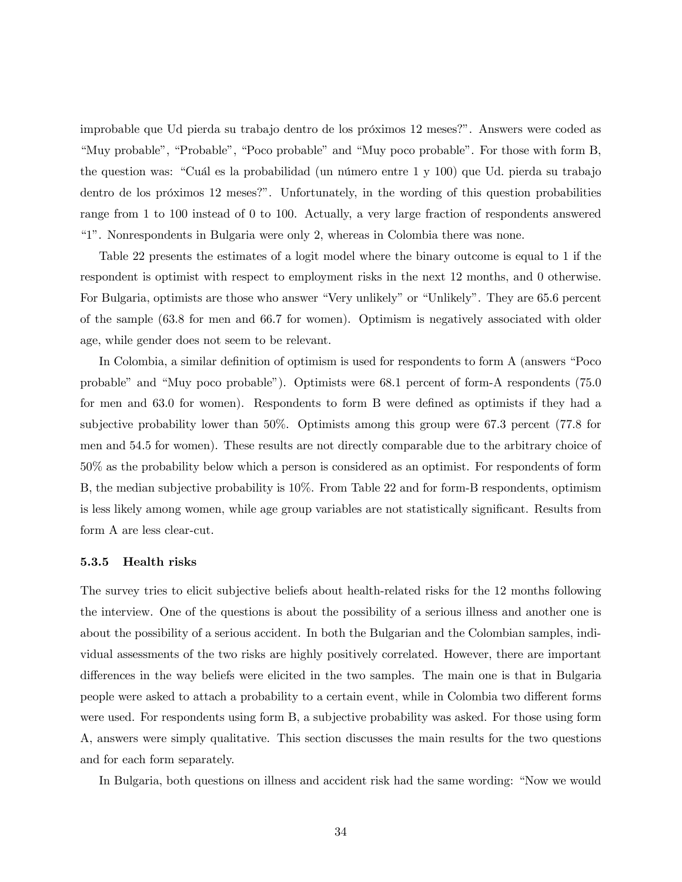improbable que Ud pierda su trabajo dentro de los próximos 12 meses?". Answers were coded as "Muy probable", "Probable", "Poco probable" and "Muy poco probable". For those with form B, the question was: "Cuál es la probabilidad (un número entre 1 y 100) que Ud. pierda su trabajo dentro de los próximos 12 meses?". Unfortunately, in the wording of this question probabilities range from 1 to 100 instead of 0 to 100. Actually, a very large fraction of respondents answered "1". Nonrespondents in Bulgaria were only 2, whereas in Colombia there was none.

Table 22 presents the estimates of a logit model where the binary outcome is equal to 1 if the respondent is optimist with respect to employment risks in the next 12 months, and 0 otherwise. For Bulgaria, optimists are those who answer "Very unlikely" or "Unlikely". They are 65.6 percent of the sample (63.8 for men and 66.7 for women). Optimism is negatively associated with older age, while gender does not seem to be relevant.

In Colombia, a similar definition of optimism is used for respondents to form A (answers "Poco probable" and "Muy poco probable"). Optimists were 68.1 percent of form-A respondents (75.0 for men and 63.0 for women). Respondents to form B were defined as optimists if they had a subjective probability lower than 50%. Optimists among this group were 67.3 percent (77.8 for men and 54.5 for women). These results are not directly comparable due to the arbitrary choice of 50% as the probability below which a person is considered as an optimist. For respondents of form B, the median subjective probability is 10%. From Table 22 and for form-B respondents, optimism is less likely among women, while age group variables are not statistically significant. Results from form A are less clear-cut.

#### 5.3.5 Health risks

The survey tries to elicit subjective beliefs about health-related risks for the 12 months following the interview. One of the questions is about the possibility of a serious illness and another one is about the possibility of a serious accident. In both the Bulgarian and the Colombian samples, individual assessments of the two risks are highly positively correlated. However, there are important differences in the way beliefs were elicited in the two samples. The main one is that in Bulgaria people were asked to attach a probability to a certain event, while in Colombia two different forms were used. For respondents using form B, a subjective probability was asked. For those using form A, answers were simply qualitative. This section discusses the main results for the two questions and for each form separately.

In Bulgaria, both questions on illness and accident risk had the same wording: "Now we would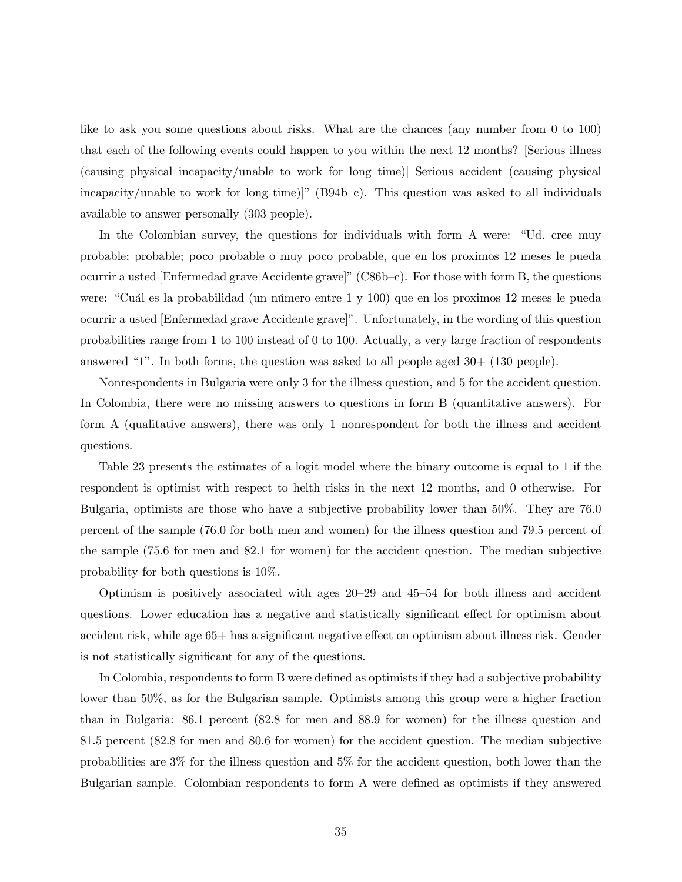like to ask you some questions about risks. What are the chances (any number from 0 to 100) that each of the following events could happen to you within the next 12 months? [Serious illness (causing physical incapacity/unable to work for long time)| Serious accident (causing physical incapacity/unable to work for long time)]" (B94b—c). This question was asked to all individuals available to answer personally (303 people).

In the Colombian survey, the questions for individuals with form A were: "Ud. cree muy probable; probable; poco probable o muy poco probable, que en los proximos 12 meses le pueda ocurrir a usted [Enfermedad grave|Accidente grave]" (C86b—c). For those with form B, the questions were: "Cuál es la probabilidad (un número entre 1 y 100) que en los proximos 12 meses le pueda ocurrir a usted [Enfermedad grave|Accidente grave]". Unfortunately, in the wording of this question probabilities range from 1 to 100 instead of 0 to 100. Actually, a very large fraction of respondents answered "1". In both forms, the question was asked to all people aged 30+ (130 people).

Nonrespondents in Bulgaria were only 3 for the illness question, and 5 for the accident question. In Colombia, there were no missing answers to questions in form B (quantitative answers). For form A (qualitative answers), there was only 1 nonrespondent for both the illness and accident questions.

Table 23 presents the estimates of a logit model where the binary outcome is equal to 1 if the respondent is optimist with respect to helth risks in the next 12 months, and 0 otherwise. For Bulgaria, optimists are those who have a subjective probability lower than 50%. They are 76.0 percent of the sample (76.0 for both men and women) for the illness question and 79.5 percent of the sample (75.6 for men and 82.1 for women) for the accident question. The median subjective probability for both questions is 10%.

Optimism is positively associated with ages 20—29 and 45—54 for both illness and accident questions. Lower education has a negative and statistically significant effect for optimism about accident risk, while age 65+ has a significant negative effect on optimism about illness risk. Gender is not statistically significant for any of the questions.

In Colombia, respondents to form B were defined as optimists if they had a subjective probability lower than 50%, as for the Bulgarian sample. Optimists among this group were a higher fraction than in Bulgaria: 86.1 percent (82.8 for men and 88.9 for women) for the illness question and 81.5 percent (82.8 for men and 80.6 for women) for the accident question. The median subjective probabilities are 3% for the illness question and 5% for the accident question, both lower than the Bulgarian sample. Colombian respondents to form A were defined as optimists if they answered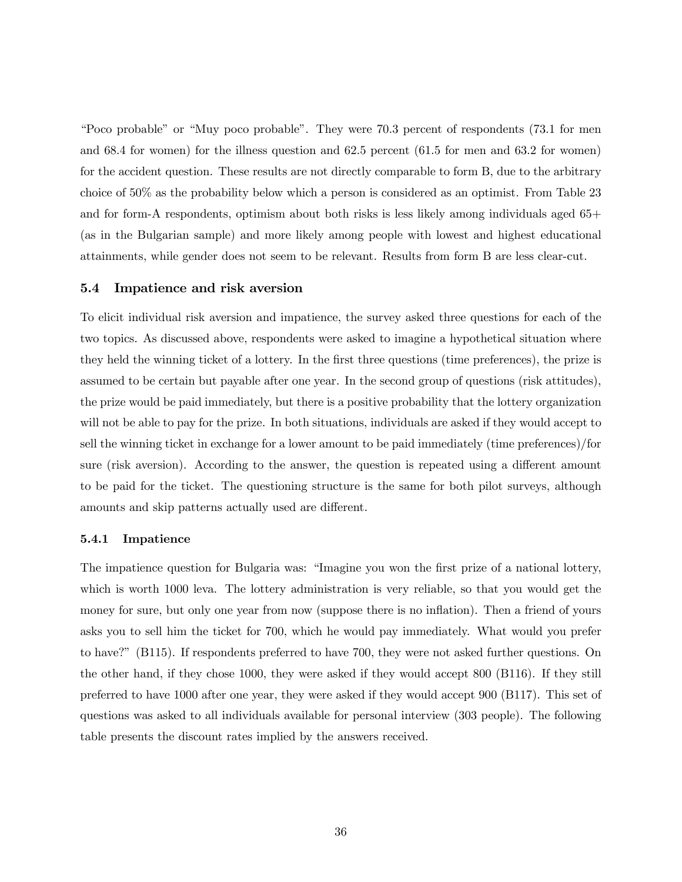"Poco probable" or "Muy poco probable". They were 70.3 percent of respondents (73.1 for men and 68.4 for women) for the illness question and 62.5 percent (61.5 for men and 63.2 for women) for the accident question. These results are not directly comparable to form B, due to the arbitrary choice of 50% as the probability below which a person is considered as an optimist. From Table 23 and for form-A respondents, optimism about both risks is less likely among individuals aged 65+ (as in the Bulgarian sample) and more likely among people with lowest and highest educational attainments, while gender does not seem to be relevant. Results from form B are less clear-cut.

## 5.4 Impatience and risk aversion

To elicit individual risk aversion and impatience, the survey asked three questions for each of the two topics. As discussed above, respondents were asked to imagine a hypothetical situation where they held the winning ticket of a lottery. In the first three questions (time preferences), the prize is assumed to be certain but payable after one year. In the second group of questions (risk attitudes), the prize would be paid immediately, but there is a positive probability that the lottery organization will not be able to pay for the prize. In both situations, individuals are asked if they would accept to sell the winning ticket in exchange for a lower amount to be paid immediately (time preferences)/for sure (risk aversion). According to the answer, the question is repeated using a different amount to be paid for the ticket. The questioning structure is the same for both pilot surveys, although amounts and skip patterns actually used are different.

### 5.4.1 Impatience

The impatience question for Bulgaria was: "Imagine you won the first prize of a national lottery, which is worth 1000 leva. The lottery administration is very reliable, so that you would get the money for sure, but only one year from now (suppose there is no inflation). Then a friend of yours asks you to sell him the ticket for 700, which he would pay immediately. What would you prefer to have?" (B115). If respondents preferred to have 700, they were not asked further questions. On the other hand, if they chose 1000, they were asked if they would accept 800 (B116). If they still preferred to have 1000 after one year, they were asked if they would accept 900 (B117). This set of questions was asked to all individuals available for personal interview (303 people). The following table presents the discount rates implied by the answers received.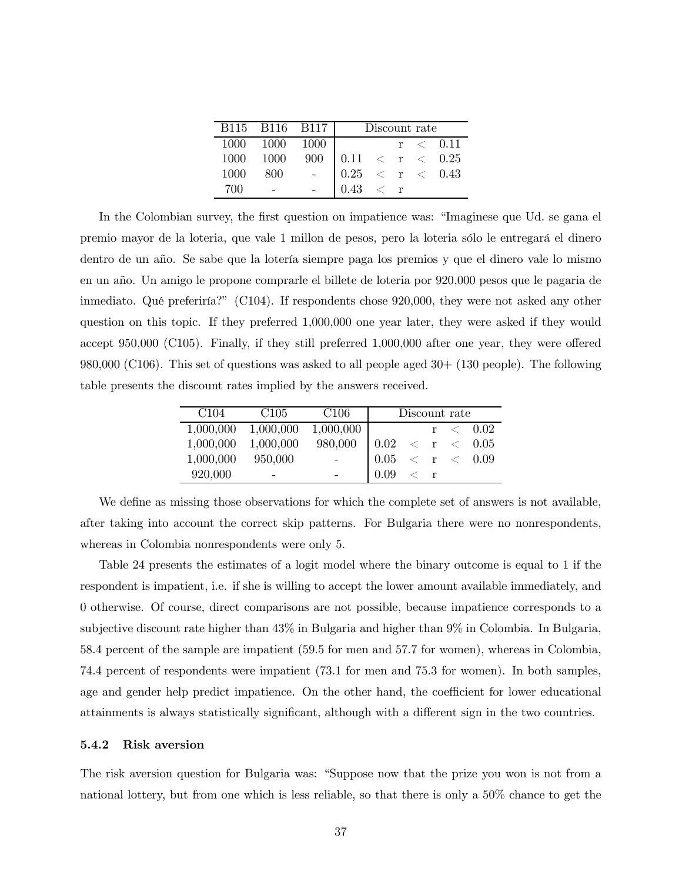|           |                      | B115 B116 B117 | Discount rate                                                                                             |                   |  |  |                    |  |  |
|-----------|----------------------|----------------|-----------------------------------------------------------------------------------------------------------|-------------------|--|--|--------------------|--|--|
|           | $1000$ $1000$ $1000$ |                |                                                                                                           |                   |  |  | $\rm r ~ < ~ 0.11$ |  |  |
| 1000 1000 |                      |                |                                                                                                           |                   |  |  |                    |  |  |
| 1000      | 800                  |                | $\begin{array}{c cccc} 900 & 0.11 & < & \text{r} & < & 0.25 \ 0.25 & < & \text{r} & < & 0.43 \end{array}$ |                   |  |  |                    |  |  |
| 700       |                      |                | $\mid$ 0.43                                                                                               | $\langle \quad$ r |  |  |                    |  |  |

In the Colombian survey, the first question on impatience was: "Imaginese que Ud. se gana el premio mayor de la loteria, que vale 1 millon de pesos, pero la loteria sólo le entregará el dinero dentro de un año. Se sabe que la lotería siempre paga los premios y que el dinero vale lo mismo en un año. Un amigo le propone comprarle el billete de loteria por 920,000 pesos que le pagaria de inmediato. Qué preferiría?" (C104). If respondents chose 920,000, they were not asked any other question on this topic. If they preferred 1,000,000 one year later, they were asked if they would accept 950,000 (C105). Finally, if they still preferred 1,000,000 after one year, they were offered 980,000 (C106). This set of questions was asked to all people aged 30+ (130 people). The following table presents the discount rates implied by the answers received.

| C <sub>104</sub> | C <sub>105</sub> | C <sub>106</sub>         | Discount rate |  |  |  |                        |
|------------------|------------------|--------------------------|---------------|--|--|--|------------------------|
| 1,000,000        | 1,000,000        | 1,000,000                |               |  |  |  | $\langle 0.02 \rangle$ |
| 1,000,000        | 1,000,000        | 980,000                  | 0.02          |  |  |  | $\rm <\ r\ <\ 0.05$    |
| 1,000,000        | 950,000          |                          | 0.05          |  |  |  | $<$ r $<$ 0.09         |
| 920,000          |                  | $\overline{\phantom{0}}$ | 0.09          |  |  |  |                        |

We define as missing those observations for which the complete set of answers is not available, after taking into account the correct skip patterns. For Bulgaria there were no nonrespondents, whereas in Colombia nonrespondents were only 5.

Table 24 presents the estimates of a logit model where the binary outcome is equal to 1 if the respondent is impatient, i.e. if she is willing to accept the lower amount available immediately, and 0 otherwise. Of course, direct comparisons are not possible, because impatience corresponds to a subjective discount rate higher than 43% in Bulgaria and higher than 9% in Colombia. In Bulgaria, 58.4 percent of the sample are impatient (59.5 for men and 57.7 for women), whereas in Colombia, 74.4 percent of respondents were impatient (73.1 for men and 75.3 for women). In both samples, age and gender help predict impatience. On the other hand, the coefficient for lower educational attainments is always statistically significant, although with a different sign in the two countries.

#### 5.4.2 Risk aversion

The risk aversion question for Bulgaria was: "Suppose now that the prize you won is not from a national lottery, but from one which is less reliable, so that there is only a 50% chance to get the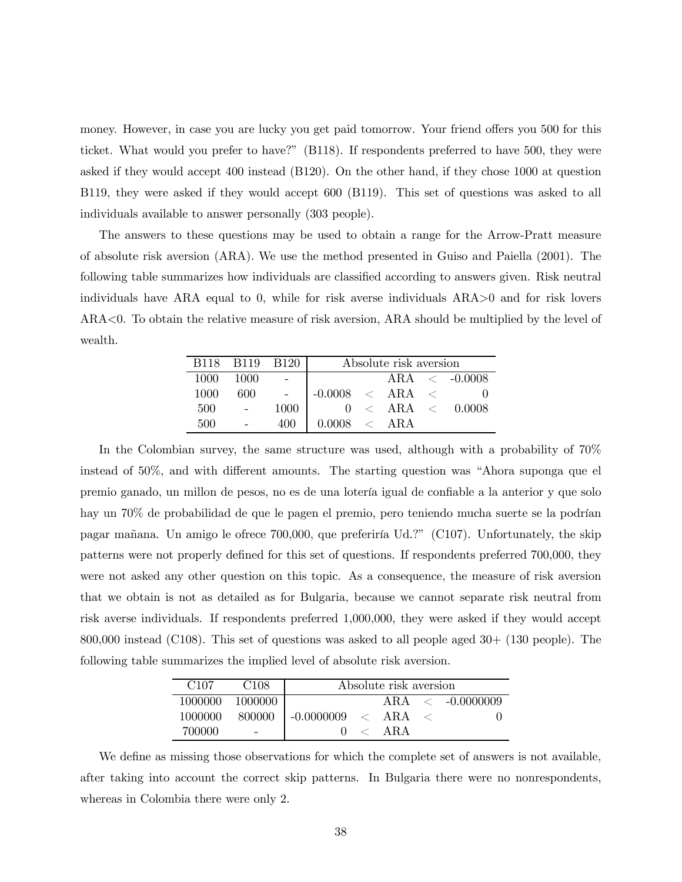money. However, in case you are lucky you get paid tomorrow. Your friend offers you 500 for this ticket. What would you prefer to have?" (B118). If respondents preferred to have 500, they were asked if they would accept 400 instead (B120). On the other hand, if they chose 1000 at question B119, they were asked if they would accept 600 (B119). This set of questions was asked to all individuals available to answer personally (303 people).

The answers to these questions may be used to obtain a range for the Arrow-Pratt measure of absolute risk aversion (ARA). We use the method presented in Guiso and Paiella (2001). The following table summarizes how individuals are classified according to answers given. Risk neutral individuals have ARA equal to 0, while for risk averse individuals ARA>0 and for risk lovers ARA<0. To obtain the relative measure of risk aversion, ARA should be multiplied by the level of wealth.

|      | B <sub>118</sub> B <sub>119</sub> B <sub>120</sub> |      | Absolute risk aversion |  |  |  |                    |  |  |
|------|----------------------------------------------------|------|------------------------|--|--|--|--------------------|--|--|
| 1000 | - 1000                                             |      |                        |  |  |  | $ARA \leq -0.0008$ |  |  |
| 1000 | 600                                                |      | $-0.0008$ < ARA <      |  |  |  |                    |  |  |
| 500  |                                                    | 1000 | $\mathbf{U}$           |  |  |  | $<$ ARA $<$ 0.0008 |  |  |
| 500  |                                                    | 400  | $0.0008 \leq ARA$      |  |  |  |                    |  |  |

In the Colombian survey, the same structure was used, although with a probability of 70% instead of 50%, and with different amounts. The starting question was "Ahora suponga que el premio ganado, un millon de pesos, no es de una lotería igual de confiable a la anterior y que solo hay un 70% de probabilidad de que le pagen el premio, pero teniendo mucha suerte se la podrían pagar mañana. Un amigo le ofrece 700,000, que preferiría Ud.?" (C107). Unfortunately, the skip patterns were not properly defined for this set of questions. If respondents preferred 700,000, they were not asked any other question on this topic. As a consequence, the measure of risk aversion that we obtain is not as detailed as for Bulgaria, because we cannot separate risk neutral from risk averse individuals. If respondents preferred 1,000,000, they were asked if they would accept 800,000 instead (C108). This set of questions was asked to all people aged 30+ (130 people). The following table summarizes the implied level of absolute risk aversion.

| C107    | C <sub>108</sub> | Absolute risk aversion      |  |              |  |                       |  |  |
|---------|------------------|-----------------------------|--|--------------|--|-----------------------|--|--|
| 1000000 | 1000000          |                             |  |              |  | $ARA \leq -0.0000009$ |  |  |
| 1000000 |                  | $800000$   -0.0000009 < ARA |  |              |  |                       |  |  |
| 700000  |                  |                             |  | $\angle$ ARA |  |                       |  |  |

We define as missing those observations for which the complete set of answers is not available, after taking into account the correct skip patterns. In Bulgaria there were no nonrespondents, whereas in Colombia there were only 2.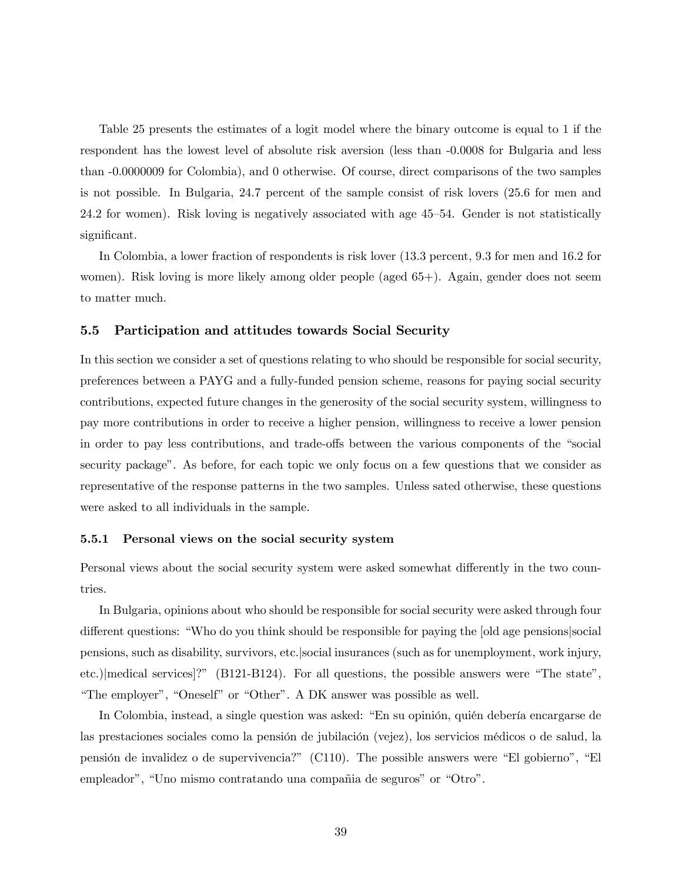Table 25 presents the estimates of a logit model where the binary outcome is equal to 1 if the respondent has the lowest level of absolute risk aversion (less than -0.0008 for Bulgaria and less than -0.0000009 for Colombia), and 0 otherwise. Of course, direct comparisons of the two samples is not possible. In Bulgaria, 24.7 percent of the sample consist of risk lovers (25.6 for men and 24.2 for women). Risk loving is negatively associated with age 45—54. Gender is not statistically significant.

In Colombia, a lower fraction of respondents is risk lover (13.3 percent, 9.3 for men and 16.2 for women). Risk loving is more likely among older people (aged 65+). Again, gender does not seem to matter much.

## 5.5 Participation and attitudes towards Social Security

In this section we consider a set of questions relating to who should be responsible for social security, preferences between a PAYG and a fully-funded pension scheme, reasons for paying social security contributions, expected future changes in the generosity of the social security system, willingness to pay more contributions in order to receive a higher pension, willingness to receive a lower pension in order to pay less contributions, and trade-offs between the various components of the "social security package". As before, for each topic we only focus on a few questions that we consider as representative of the response patterns in the two samples. Unless sated otherwise, these questions were asked to all individuals in the sample.

### 5.5.1 Personal views on the social security system

Personal views about the social security system were asked somewhat differently in the two countries.

In Bulgaria, opinions about who should be responsible for social security were asked through four different questions: "Who do you think should be responsible for paying the [old age pensions|social pensions, such as disability, survivors, etc.|social insurances (such as for unemployment, work injury, etc.)|medical services]?" (B121-B124). For all questions, the possible answers were "The state", "The employer", "Oneself" or "Other". A DK answer was possible as well.

In Colombia, instead, a single question was asked: "En su opinión, quién debería encargarse de las prestaciones sociales como la pensión de jubilación (vejez), los servicios médicos o de salud, la pensión de invalidez o de supervivencia?" (C110). The possible answers were "El gobierno", "El empleador", "Uno mismo contratando una compañia de seguros" or "Otro".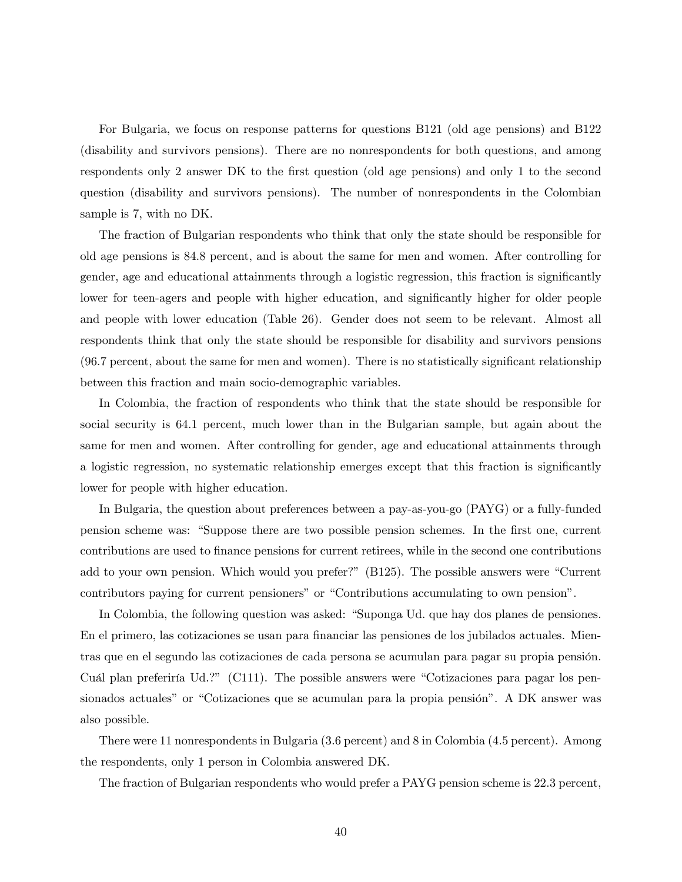For Bulgaria, we focus on response patterns for questions B121 (old age pensions) and B122 (disability and survivors pensions). There are no nonrespondents for both questions, and among respondents only 2 answer DK to the first question (old age pensions) and only 1 to the second question (disability and survivors pensions). The number of nonrespondents in the Colombian sample is 7, with no DK.

The fraction of Bulgarian respondents who think that only the state should be responsible for old age pensions is 84.8 percent, and is about the same for men and women. After controlling for gender, age and educational attainments through a logistic regression, this fraction is significantly lower for teen-agers and people with higher education, and significantly higher for older people and people with lower education (Table 26). Gender does not seem to be relevant. Almost all respondents think that only the state should be responsible for disability and survivors pensions (96.7 percent, about the same for men and women). There is no statistically significant relationship between this fraction and main socio-demographic variables.

In Colombia, the fraction of respondents who think that the state should be responsible for social security is 64.1 percent, much lower than in the Bulgarian sample, but again about the same for men and women. After controlling for gender, age and educational attainments through a logistic regression, no systematic relationship emerges except that this fraction is significantly lower for people with higher education.

In Bulgaria, the question about preferences between a pay-as-you-go (PAYG) or a fully-funded pension scheme was: "Suppose there are two possible pension schemes. In the first one, current contributions are used to finance pensions for current retirees, while in the second one contributions add to your own pension. Which would you prefer?" (B125). The possible answers were "Current contributors paying for current pensioners" or "Contributions accumulating to own pension".

In Colombia, the following question was asked: "Suponga Ud. que hay dos planes de pensiones. En el primero, las cotizaciones se usan para financiar las pensiones de los jubilados actuales. Mientras que en el segundo las cotizaciones de cada persona se acumulan para pagar su propia pensión. Cuál plan preferiría Ud.?" (C111). The possible answers were "Cotizaciones para pagar los pensionados actuales" or "Cotizaciones que se acumulan para la propia pensión". A DK answer was also possible.

There were 11 nonrespondents in Bulgaria (3.6 percent) and 8 in Colombia (4.5 percent). Among the respondents, only 1 person in Colombia answered DK.

The fraction of Bulgarian respondents who would prefer a PAYG pension scheme is 22.3 percent,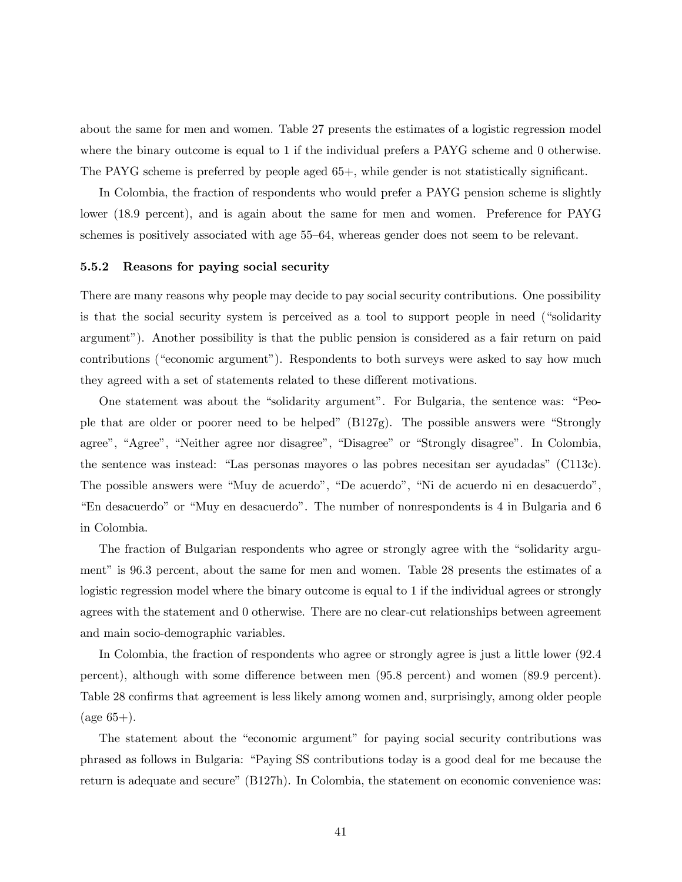about the same for men and women. Table 27 presents the estimates of a logistic regression model where the binary outcome is equal to 1 if the individual prefers a PAYG scheme and 0 otherwise. The PAYG scheme is preferred by people aged  $65+$ , while gender is not statistically significant.

In Colombia, the fraction of respondents who would prefer a PAYG pension scheme is slightly lower (18.9 percent), and is again about the same for men and women. Preference for PAYG schemes is positively associated with age 55—64, whereas gender does not seem to be relevant.

#### 5.5.2 Reasons for paying social security

There are many reasons why people may decide to pay social security contributions. One possibility is that the social security system is perceived as a tool to support people in need ("solidarity argument"). Another possibility is that the public pension is considered as a fair return on paid contributions ("economic argument"). Respondents to both surveys were asked to say how much they agreed with a set of statements related to these different motivations.

One statement was about the "solidarity argument". For Bulgaria, the sentence was: "People that are older or poorer need to be helped" (B127g). The possible answers were "Strongly agree", "Agree", "Neither agree nor disagree", "Disagree" or "Strongly disagree". In Colombia, the sentence was instead: "Las personas mayores o las pobres necesitan ser ayudadas" (C113c). The possible answers were "Muy de acuerdo", "De acuerdo", "Ni de acuerdo ni en desacuerdo", "En desacuerdo" or "Muy en desacuerdo". The number of nonrespondents is 4 in Bulgaria and 6 in Colombia.

The fraction of Bulgarian respondents who agree or strongly agree with the "solidarity argument" is 96.3 percent, about the same for men and women. Table 28 presents the estimates of a logistic regression model where the binary outcome is equal to 1 if the individual agrees or strongly agrees with the statement and 0 otherwise. There are no clear-cut relationships between agreement and main socio-demographic variables.

In Colombia, the fraction of respondents who agree or strongly agree is just a little lower (92.4 percent), although with some difference between men (95.8 percent) and women (89.9 percent). Table 28 confirms that agreement is less likely among women and, surprisingly, among older people  $(\text{age } 65+)$ .

The statement about the "economic argument" for paying social security contributions was phrased as follows in Bulgaria: "Paying SS contributions today is a good deal for me because the return is adequate and secure" (B127h). In Colombia, the statement on economic convenience was: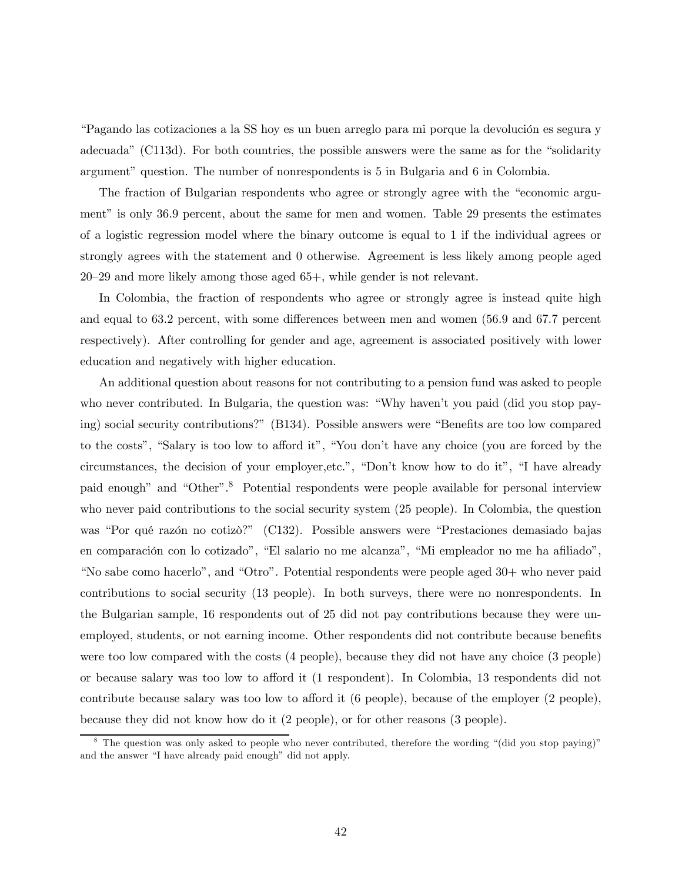"Pagando las cotizaciones a la SS hoy es un buen arreglo para mi porque la devolución es segura y adecuada" (C113d). For both countries, the possible answers were the same as for the "solidarity argument" question. The number of nonrespondents is 5 in Bulgaria and 6 in Colombia.

The fraction of Bulgarian respondents who agree or strongly agree with the "economic argument" is only 36.9 percent, about the same for men and women. Table 29 presents the estimates of a logistic regression model where the binary outcome is equal to 1 if the individual agrees or strongly agrees with the statement and 0 otherwise. Agreement is less likely among people aged 20—29 and more likely among those aged 65+, while gender is not relevant.

In Colombia, the fraction of respondents who agree or strongly agree is instead quite high and equal to 63.2 percent, with some differences between men and women (56.9 and 67.7 percent respectively). After controlling for gender and age, agreement is associated positively with lower education and negatively with higher education.

An additional question about reasons for not contributing to a pension fund was asked to people who never contributed. In Bulgaria, the question was: "Why haven't you paid (did you stop paying) social security contributions?" (B134). Possible answers were "Benefits are too low compared to the costs", "Salary is too low to afford it", "You don't have any choice (you are forced by the circumstances, the decision of your employer,etc.", "Don't know how to do it", "I have already paid enough" and "Other".8 Potential respondents were people available for personal interview who never paid contributions to the social security system (25 people). In Colombia, the question was "Por qué razón no cotizò?" (C132). Possible answers were "Prestaciones demasiado bajas en comparación con lo cotizado", "El salario no me alcanza", "Mi empleador no me ha afiliado", "No sabe como hacerlo", and "Otro". Potential respondents were people aged 30+ who never paid contributions to social security (13 people). In both surveys, there were no nonrespondents. In the Bulgarian sample, 16 respondents out of 25 did not pay contributions because they were unemployed, students, or not earning income. Other respondents did not contribute because benefits were too low compared with the costs (4 people), because they did not have any choice (3 people) or because salary was too low to afford it (1 respondent). In Colombia, 13 respondents did not contribute because salary was too low to afford it (6 people), because of the employer (2 people), because they did not know how do it (2 people), or for other reasons (3 people).

<sup>&</sup>lt;sup>8</sup> The question was only asked to people who never contributed, therefore the wording "(did you stop paying)" and the answer "I have already paid enough" did not apply.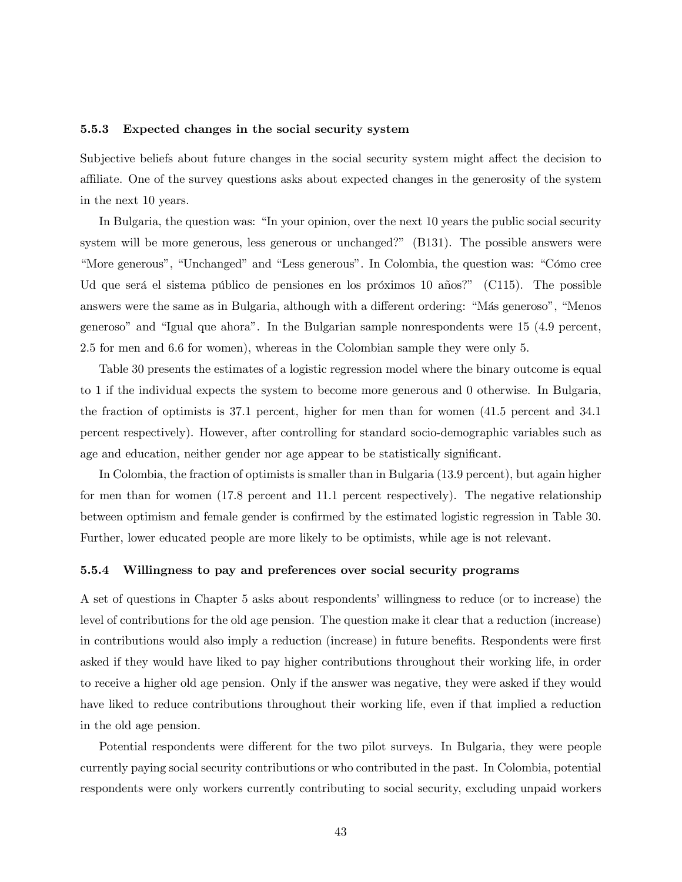#### 5.5.3 Expected changes in the social security system

Subjective beliefs about future changes in the social security system might affect the decision to affiliate. One of the survey questions asks about expected changes in the generosity of the system in the next 10 years.

In Bulgaria, the question was: "In your opinion, over the next 10 years the public social security system will be more generous, less generous or unchanged?" (B131). The possible answers were "More generous", "Unchanged" and "Less generous". In Colombia, the question was: "Cómo cree Ud que será el sistema público de pensiones en los próximos 10 años?" (C115). The possible answers were the same as in Bulgaria, although with a different ordering: "Más generoso", "Menos generoso" and "Igual que ahora". In the Bulgarian sample nonrespondents were 15 (4.9 percent, 2.5 for men and 6.6 for women), whereas in the Colombian sample they were only 5.

Table 30 presents the estimates of a logistic regression model where the binary outcome is equal to 1 if the individual expects the system to become more generous and 0 otherwise. In Bulgaria, the fraction of optimists is 37.1 percent, higher for men than for women (41.5 percent and 34.1 percent respectively). However, after controlling for standard socio-demographic variables such as age and education, neither gender nor age appear to be statistically significant.

In Colombia, the fraction of optimists is smaller than in Bulgaria (13.9 percent), but again higher for men than for women (17.8 percent and 11.1 percent respectively). The negative relationship between optimism and female gender is confirmed by the estimated logistic regression in Table 30. Further, lower educated people are more likely to be optimists, while age is not relevant.

#### 5.5.4 Willingness to pay and preferences over social security programs

A set of questions in Chapter 5 asks about respondents' willingness to reduce (or to increase) the level of contributions for the old age pension. The question make it clear that a reduction (increase) in contributions would also imply a reduction (increase) in future benefits. Respondents were first asked if they would have liked to pay higher contributions throughout their working life, in order to receive a higher old age pension. Only if the answer was negative, they were asked if they would have liked to reduce contributions throughout their working life, even if that implied a reduction in the old age pension.

Potential respondents were different for the two pilot surveys. In Bulgaria, they were people currently paying social security contributions or who contributed in the past. In Colombia, potential respondents were only workers currently contributing to social security, excluding unpaid workers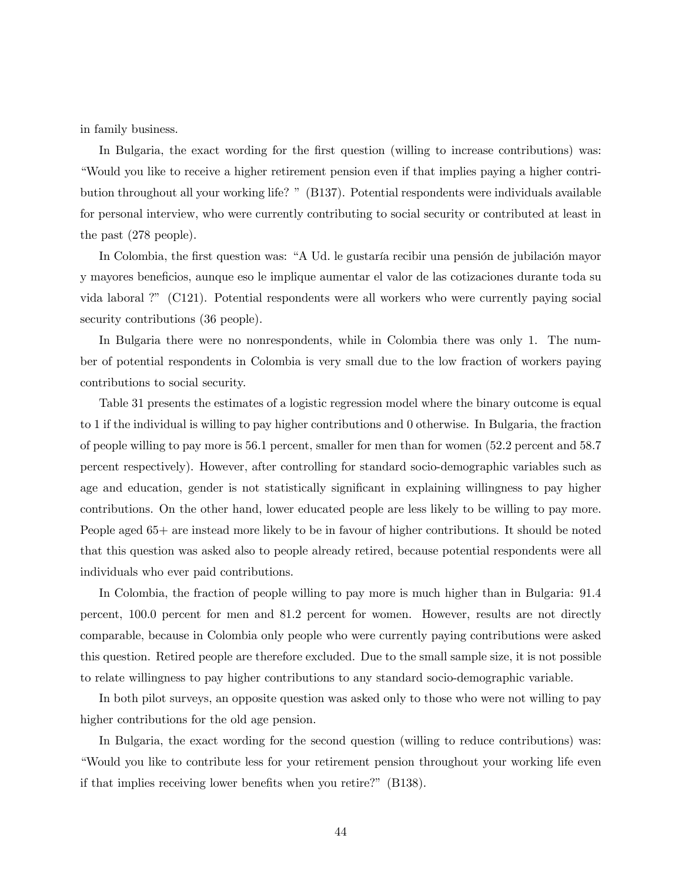in family business.

In Bulgaria, the exact wording for the first question (willing to increase contributions) was: "Would you like to receive a higher retirement pension even if that implies paying a higher contribution throughout all your working life? " (B137). Potential respondents were individuals available for personal interview, who were currently contributing to social security or contributed at least in the past (278 people).

In Colombia, the first question was: "A Ud. le gustaría recibir una pensión de jubilación mayor y mayores beneficios, aunque eso le implique aumentar el valor de las cotizaciones durante toda su vida laboral ?" (C121). Potential respondents were all workers who were currently paying social security contributions (36 people).

In Bulgaria there were no nonrespondents, while in Colombia there was only 1. The number of potential respondents in Colombia is very small due to the low fraction of workers paying contributions to social security.

Table 31 presents the estimates of a logistic regression model where the binary outcome is equal to 1 if the individual is willing to pay higher contributions and 0 otherwise. In Bulgaria, the fraction of people willing to pay more is 56.1 percent, smaller for men than for women (52.2 percent and 58.7 percent respectively). However, after controlling for standard socio-demographic variables such as age and education, gender is not statistically significant in explaining willingness to pay higher contributions. On the other hand, lower educated people are less likely to be willing to pay more. People aged 65+ are instead more likely to be in favour of higher contributions. It should be noted that this question was asked also to people already retired, because potential respondents were all individuals who ever paid contributions.

In Colombia, the fraction of people willing to pay more is much higher than in Bulgaria: 91.4 percent, 100.0 percent for men and 81.2 percent for women. However, results are not directly comparable, because in Colombia only people who were currently paying contributions were asked this question. Retired people are therefore excluded. Due to the small sample size, it is not possible to relate willingness to pay higher contributions to any standard socio-demographic variable.

In both pilot surveys, an opposite question was asked only to those who were not willing to pay higher contributions for the old age pension.

In Bulgaria, the exact wording for the second question (willing to reduce contributions) was: "Would you like to contribute less for your retirement pension throughout your working life even if that implies receiving lower benefits when you retire?" (B138).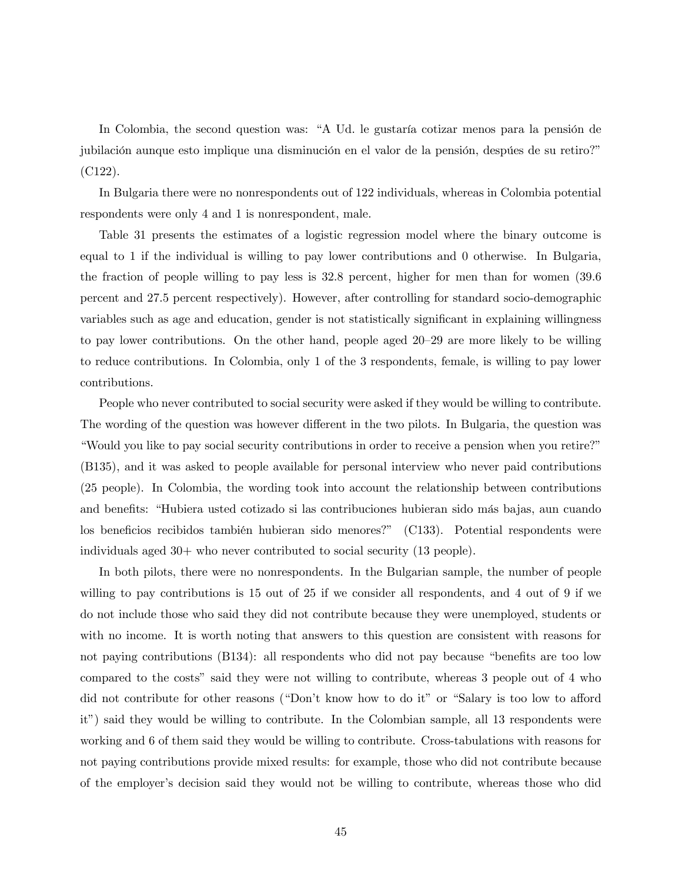In Colombia, the second question was: "A Ud. le gustaría cotizar menos para la pensión de jubilación aunque esto implique una disminución en el valor de la pensión, despúes de su retiro?" (C122).

In Bulgaria there were no nonrespondents out of 122 individuals, whereas in Colombia potential respondents were only 4 and 1 is nonrespondent, male.

Table 31 presents the estimates of a logistic regression model where the binary outcome is equal to 1 if the individual is willing to pay lower contributions and 0 otherwise. In Bulgaria, the fraction of people willing to pay less is 32.8 percent, higher for men than for women (39.6 percent and 27.5 percent respectively). However, after controlling for standard socio-demographic variables such as age and education, gender is not statistically significant in explaining willingness to pay lower contributions. On the other hand, people aged 20—29 are more likely to be willing to reduce contributions. In Colombia, only 1 of the 3 respondents, female, is willing to pay lower contributions.

People who never contributed to social security were asked if they would be willing to contribute. The wording of the question was however different in the two pilots. In Bulgaria, the question was "Would you like to pay social security contributions in order to receive a pension when you retire?" (B135), and it was asked to people available for personal interview who never paid contributions (25 people). In Colombia, the wording took into account the relationship between contributions and benefits: "Hubiera usted cotizado si las contribuciones hubieran sido más bajas, aun cuando los beneficios recibidos también hubieran sido menores?" (C133). Potential respondents were individuals aged 30+ who never contributed to social security (13 people).

In both pilots, there were no nonrespondents. In the Bulgarian sample, the number of people willing to pay contributions is 15 out of 25 if we consider all respondents, and 4 out of 9 if we do not include those who said they did not contribute because they were unemployed, students or with no income. It is worth noting that answers to this question are consistent with reasons for not paying contributions (B134): all respondents who did not pay because "benefits are too low compared to the costs" said they were not willing to contribute, whereas 3 people out of 4 who did not contribute for other reasons ("Don't know how to do it" or "Salary is too low to afford it") said they would be willing to contribute. In the Colombian sample, all 13 respondents were working and 6 of them said they would be willing to contribute. Cross-tabulations with reasons for not paying contributions provide mixed results: for example, those who did not contribute because of the employer's decision said they would not be willing to contribute, whereas those who did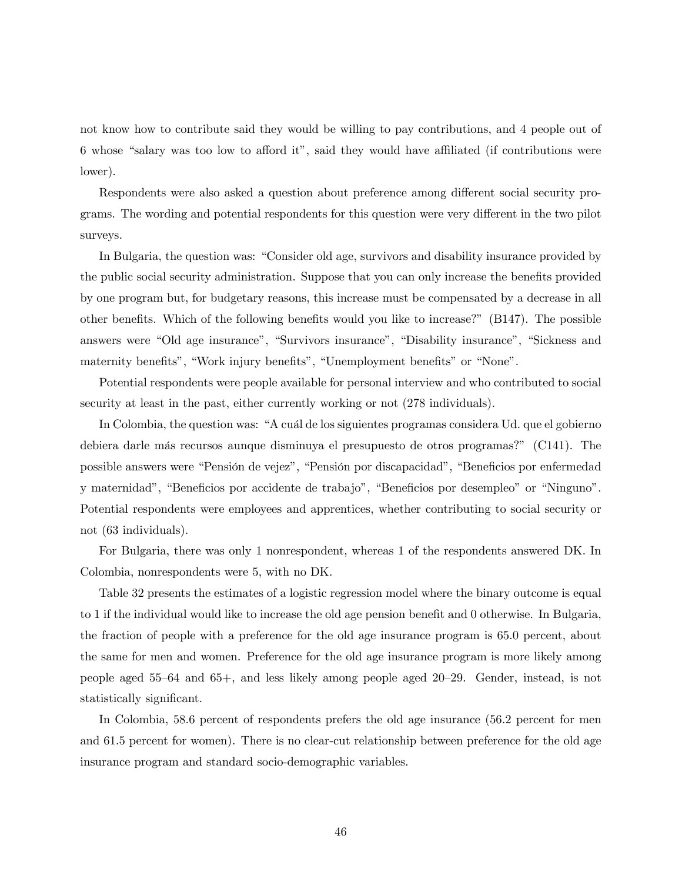not know how to contribute said they would be willing to pay contributions, and 4 people out of 6 whose "salary was too low to afford it", said they would have affiliated (if contributions were lower).

Respondents were also asked a question about preference among different social security programs. The wording and potential respondents for this question were very different in the two pilot surveys.

In Bulgaria, the question was: "Consider old age, survivors and disability insurance provided by the public social security administration. Suppose that you can only increase the benefits provided by one program but, for budgetary reasons, this increase must be compensated by a decrease in all other benefits. Which of the following benefits would you like to increase?" (B147). The possible answers were "Old age insurance", "Survivors insurance", "Disability insurance", "Sickness and maternity benefits", "Work injury benefits", "Unemployment benefits" or "None".

Potential respondents were people available for personal interview and who contributed to social security at least in the past, either currently working or not (278 individuals).

In Colombia, the question was: "A cuál de los siguientes programas considera Ud. que el gobierno debiera darle más recursos aunque disminuya el presupuesto de otros programas?" (C141). The possible answers were "Pensión de vejez", "Pensión por discapacidad", "Beneficios por enfermedad y maternidad", "Beneficios por accidente de trabajo", "Beneficios por desempleo" or "Ninguno". Potential respondents were employees and apprentices, whether contributing to social security or not (63 individuals).

For Bulgaria, there was only 1 nonrespondent, whereas 1 of the respondents answered DK. In Colombia, nonrespondents were 5, with no DK.

Table 32 presents the estimates of a logistic regression model where the binary outcome is equal to 1 if the individual would like to increase the old age pension benefit and 0 otherwise. In Bulgaria, the fraction of people with a preference for the old age insurance program is 65.0 percent, about the same for men and women. Preference for the old age insurance program is more likely among people aged 55—64 and 65+, and less likely among people aged 20—29. Gender, instead, is not statistically significant.

In Colombia, 58.6 percent of respondents prefers the old age insurance (56.2 percent for men and 61.5 percent for women). There is no clear-cut relationship between preference for the old age insurance program and standard socio-demographic variables.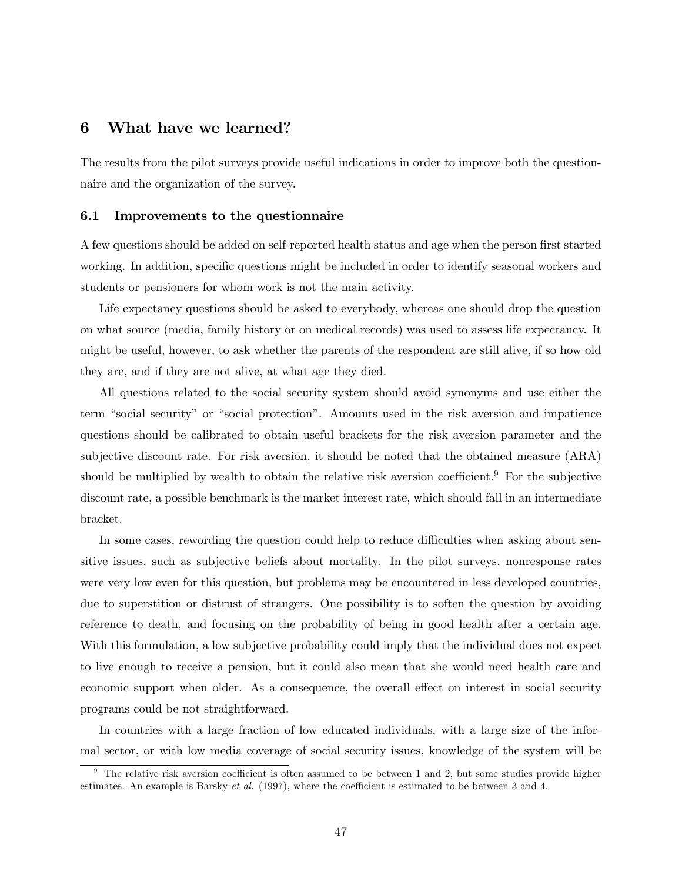# 6 What have we learned?

The results from the pilot surveys provide useful indications in order to improve both the questionnaire and the organization of the survey.

#### 6.1 Improvements to the questionnaire

A few questions should be added on self-reported health status and age when the person first started working. In addition, specific questions might be included in order to identify seasonal workers and students or pensioners for whom work is not the main activity.

Life expectancy questions should be asked to everybody, whereas one should drop the question on what source (media, family history or on medical records) was used to assess life expectancy. It might be useful, however, to ask whether the parents of the respondent are still alive, if so how old they are, and if they are not alive, at what age they died.

All questions related to the social security system should avoid synonyms and use either the term "social security" or "social protection". Amounts used in the risk aversion and impatience questions should be calibrated to obtain useful brackets for the risk aversion parameter and the subjective discount rate. For risk aversion, it should be noted that the obtained measure (ARA) should be multiplied by wealth to obtain the relative risk aversion coefficient.<sup>9</sup> For the subjective discount rate, a possible benchmark is the market interest rate, which should fall in an intermediate bracket.

In some cases, rewording the question could help to reduce difficulties when asking about sensitive issues, such as subjective beliefs about mortality. In the pilot surveys, nonresponse rates were very low even for this question, but problems may be encountered in less developed countries, due to superstition or distrust of strangers. One possibility is to soften the question by avoiding reference to death, and focusing on the probability of being in good health after a certain age. With this formulation, a low subjective probability could imply that the individual does not expect to live enough to receive a pension, but it could also mean that she would need health care and economic support when older. As a consequence, the overall effect on interest in social security programs could be not straightforward.

In countries with a large fraction of low educated individuals, with a large size of the informal sector, or with low media coverage of social security issues, knowledge of the system will be

<sup>&</sup>lt;sup>9</sup> The relative risk aversion coefficient is often assumed to be between 1 and 2, but some studies provide higher estimates. An example is Barsky et al. (1997), where the coefficient is estimated to be between 3 and 4.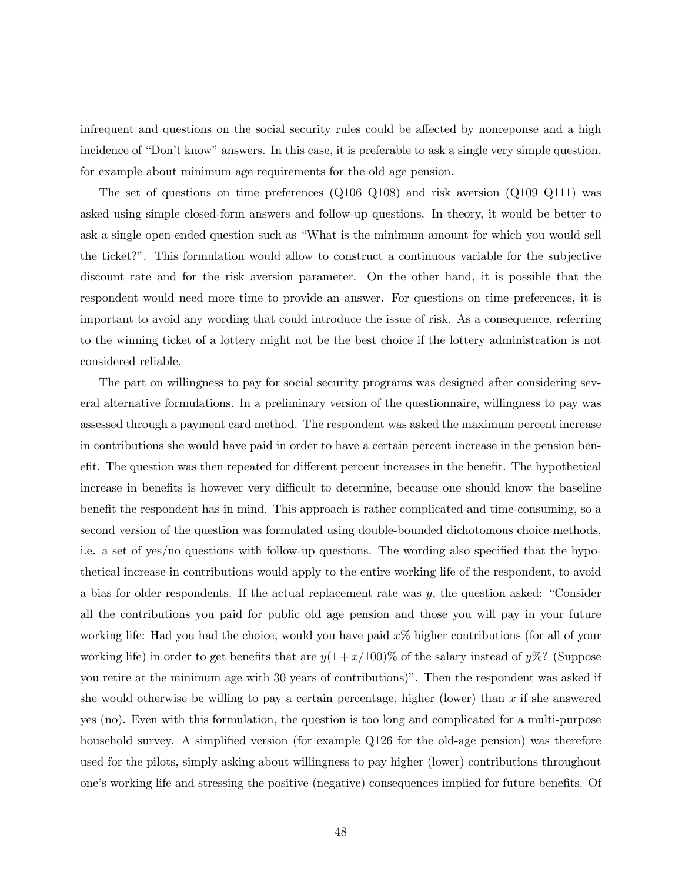infrequent and questions on the social security rules could be affected by nonreponse and a high incidence of "Don't know" answers. In this case, it is preferable to ask a single very simple question, for example about minimum age requirements for the old age pension.

The set of questions on time preferences  $(Q106-Q108)$  and risk aversion  $(Q109-Q111)$  was asked using simple closed-form answers and follow-up questions. In theory, it would be better to ask a single open-ended question such as "What is the minimum amount for which you would sell the ticket?". This formulation would allow to construct a continuous variable for the subjective discount rate and for the risk aversion parameter. On the other hand, it is possible that the respondent would need more time to provide an answer. For questions on time preferences, it is important to avoid any wording that could introduce the issue of risk. As a consequence, referring to the winning ticket of a lottery might not be the best choice if the lottery administration is not considered reliable.

The part on willingness to pay for social security programs was designed after considering several alternative formulations. In a preliminary version of the questionnaire, willingness to pay was assessed through a payment card method. The respondent was asked the maximum percent increase in contributions she would have paid in order to have a certain percent increase in the pension benefit. The question was then repeated for different percent increases in the benefit. The hypothetical increase in benefits is however very difficult to determine, because one should know the baseline benefit the respondent has in mind. This approach is rather complicated and time-consuming, so a second version of the question was formulated using double-bounded dichotomous choice methods, i.e. a set of yes/no questions with follow-up questions. The wording also specified that the hypothetical increase in contributions would apply to the entire working life of the respondent, to avoid a bias for older respondents. If the actual replacement rate was  $y$ , the question asked: "Consider all the contributions you paid for public old age pension and those you will pay in your future working life: Had you had the choice, would you have paid  $x\%$  higher contributions (for all of your working life) in order to get benefits that are  $y(1 + x/100)\%$  of the salary instead of  $y\%$ ? (Suppose you retire at the minimum age with 30 years of contributions)". Then the respondent was asked if she would otherwise be willing to pay a certain percentage, higher (lower) than x if she answered yes (no). Even with this formulation, the question is too long and complicated for a multi-purpose household survey. A simplified version (for example Q126 for the old-age pension) was therefore used for the pilots, simply asking about willingness to pay higher (lower) contributions throughout one's working life and stressing the positive (negative) consequences implied for future benefits. Of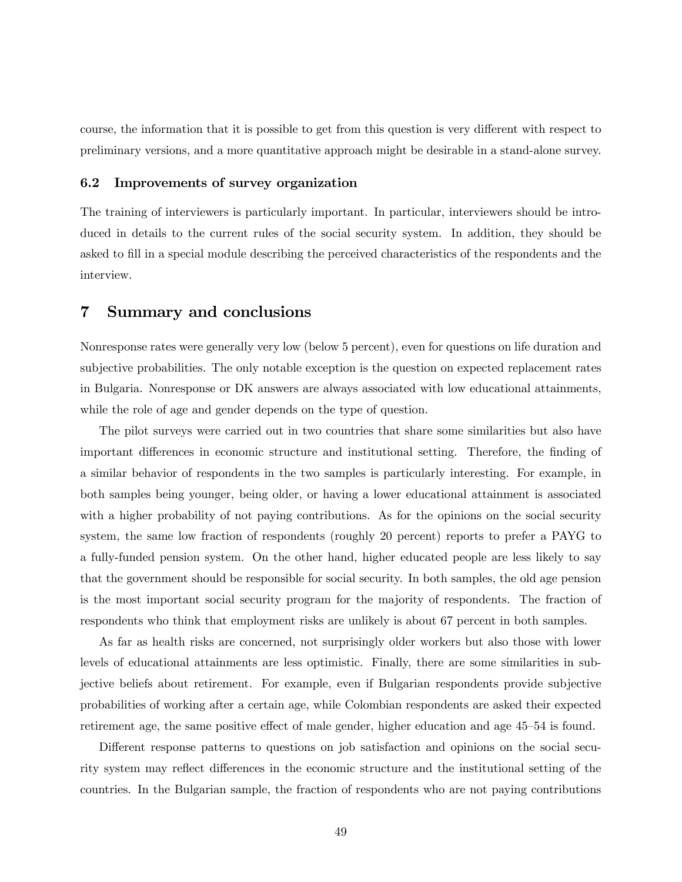course, the information that it is possible to get from this question is very different with respect to preliminary versions, and a more quantitative approach might be desirable in a stand-alone survey.

## 6.2 Improvements of survey organization

The training of interviewers is particularly important. In particular, interviewers should be introduced in details to the current rules of the social security system. In addition, they should be asked to fill in a special module describing the perceived characteristics of the respondents and the interview.

## 7 Summary and conclusions

Nonresponse rates were generally very low (below 5 percent), even for questions on life duration and subjective probabilities. The only notable exception is the question on expected replacement rates in Bulgaria. Nonresponse or DK answers are always associated with low educational attainments, while the role of age and gender depends on the type of question.

The pilot surveys were carried out in two countries that share some similarities but also have important differences in economic structure and institutional setting. Therefore, the finding of a similar behavior of respondents in the two samples is particularly interesting. For example, in both samples being younger, being older, or having a lower educational attainment is associated with a higher probability of not paying contributions. As for the opinions on the social security system, the same low fraction of respondents (roughly 20 percent) reports to prefer a PAYG to a fully-funded pension system. On the other hand, higher educated people are less likely to say that the government should be responsible for social security. In both samples, the old age pension is the most important social security program for the majority of respondents. The fraction of respondents who think that employment risks are unlikely is about 67 percent in both samples.

As far as health risks are concerned, not surprisingly older workers but also those with lower levels of educational attainments are less optimistic. Finally, there are some similarities in subjective beliefs about retirement. For example, even if Bulgarian respondents provide subjective probabilities of working after a certain age, while Colombian respondents are asked their expected retirement age, the same positive effect of male gender, higher education and age 45—54 is found.

Different response patterns to questions on job satisfaction and opinions on the social security system may reflect differences in the economic structure and the institutional setting of the countries. In the Bulgarian sample, the fraction of respondents who are not paying contributions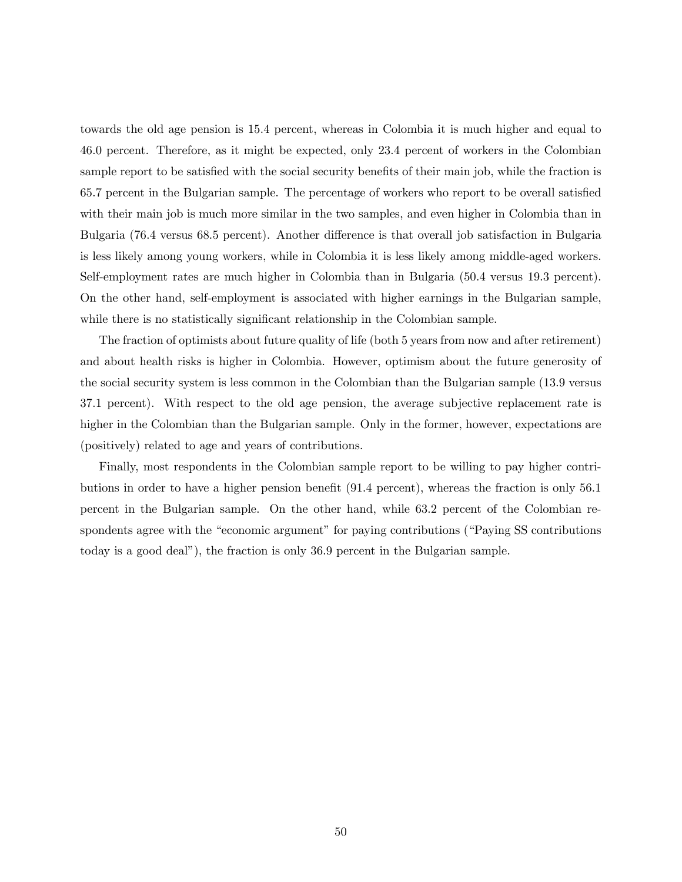towards the old age pension is 15.4 percent, whereas in Colombia it is much higher and equal to 46.0 percent. Therefore, as it might be expected, only 23.4 percent of workers in the Colombian sample report to be satisfied with the social security benefits of their main job, while the fraction is 65.7 percent in the Bulgarian sample. The percentage of workers who report to be overall satisfied with their main job is much more similar in the two samples, and even higher in Colombia than in Bulgaria (76.4 versus 68.5 percent). Another difference is that overall job satisfaction in Bulgaria is less likely among young workers, while in Colombia it is less likely among middle-aged workers. Self-employment rates are much higher in Colombia than in Bulgaria (50.4 versus 19.3 percent). On the other hand, self-employment is associated with higher earnings in the Bulgarian sample, while there is no statistically significant relationship in the Colombian sample.

The fraction of optimists about future quality of life (both 5 years from now and after retirement) and about health risks is higher in Colombia. However, optimism about the future generosity of the social security system is less common in the Colombian than the Bulgarian sample (13.9 versus 37.1 percent). With respect to the old age pension, the average subjective replacement rate is higher in the Colombian than the Bulgarian sample. Only in the former, however, expectations are (positively) related to age and years of contributions.

Finally, most respondents in the Colombian sample report to be willing to pay higher contributions in order to have a higher pension benefit (91.4 percent), whereas the fraction is only 56.1 percent in the Bulgarian sample. On the other hand, while 63.2 percent of the Colombian respondents agree with the "economic argument" for paying contributions ("Paying SS contributions today is a good deal"), the fraction is only 36.9 percent in the Bulgarian sample.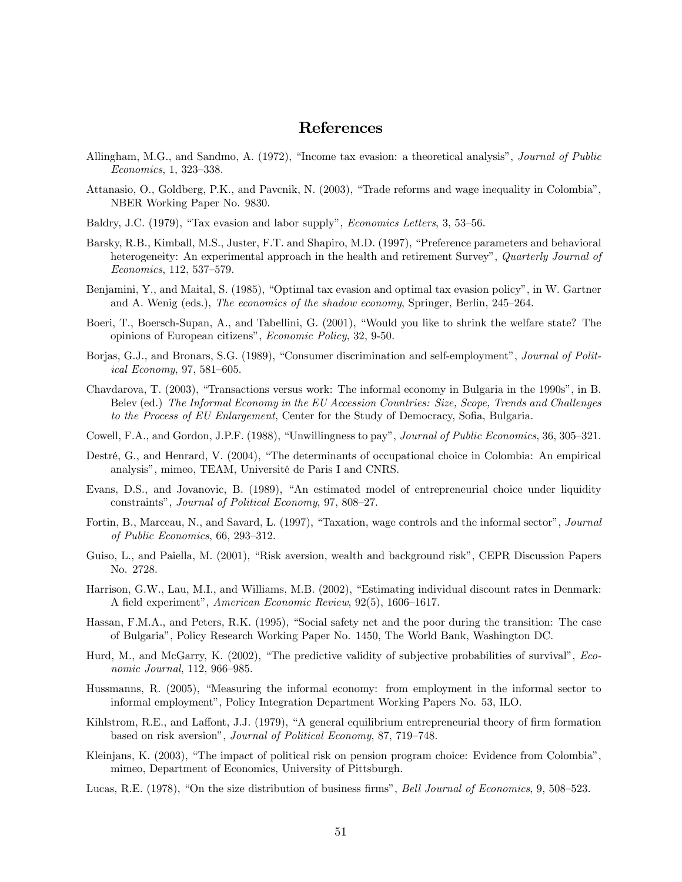# References

- Allingham, M.G., and Sandmo, A. (1972), "Income tax evasion: a theoretical analysis", Journal of Public Economics, 1, 323—338.
- Attanasio, O., Goldberg, P.K., and Pavcnik, N. (2003), "Trade reforms and wage inequality in Colombia", NBER Working Paper No. 9830.
- Baldry, J.C. (1979), "Tax evasion and labor supply", Economics Letters, 3, 53—56.
- Barsky, R.B., Kimball, M.S., Juster, F.T. and Shapiro, M.D. (1997), "Preference parameters and behavioral heterogeneity: An experimental approach in the health and retirement Survey", Quarterly Journal of Economics, 112, 537—579.
- Benjamini, Y., and Maital, S. (1985), "Optimal tax evasion and optimal tax evasion policy", in W. Gartner and A. Wenig (eds.), The economics of the shadow economy, Springer, Berlin, 245—264.
- Boeri, T., Boersch-Supan, A., and Tabellini, G. (2001), "Would you like to shrink the welfare state? The opinions of European citizens", Economic Policy, 32, 9-50.
- Borjas, G.J., and Bronars, S.G. (1989), "Consumer discrimination and self-employment", Journal of Political Economy, 97, 581—605.
- Chavdarova, T. (2003), "Transactions versus work: The informal economy in Bulgaria in the 1990s", in B. Belev (ed.) The Informal Economy in the EU Accession Countries: Size, Scope, Trends and Challenges to the Process of EU Enlargement, Center for the Study of Democracy, Sofia, Bulgaria.
- Cowell, F.A., and Gordon, J.P.F. (1988), "Unwillingness to pay", Journal of Public Economics, 36, 305—321.
- Destré, G., and Henrard, V. (2004), "The determinants of occupational choice in Colombia: An empirical analysis", mimeo, TEAM, Université de Paris I and CNRS.
- Evans, D.S., and Jovanovic, B. (1989), "An estimated model of entrepreneurial choice under liquidity constraints", Journal of Political Economy, 97, 808—27.
- Fortin, B., Marceau, N., and Savard, L. (1997), "Taxation, wage controls and the informal sector", Journal of Public Economics, 66, 293—312.
- Guiso, L., and Paiella, M. (2001), "Risk aversion, wealth and background risk", CEPR Discussion Papers No. 2728.
- Harrison, G.W., Lau, M.I., and Williams, M.B. (2002), "Estimating individual discount rates in Denmark: A field experiment", American Economic Review, 92(5), 1606—1617.
- Hassan, F.M.A., and Peters, R.K. (1995), "Social safety net and the poor during the transition: The case of Bulgaria", Policy Research Working Paper No. 1450, The World Bank, Washington DC.
- Hurd, M., and McGarry, K. (2002), "The predictive validity of subjective probabilities of survival", *Eco*nomic Journal, 112, 966—985.
- Hussmanns, R. (2005), "Measuring the informal economy: from employment in the informal sector to informal employment", Policy Integration Department Working Papers No. 53, ILO.
- Kihlstrom, R.E., and Laffont, J.J. (1979), "A general equilibrium entrepreneurial theory of firm formation based on risk aversion", Journal of Political Economy, 87, 719—748.
- Kleinjans, K. (2003), "The impact of political risk on pension program choice: Evidence from Colombia", mimeo, Department of Economics, University of Pittsburgh.
- Lucas, R.E. (1978), "On the size distribution of business firms", Bell Journal of Economics, 9, 508—523.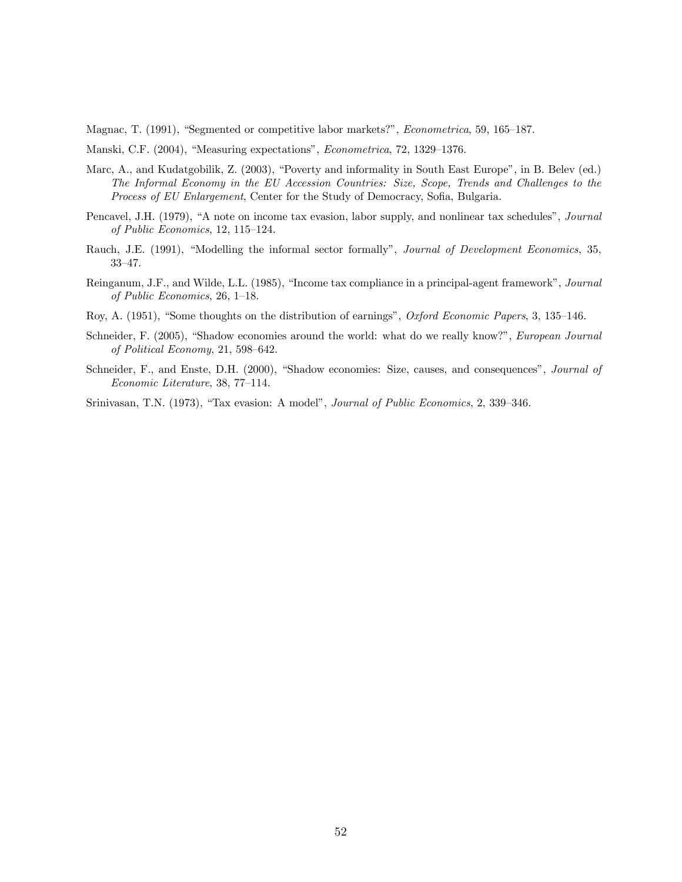Magnac, T. (1991), "Segmented or competitive labor markets?", Econometrica, 59, 165—187.

- Manski, C.F. (2004), "Measuring expectations", Econometrica, 72, 1329—1376.
- Marc, A., and Kudatgobilik, Z. (2003), "Poverty and informality in South East Europe", in B. Belev (ed.) The Informal Economy in the EU Accession Countries: Size, Scope, Trends and Challenges to the Process of EU Enlargement, Center for the Study of Democracy, Sofia, Bulgaria.
- Pencavel, J.H. (1979), "A note on income tax evasion, labor supply, and nonlinear tax schedules", Journal of Public Economics, 12, 115—124.
- Rauch, J.E. (1991), "Modelling the informal sector formally", *Journal of Development Economics*, 35, 33—47.
- Reinganum, J.F., and Wilde, L.L. (1985), "Income tax compliance in a principal-agent framework", Journal of Public Economics, 26, 1—18.
- Roy, A. (1951), "Some thoughts on the distribution of earnings", Oxford Economic Papers, 3, 135—146.
- Schneider, F. (2005), "Shadow economies around the world: what do we really know?", European Journal of Political Economy, 21, 598—642.
- Schneider, F., and Enste, D.H. (2000), "Shadow economies: Size, causes, and consequences", *Journal of* Economic Literature, 38, 77—114.
- Srinivasan, T.N. (1973), "Tax evasion: A model", Journal of Public Economics, 2, 339—346.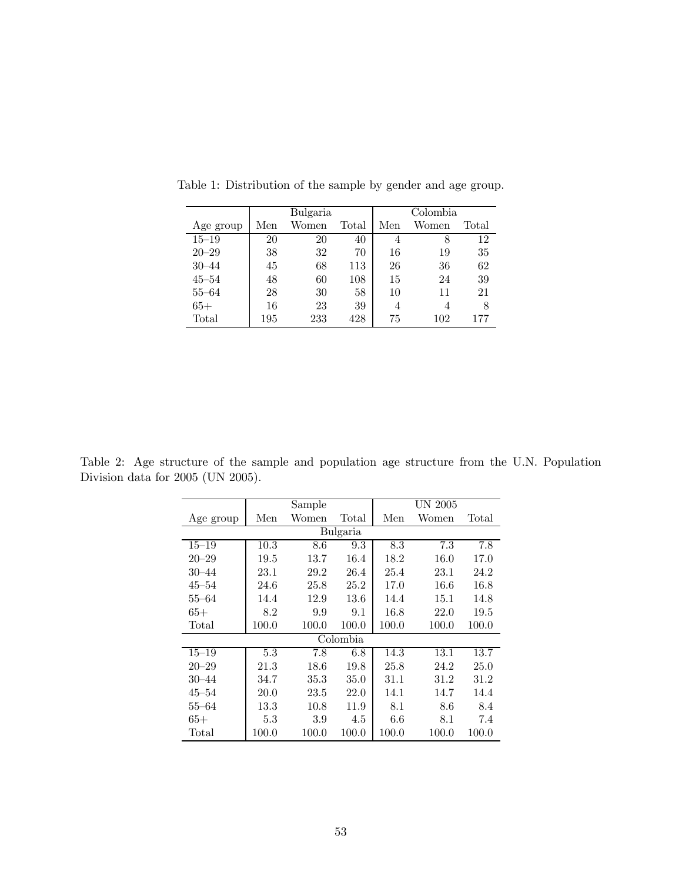|           |     | Bulgaria |       | Colombia |       |       |  |  |
|-----------|-----|----------|-------|----------|-------|-------|--|--|
| Age group | Men | Women    | Total | Men      | Women | Total |  |  |
| $15 - 19$ | 20  | 20       | 40    | 4        |       | 12    |  |  |
| $20 - 29$ | 38  | 32       | 70    | 16       | 19    | 35    |  |  |
| $30 - 44$ | 45  | 68       | 113   | 26       | 36    | 62    |  |  |
| $45 - 54$ | 48  | 60       | 108   | 15       | 24    | 39    |  |  |
| $55 - 64$ | 28  | 30       | 58    | 10       | 11    | 21    |  |  |
| $65+$     | 16  | 23       | 39    | 4        |       | 8     |  |  |
| Total     | 195 | 233      | 428   | 75       | 102   | 177   |  |  |

Table 1: Distribution of the sample by gender and age group.

Table 2: Age structure of the sample and population age structure from the U.N. Population Division data for 2005 (UN 2005).

|           |          | Sample    |          |       | UN 2005 |       |
|-----------|----------|-----------|----------|-------|---------|-------|
| Age group | Men      | Women     | Total    | Men   | Women   | Total |
|           |          |           | Bulgaria |       |         |       |
| $15 - 19$ | $10.3\,$ | 8.6       | 9.3      | 8.3   | 7.3     | 7.8   |
| $20 - 29$ | 19.5     | 13.7      | 16.4     | 18.2  | 16.0    | 17.0  |
| 30–44     | 23.1     | 29.2      | 26.4     | 25.4  | 23.1    | 24.2  |
| $45 - 54$ | 24.6     | 25.8      | 25.2     | 17.0  | 16.6    | 16.8  |
| $55 - 64$ | 14.4     | 12.9      | 13.6     | 14.4  | 15.1    | 14.8  |
| $65+$     | 8.2      | 9.9       | 9.1      | 16.8  | 22.0    | 19.5  |
| Total     | 100.0    | 100.0     | 100.0    | 100.0 | 100.0   | 100.0 |
|           |          |           | Colombia |       |         |       |
| $15 - 19$ | 5.3      | 7.8       | 6.8      | 14.3  | 13.1    | 13.7  |
| $20 - 29$ | 21.3     | 18.6      | 19.8     | 25.8  | 24.2    | 25.0  |
| $30 - 44$ | 34.7     | 35.3      | 35.0     | 31.1  | 31.2    | 31.2  |
| $45 - 54$ | 20.0     | 23.5      | 22.0     | 14.1  | 14.7    | 14.4  |
| $55 - 64$ | 13.3     | 10.8      | 11.9     | 8.1   | 8.6     | 8.4   |
| $65+$     | 5.3      | 3.9       | 4.5      | 6.6   | 8.1     | 7.4   |
| Total     | 100.0    | $100.0\,$ | 100.0    | 100.0 | 100.0   | 100.0 |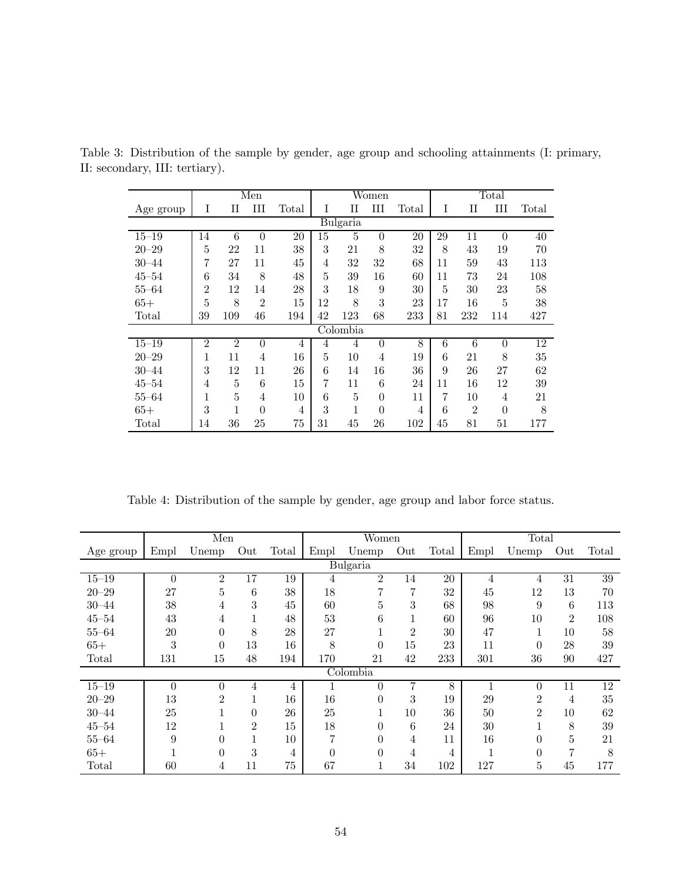|                |                |                | Men            |       |    |          | Women          |       |    |                | Total          |       |
|----------------|----------------|----------------|----------------|-------|----|----------|----------------|-------|----|----------------|----------------|-------|
|                |                |                |                |       |    |          |                |       |    |                |                |       |
| Age group      | Ι              | Н              | Ш              | Total | T  | Н        | Ш              | Total | T  | П              | Ш              | Total |
|                |                |                |                |       |    | Bulgaria |                |       |    |                |                |       |
| $15 - 19$      | 14             | 6              | $\theta$       | 20    | 15 | 5        | $\theta$       | 20    | 29 | 11             | $\theta$       | 40    |
| $20 - 29$      | 5              | 22             | 11             | 38    | 3  | 21       | 8              | 32    | 8  | 43             | 19             | 70    |
| $30 - 44$      | 7              | 27             | 11             | 45    | 4  | 32       | 32             | 68    | 11 | 59             | 43             | 113   |
| $45 - 54$      | 6              | 34             | 8              | 48    | 5  | 39       | 16             | 60    | 11 | 73             | 24             | 108   |
| $55 - 64$      | $\overline{2}$ | 12             | 14             | 28    | 3  | 18       | 9              | 30    | 5  | 30             | 23             | 58    |
| $65+$          | 5              | 8              | $\overline{2}$ | 15    | 12 | 8        | 3              | 23    | 17 | 16             | 5              | 38    |
| Total          | 39             | 109            | 46             | 194   | 42 | 123      | 68             | 233   | 81 | 232            | 114            | 427   |
|                |                |                |                |       |    | Colombia |                |       |    |                |                |       |
| $15 - 19$      | $\overline{2}$ | $\mathfrak{D}$ | $\theta$       | 4     | 4  | 4        | $\theta$       | 8     | 6  | 6              | $\theta$       | 12    |
| $20 - 29$      | 1              | 11             | 4              | 16    | 5  | 10       | $\overline{4}$ | 19    | 6  | 21             | 8              | 35    |
| $30 - 44$      | 3              | 12             | 11             | 26    | 6  | 14       | 16             | 36    | 9  | 26             | 27             | 62    |
| $45 - 54$      | $\overline{4}$ | 5              | 6              | 15    | 7  | 11       | 6              | 24    | 11 | 16             | 12             | 39    |
| $55 - 64$      | 1              | 5              | 4              | 10    | 6  | 5        | $\overline{0}$ | 11    | 7  | 10             | $\overline{4}$ | 21    |
| $65+$          | 3              | 1              | $\Omega$       | 4     | 3  | 1        | $\theta$       | 4     | 6  | $\overline{2}$ | $\theta$       | 8     |
| $\text{Total}$ | 14             | 36             | 25             | 75    | 31 | 45       | 26             | 102   | 45 | 81             | 51             | 177   |

Table 3: Distribution of the sample by gender, age group and schooling attainments (I: primary, II: secondary, III: tertiary).

Table 4: Distribution of the sample by gender, age group and labor force status.

|           |          | Men            |                   |       |          | Women          |              |       |      | Total          |                |        |
|-----------|----------|----------------|-------------------|-------|----------|----------------|--------------|-------|------|----------------|----------------|--------|
| Age group | Empl     | Unemp          | Out               | Total | Empl     | Unemp          | Out          | Total | Empl | Unemp          | Out            | Total  |
|           |          |                |                   |       |          | Bulgaria       |              |       |      |                |                |        |
| $15 - 19$ | $\theta$ | $\overline{2}$ | 17                | 19    | 4        | $\overline{2}$ | 14           | 20    | 4    | 4              | 31             | $39\,$ |
| $20 - 29$ | 27       | 5              | 6                 | 38    | 18       | 7              | 7            | 32    | 45   | 12             | 13             | 70     |
| $30 - 44$ | 38       | $\overline{4}$ | 3                 | 45    | 60       | 5              | 3            | 68    | 98   | 9              | 6              | 113    |
| $45 - 54$ | 43       | 4              | 1                 | 48    | 53       | 6              | 1<br>T       | 60    | 96   | 10             | $\overline{2}$ | 108    |
| $55 - 64$ | 20       | $\theta$       | 8                 | 28    | 27       |                | $\mathbf{2}$ | 30    | 47   | 1              | 10             | 58     |
| $65+$     | 3        | $\overline{0}$ | 13                | 16    | 8        | $\overline{0}$ | 15           | 23    | 11   | $\theta$       | 28             | 39     |
| Total     | 131      | 15             | 48                | 194   | 170      | 21             | 42           | 233   | 301  | 36             | 90             | 427    |
|           |          |                |                   |       |          | Colombia       |              |       |      |                |                |        |
| $15 - 19$ | $\theta$ | $\theta$       | $\overline{4}$    | 4     |          | $\overline{0}$ | 7            | 8     |      | $\overline{0}$ | 11             | 12     |
| $20 - 29$ | 13       | $\overline{2}$ | 1<br>T            | 16    | 16       | $\theta$       | 3            | 19    | 29   | $\overline{2}$ | 4              | 35     |
| $30 - 44$ | 25       |                | $\overline{0}$    | 26    | 25       |                | 10           | 36    | 50   | $\overline{2}$ | 10             | 62     |
| $45 - 54$ | 12       |                | $\overline{2}$    | 15    | 18       | $\theta$       | 6            | 24    | 30   |                | 8              | 39     |
| $55 - 64$ | 9        | $\theta$       | $\mathbf{I}$<br>T | 10    | 7        | $\theta$       | 4            | 11    | 16   | $\theta$       | 5              | 21     |
| $65+$     |          | $\theta$       | 3                 | 4     | $\theta$ | $\theta$       | 4            | 4     |      | $\theta$       | 7              | 8      |
| Total     | 60       | 4              | 11                | 75    | 67       |                | 34           | 102   | 127  | 5              | 45             | 177    |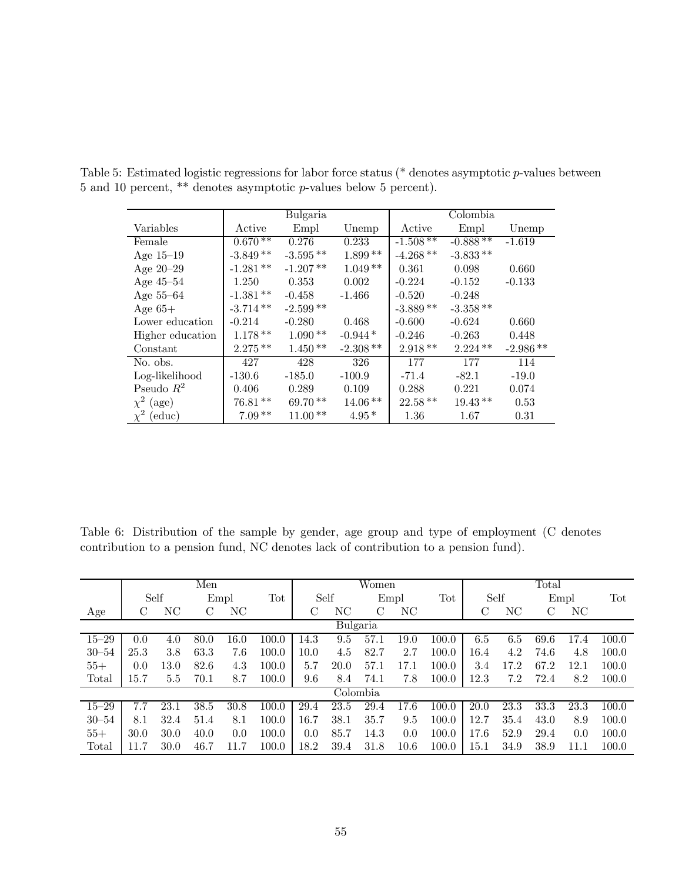|                             |            | Bulgaria   |            |            | Colombia   |            |
|-----------------------------|------------|------------|------------|------------|------------|------------|
| Variables                   | Active     | Empl       | Unemp      | Active     | Empl       | Unemp      |
| Female                      | $0.670**$  | 0.276      | 0.233      | $-1.508**$ | $-0.888**$ | $-1.619$   |
| Age $15-19$                 | $-3.849**$ | $-3.595**$ | $1.899**$  | $-4.268**$ | $-3.833**$ |            |
| Age $20-29$                 | $-1.281**$ | $-1.207**$ | $1.049**$  | 0.361      | 0.098      | 0.660      |
| Age $45-54$                 | 1.250      | 0.353      | 0.002      | $-0.224$   | $-0.152$   | $-0.133$   |
| Age $55-64$                 | $-1.381**$ | $-0.458$   | $-1.466$   | $-0.520$   | $-0.248$   |            |
| Age $65+$                   | $-3.714**$ | $-2.599**$ |            | $-3.889**$ | $-3.358**$ |            |
| Lower education             | $-0.214$   | $-0.280$   | 0.468      | $-0.600$   | $-0.624$   | 0.660      |
| Higher education            | $1.178**$  | $1.090**$  | $-0.944*$  | $-0.246$   | $-0.263$   | 0.448      |
| Constant                    | $2.275**$  | $1.450**$  | $-2.308**$ | $2.918**$  | $2.224**$  | $-2.986**$ |
| No. obs.                    | 427        | 428        | 326        | 177        | 177        | 114        |
| Log-likelihood              | $-130.6$   | $-185.0$   | $-100.9$   | $-71.4$    | $-82.1$    | $-19.0$    |
| Pseudo $R^2$                | 0.406      | 0.289      | 0.109      | 0.288      | 0.221      | 0.074      |
| $\chi^2$ (age)              | $76.81**$  | $69.70**$  | $14.06**$  | $22.58**$  | $19.43**$  | 0.53       |
| $\chi^2$<br>$(\text{educ})$ | $7.09**$   | $11.00**$  | $4.95*$    | 1.36       | 1.67       | 0.31       |

Table 5: Estimated logistic regressions for labor force status (\* denotes asymptotic p-values between 5 and 10 percent, \*\* denotes asymptotic *p*-values below 5 percent).

Table 6: Distribution of the sample by gender, age group and type of employment (C denotes contribution to a pension fund, NC denotes lack of contribution to a pension fund).

|           |      |      | Men  |      |       |      |          | Women |      |       |      |      | Total |           |       |
|-----------|------|------|------|------|-------|------|----------|-------|------|-------|------|------|-------|-----------|-------|
|           |      | Self |      | Empl | Tot   |      | Self     | Empl  |      | Tot   |      | Self | Empl  |           | Tot   |
| Age       | С    | NC   | С    | NС   |       | С    | ΝC       | С     | ΝC   |       | С    | ΝC   | С     | ΝC        |       |
|           |      |      |      |      |       |      | Bulgaria |       |      |       |      |      |       |           |       |
| $15 - 29$ | 0.0  | 4.0  | 80.0 | 16.0 | 100.0 | 14.3 | 9.5      | 57.1  | 19.0 | 100.0 | 6.5  | 6.5  | 69.6  | 17.<br>.4 | 100.0 |
| $30 - 54$ | 25.3 | 3.8  | 63.3 | 7.6  | 100.0 | 10.0 | 4.5      | 82.7  | 2.7  | 100.0 | 16.4 | 4.2  | 74.6  | 4.8       | 100.0 |
| $55+$     | 0.0  | 13.0 | 82.6 | 4.3  | 100.0 | 5.7  | 20.0     | 57.1  | 17.1 | 100.0 | 3.4  | 17.2 | 67.2  | 12.1      | 100.0 |
| Total     | 15.7 | 5.5  | 70.1 | 8.7  | 100.0 | 9.6  | 8.4      | 74.1  | 7.8  | 100.0 | 12.3 | 7.2  | 72.4  | 8.2       | 100.0 |
|           |      |      |      |      |       |      | Colombia |       |      |       |      |      |       |           |       |
| $15 - 29$ | 7.7  | 23.1 | 38.5 | 30.8 | 100.0 | 29.4 | 23.5     | 29.4  | 17.6 | 100.0 | 20.0 | 23.3 | 33.3  | 23.3      | 100.0 |
| $30 - 54$ | 8.1  | 32.4 | 51.4 | 8.1  | 100.0 | 16.7 | 38.1     | 35.7  | 9.5  | 100.0 | 12.7 | 35.4 | 43.0  | 8.9       | 100.0 |
| $55+$     | 30.0 | 30.0 | 40.0 | 0.0  | 100.0 | 0.0  | 85.7     | 14.3  | 0.0  | 100.0 | 17.6 | 52.9 | 29.4  | 0.0       | 100.0 |
| Total     | 11.7 | 30.0 | 46.7 | 11.7 | 100.0 | 18.2 | 39.4     | 31.8  | 10.6 | 100.0 | 15.1 | 34.9 | 38.9  | 11.1      | 100.0 |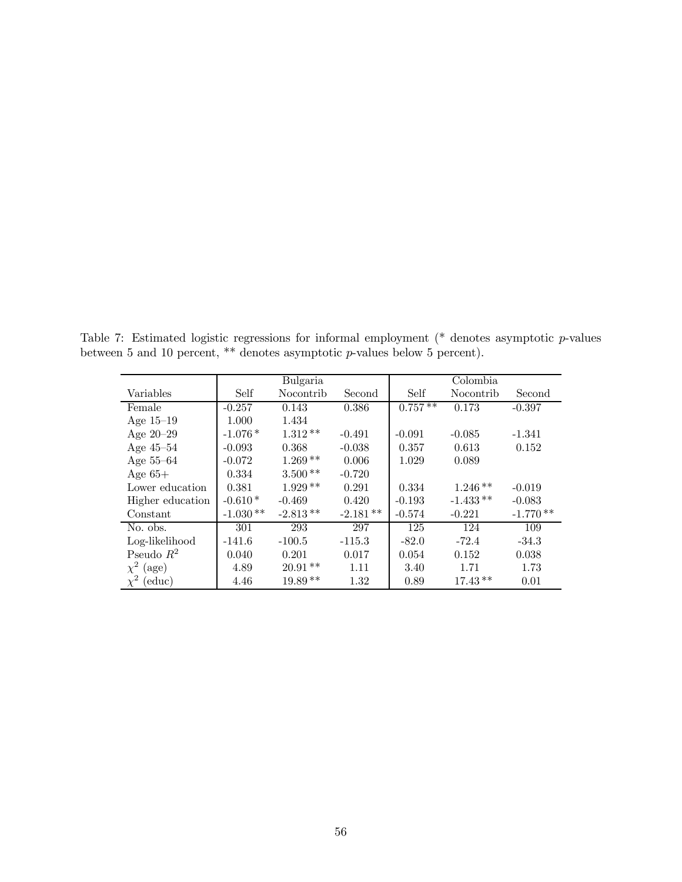Table 7: Estimated logistic regressions for informal employment (\* denotes asymptotic p-values between 5 and 10 percent, \*\* denotes asymptotic p-values below 5 percent).

|                  |            | Bulgaria   |            |           | Colombia   |            |
|------------------|------------|------------|------------|-----------|------------|------------|
| Variables        | Self       | Nocontrib  | Second     | Self      | Nocontrib  | Second     |
| Female           | $-0.257$   | 0.143      | 0.386      | $0.757**$ | 0.173      | $-0.397$   |
| Age $15-19$      | 1.000      | 1.434      |            |           |            |            |
| Age $20-29$      | $-1.076*$  | $1.312**$  | $-0.491$   | $-0.091$  | $-0.085$   | $-1.341$   |
| Age $45-54$      | $-0.093$   | 0.368      | $-0.038$   | 0.357     | 0.613      | 0.152      |
| Age $55-64$      | $-0.072$   | $1.269**$  | 0.006      | 1.029     | 0.089      |            |
| Age $65+$        | 0.334      | $3.500**$  | $-0.720$   |           |            |            |
| Lower education  | 0.381      | $1.929**$  | 0.291      | 0.334     | $1.246**$  | $-0.019$   |
| Higher education | $-0.610*$  | $-0.469$   | 0.420      | $-0.193$  | $-1.433**$ | $-0.083$   |
| Constant         | $-1.030**$ | $-2.813**$ | $-2.181**$ | $-0.574$  | $-0.221$   | $-1.770**$ |
| No. obs.         | 301        | 293        | 297        | 125       | 124        | 109        |
| Log-likelihood   | $-141.6$   | $-100.5$   | $-115.3$   | $-82.0$   | $-72.4$    | $-34.3$    |
| Pseudo $R^2$     | 0.040      | 0.201      | 0.017      | 0.054     | 0.152      | 0.038      |
| $\chi^2$ (age)   | 4.89       | $20.91**$  | 1.11       | 3.40      | 1.71       | 1.73       |
| $(\text{educ})$  | 4.46       | $19.89**$  | 1.32       | 0.89      | $17.43**$  | 0.01       |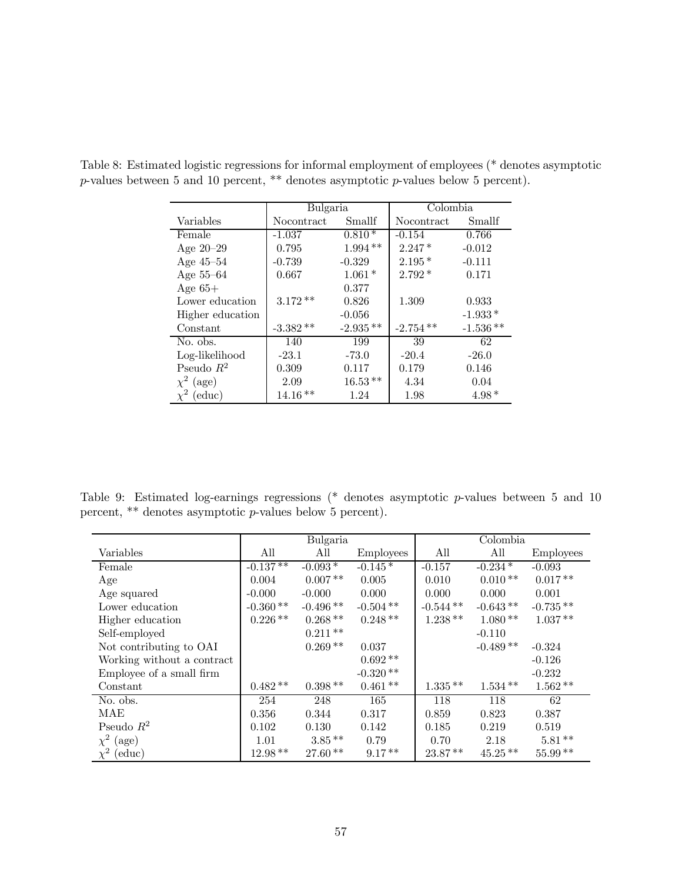|                  | Bulgaria   |            | Colombia   |            |
|------------------|------------|------------|------------|------------|
| Variables        | Nocontract | Smallf     | Nocontract | Smallf     |
| Female           | $-1.037$   | $0.810*$   | $-0.154$   | 0.766      |
| Age $20-29$      | 0.795      | $1.994**$  | $2.247*$   | $-0.012$   |
| Age $45-54$      | $-0.739$   | $-0.329$   | $2.195*$   | $-0.111$   |
| Age $55-64$      | 0.667      | $1.061*$   | $2.792*$   | 0.171      |
| Age $65+$        |            | 0.377      |            |            |
| Lower education  | $3.172**$  | 0.826      | 1.309      | 0.933      |
| Higher education |            | $-0.056$   |            | $-1.933*$  |
| Constant         | $-3.382**$ | $-2.935**$ | $-2.754**$ | $-1.536**$ |
| No. obs.         | 140        | 199        | 39         | 62         |
| Log-likelihood   | $-23.1$    | $-73.0$    | $-20.4$    | $-26.0$    |
| Pseudo $R^2$     | 0.309      | 0.117      | 0.179      | 0.146      |
| $\chi^2$ (age)   | 2.09       | $16.53**$  | 4.34       | 0.04       |
| $\chi^2$ (educ)  | $14.16**$  | 1.24       | 1.98       | $4.98*$    |

Table 8: Estimated logistic regressions for informal employment of employees (\* denotes asymptotic p-values between 5 and 10 percent, \*\* denotes asymptotic p-values below 5 percent).

Table 9: Estimated log-earnings regressions (\* denotes asymptotic p-values between 5 and 10 percent, \*\* denotes asymptotic  $p$ -values below 5 percent).

|                            | Bulgaria   |            |                  | Colombia   |            |                  |
|----------------------------|------------|------------|------------------|------------|------------|------------------|
| Variables                  | All        | All        | <b>Employees</b> | All        | All        | <b>Employees</b> |
| Female                     | $-0.137**$ | $-0.093*$  | $-0.145*$        | $-0.157$   | $-0.234*$  | $-0.093$         |
| Age                        | 0.004      | $0.007**$  | 0.005            | 0.010      | $0.010**$  | $0.017**$        |
| Age squared                | $-0.000$   | $-0.000$   | 0.000            | 0.000      | 0.000      | 0.001            |
| Lower education            | $-0.360**$ | $-0.496**$ | $-0.504**$       | $-0.544**$ | $-0.643**$ | $-0.735**$       |
| Higher education           | $0.226**$  | $0.268**$  | $0.248**$        | $1.238**$  | $1.080**$  | $1.037**$        |
| Self-employed              |            | $0.211**$  |                  |            | $-0.110$   |                  |
| Not contributing to OAI    |            | $0.269**$  | 0.037            |            | $-0.489**$ | $-0.324$         |
| Working without a contract |            |            | $0.692**$        |            |            | $-0.126$         |
| Employee of a small firm   |            |            | $-0.320**$       |            |            | $-0.232$         |
| Constant                   | $0.482**$  | $0.398**$  | $0.461**$        | $1.335**$  | $1.534**$  | $1.562**$        |
| No. obs.                   | 254        | 248        | 165              | 118        | 118        | 62               |
| MAE                        | 0.356      | 0.344      | 0.317            | 0.859      | 0.823      | 0.387            |
| Pseudo $R^2$               | 0.102      | 0.130      | 0.142            | 0.185      | 0.219      | 0.519            |
| $\chi^2$ (age)             | 1.01       | $3.85**$   | 0.79             | 0.70       | 2.18       | $5.81**$         |
| $\chi^2$<br>(educ)         | $12.98**$  | $27.60**$  | $9.17**$         | $23.87**$  | $45.25**$  | $55.99**$        |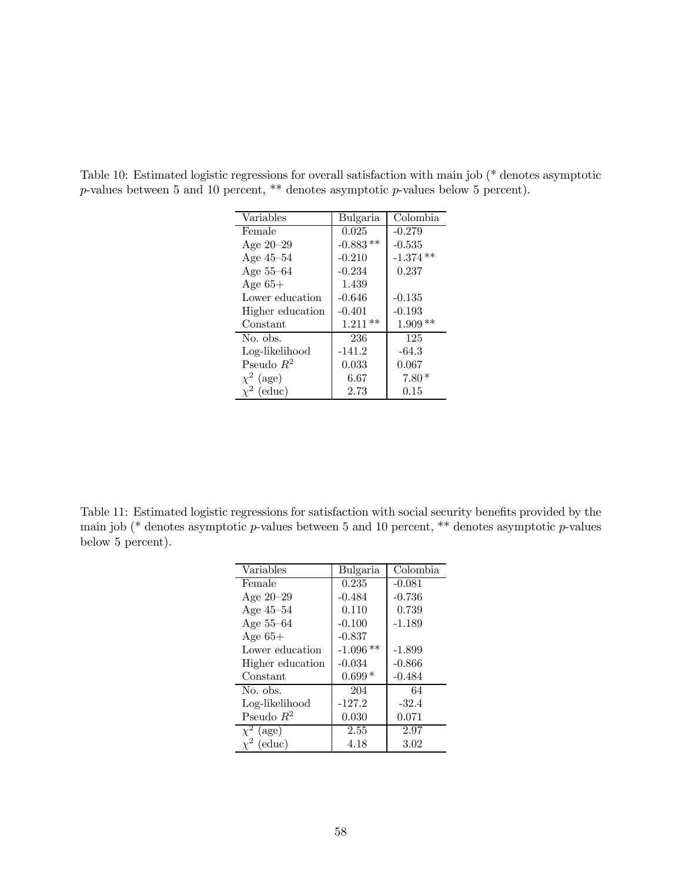| Variables        | Bulgaria   | Colombia   |
|------------------|------------|------------|
| Female           | 0.025      | $-0.279$   |
| Age $20-29$      | $-0.883**$ | $-0.535$   |
| Age $45-54$      | $-0.210$   | $-1.374**$ |
| Age $55-64$      | $-0.234$   | 0.237      |
| Age $65+$        | 1.439      |            |
| Lower education  | $-0.646$   | $-0.135$   |
| Higher education | $-0.401$   | $-0.193$   |
| Constant         | $1.211**$  | $1.909**$  |
| No. obs.         | 236        | 125        |
| Log-likelihood   | -141.2     | $-64.3$    |
| Pseudo $R^2$     | 0.033      | 0.067      |
| $\chi^2$ (age)   | 6.67       | $7.80*$    |
| $\chi^2$ (educ)  | 2.73       | 0.15       |

Table 10: Estimated logistic regressions for overall satisfaction with main job (\* denotes asymptotic p-values between 5 and 10 percent, \*\* denotes asymptotic p-values below 5 percent).

Table 11: Estimated logistic regressions for satisfaction with social security benefits provided by the main job (\* denotes asymptotic p-values between 5 and 10 percent, \*\* denotes asymptotic p-values below 5 percent).

| Variables          | Bulgaria   | Colombia |
|--------------------|------------|----------|
| Female             | 0.235      | $-0.081$ |
| Age $20-29$        | $-0.484$   | $-0.736$ |
| Age $45-54$        | 0.110      | 0.739    |
| Age 55–64          | $-0.100$   | $-1.189$ |
| Age $65+$          | $-0.837$   |          |
| Lower education    | $-1.096**$ | $-1.899$ |
| Higher education   | $-0.034$   | $-0.866$ |
| Constant           | $0.699*$   | $-0.484$ |
| No. obs.           | 204        | 64       |
| Log-likelihood     | $-127.2$   | $-32.4$  |
| Pseudo $R^2$       | 0.030      | 0.071    |
| $\chi^2$ (age)     | 2.55       | 2.97     |
| (educ)<br>$\chi^2$ | 4.18       | 3.02     |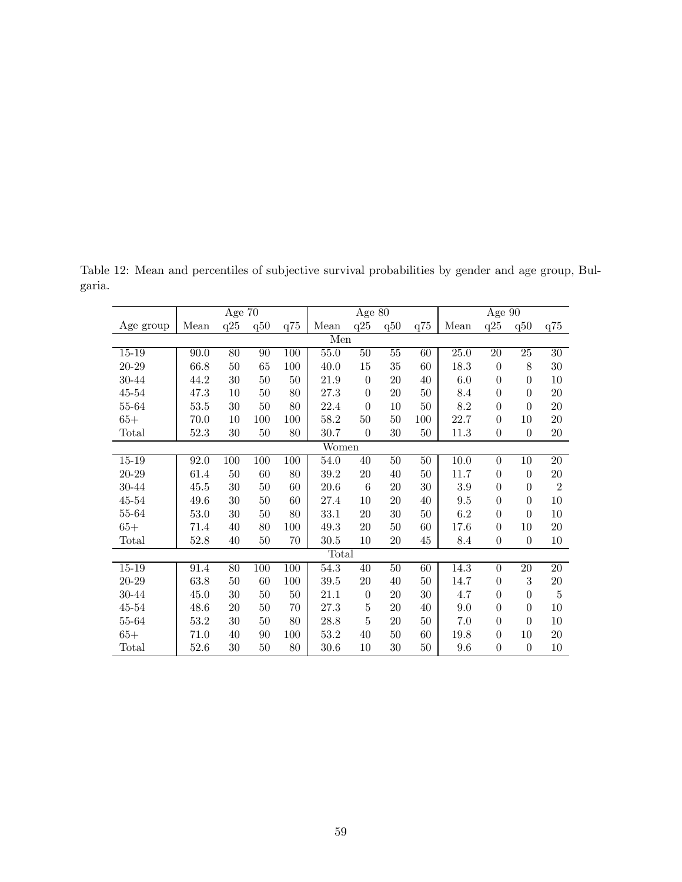|           |          | Age $70$        |        |                  |          | Age $80$       |        |     | Age $90$          |                  |                  |                 |
|-----------|----------|-----------------|--------|------------------|----------|----------------|--------|-----|-------------------|------------------|------------------|-----------------|
| Age group | Mean     | q25             | q50    | q75              | Mean     | q25            | q50    | q75 | Mean              | $\rm q25$        | q50              | q75             |
| Men       |          |                 |        |                  |          |                |        |     |                   |                  |                  |                 |
| 15-19     | 90.0     | $\overline{80}$ | 90     | 100              | 55.0     | 50             | 55     | 60  | $\overline{25.0}$ | $\overline{20}$  | 25               | $\overline{30}$ |
| $20 - 29$ | 66.8     | 50              | 65     | 100              | 40.0     | 15             | 35     | 60  | 18.3              | $\overline{0}$   | 8                | 30              |
| 30-44     | 44.2     | $30\,$          | $50\,$ | 50               | 21.9     | $\theta$       | 20     | 40  | 6.0               | $\overline{0}$   | $\theta$         | 10              |
| 45-54     | 47.3     | 10              | 50     | 80               | 27.3     | $\overline{0}$ | 20     | 50  | 8.4               | $\theta$         | $\overline{0}$   | 20              |
| 55-64     | 53.5     | 30              | 50     | 80               | 22.4     | $\theta$       | 10     | 50  | 8.2               | $\overline{0}$   | $\overline{0}$   | 20              |
| $65+$     | 70.0     | 10              | 100    | 100              | 58.2     | 50             | 50     | 100 | 22.7              | $\overline{0}$   | $10\,$           | 20              |
| Total     | 52.3     | 30              | 50     | 80               | 30.7     | $\theta$       | 30     | 50  | 11.3              | $\boldsymbol{0}$ | $\boldsymbol{0}$ | 20              |
| Women     |          |                 |        |                  |          |                |        |     |                   |                  |                  |                 |
| $15 - 19$ | 92.0     | 100             | 100    | 100              | 54.0     | 40             | 50     | 50  | 10.0              | $\overline{0}$   | $10\,$           | 20              |
| 20-29     | 61.4     | $50\,$          | 60     | 80               | 39.2     | $20\,$         | 40     | 50  | 11.7              | $\overline{0}$   | $\boldsymbol{0}$ | 20              |
| 30-44     | 45.5     | $30\,$          | 50     | 60               | 20.6     | 6              | 20     | 30  | 3.9               | $\overline{0}$   | $\overline{0}$   | $\overline{2}$  |
| 45-54     | 49.6     | 30              | 50     | 60               | $27.4\,$ | 10             | 20     | 40  | 9.5               | $\overline{0}$   | $\boldsymbol{0}$ | 10              |
| 55-64     | 53.0     | 30              | 50     | 80               | 33.1     | $20\,$         | 30     | 50  | 6.2               | $\overline{0}$   | $\overline{0}$   | 10              |
| $65+$     | 71.4     | 40              | 80     | 100              | 49.3     | 20             | 50     | 60  | 17.6              | $\overline{0}$   | 10               | 20              |
| Total     | 52.8     | 40              | $50\,$ | 70               | 30.5     | 10             | 20     | 45  | 8.4               | $\overline{0}$   | $\overline{0}$   | 10              |
|           |          |                 |        |                  | Total    |                |        |     |                   |                  |                  |                 |
| $15 - 19$ | 91.4     | 80              | 100    | $\overline{100}$ | 54.3     | 40             | 50     | 60  | 14.3              | $\overline{0}$   | $\overline{20}$  | $\overline{20}$ |
| $20 - 29$ | 63.8     | $50\,$          | 60     | 100              | 39.5     | 20             | 40     | 50  | 14.7              | $\overline{0}$   | 3                | $20\,$          |
| 30-44     | 45.0     | 30              | 50     | 50               | 21.1     | $\theta$       | 20     | 30  | 4.7               | $\theta$         | $\boldsymbol{0}$ | $\bf 5$         |
| 45-54     | 48.6     | 20              | 50     | 70               | $27.3\,$ | 5              | 20     | 40  | 9.0               | $\overline{0}$   | $\boldsymbol{0}$ | 10              |
| 55-64     | $53.2\,$ | 30              | 50     | 80               | 28.8     | 5              | 20     | 50  | 7.0               | $\overline{0}$   | $\overline{0}$   | 10              |
| $65+$     | 71.0     | 40              | 90     | 100              | 53.2     | $40\,$         | 50     | 60  | 19.8              | $\overline{0}$   | $10\,$           | 20              |
| Total     | 52.6     | 30              | $50\,$ | 80               | 30.6     | 10             | $30\,$ | 50  | 9.6               | $\overline{0}$   | $\boldsymbol{0}$ | $10\,$          |

Table 12: Mean and percentiles of subjective survival probabilities by gender and age group, Bulgaria.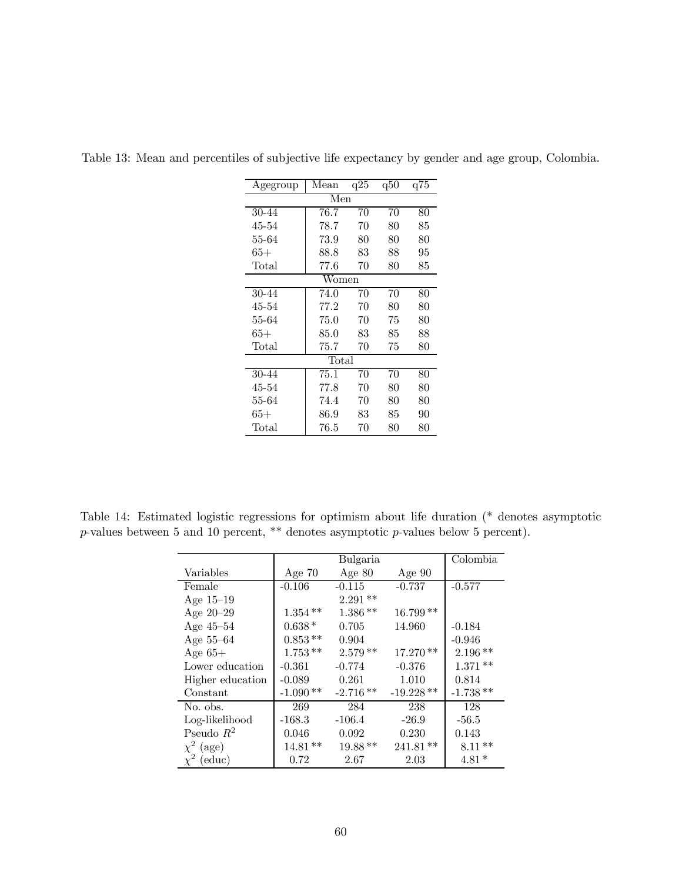| Agegroup | Mean     | q25 | q50 | q75 |  |  |  |  |  |
|----------|----------|-----|-----|-----|--|--|--|--|--|
| Men      |          |     |     |     |  |  |  |  |  |
| 30-44    | 76.7     | 70  | 70  | 80  |  |  |  |  |  |
| 45-54    | 78.7     | 70  | 80  | 85  |  |  |  |  |  |
| 55-64    | 73.9     | 80  | 80  | 80  |  |  |  |  |  |
| $65+$    | 88.8     | 83  | 88  | 95  |  |  |  |  |  |
| Total    | 77.6     | 70  | 80  | 85  |  |  |  |  |  |
| Women    |          |     |     |     |  |  |  |  |  |
| 30-44    | 74.0     | 70  | 70  | 80  |  |  |  |  |  |
| 45-54    | 77.2     | 70  | 80  | 80  |  |  |  |  |  |
| 55-64    | 75.0     | 70  | 75  | 80  |  |  |  |  |  |
| $65+$    | 85.0     | 83  | 85  | 88  |  |  |  |  |  |
| Total    | 75.7     | 70  | 75  | 80  |  |  |  |  |  |
|          | Total    |     |     |     |  |  |  |  |  |
| 30-44    | 75.1     | 70  | 70  | 80  |  |  |  |  |  |
| 45-54    | 77.8     | 70  | 80  | 80  |  |  |  |  |  |
| 55-64    | 74.4     | 70  | 80  | 80  |  |  |  |  |  |
| $65+$    | 86.9     | 83  | 85  | 90  |  |  |  |  |  |
| Total    | $76.5\,$ | 70  | 80  | 80  |  |  |  |  |  |

Table 13: Mean and percentiles of subjective life expectancy by gender and age group, Colombia.

Table 14: Estimated logistic regressions for optimism about life duration (\* denotes asymptotic p-values between 5 and 10 percent, \*\* denotes asymptotic p-values below 5 percent).

|                  |            | Bulgaria   |             | Colombia   |
|------------------|------------|------------|-------------|------------|
| Variables        | Age $70$   | Age $80$   | Age $90$    |            |
| Female           | $-0.106$   | $-0.115$   | $-0.737$    | $-0.577$   |
| Age $15-19$      |            | $2.291**$  |             |            |
| Age $20-29$      | $1.354**$  | $1.386**$  | $16.799**$  |            |
| Age $45-54$      | $0.638*$   | 0.705      | 14.960      | $-0.184$   |
| Age $55-64$      | $0.853**$  | 0.904      |             | $-0.946$   |
| Age $65+$        | $1.753**$  | $2.579**$  | 17.270**    | $2.196**$  |
| Lower education  | $-0.361$   | $-0.774$   | $-0.376$    | $1.371**$  |
| Higher education | $-0.089$   | 0.261      | 1.010       | 0.814      |
| Constant         | $-1.090**$ | $-2.716**$ | $-19.228**$ | $-1.738**$ |
| No. obs.         | 269        | 284        | 238         | 128        |
| Log-likelihood   | $-168.3$   | $-106.4$   | $-26.9$     | $-56.5$    |
| Pseudo $R^2$     | 0.046      | 0.092      | 0.230       | 0.143      |
| $\chi^2$ (age)   | $14.81**$  | $19.88**$  | $241.81**$  | $8.11**$   |
| (educ)           | 0.72       | 2.67       | 2.03        | $4.81*$    |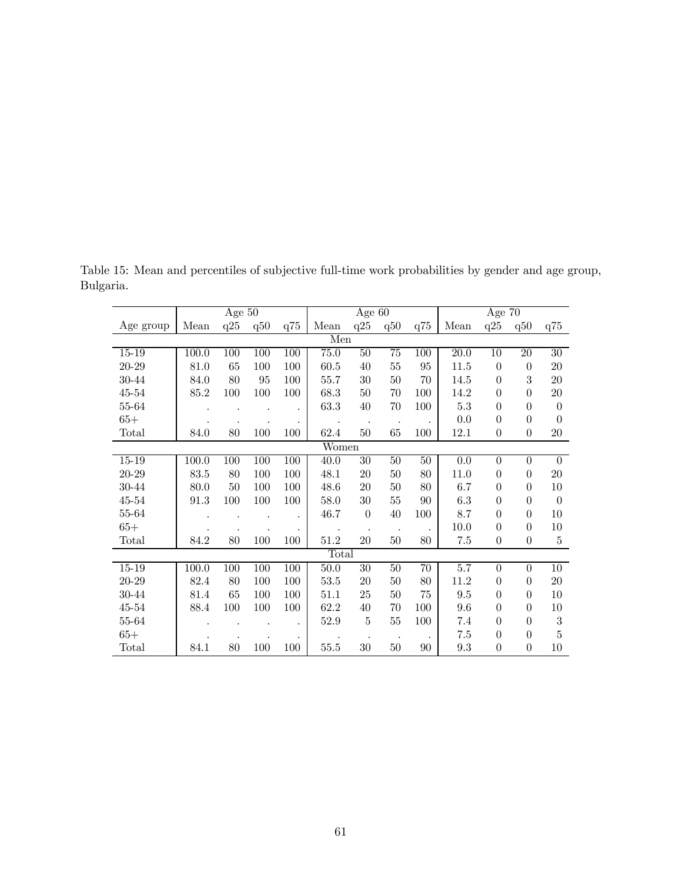|           |       | Age $50$ |     |           | Age $60$          |                      |        | Age $70$ |                   |                  |                  |                  |
|-----------|-------|----------|-----|-----------|-------------------|----------------------|--------|----------|-------------------|------------------|------------------|------------------|
| Age group | Mean  | q25      | q50 | q75       | Mean              | q25                  | q50    | q75      | Mean              | q25              | q50              | q75              |
| Men       |       |          |     |           |                   |                      |        |          |                   |                  |                  |                  |
| $15 - 19$ | 100.0 | 100      | 100 | 100       | $\overline{75.0}$ | 50                   | 75     | 100      | $\overline{20.0}$ | $\overline{10}$  | $\overline{20}$  | $\overline{30}$  |
| 20-29     | 81.0  | 65       | 100 | 100       | 60.5              | 40                   | 55     | 95       | 11.5              | $\overline{0}$   | $\boldsymbol{0}$ | 20               |
| 30-44     | 84.0  | 80       | 95  | 100       | 55.7              | 30                   | 50     | 70       | 14.5              | $\theta$         | 3                | 20               |
| 45-54     | 85.2  | 100      | 100 | 100       | 68.3              | 50                   | 70     | 100      | 14.2              | $\overline{0}$   | $\boldsymbol{0}$ | 20               |
| 55-64     |       |          |     |           | 63.3              | 40                   | 70     | 100      | $5.3\,$           | $\Omega$         | $\boldsymbol{0}$ | $\theta$         |
| $65+$     |       |          |     |           |                   | $\ddot{\phantom{1}}$ |        |          | 0.0               | $\overline{0}$   | $\boldsymbol{0}$ | $\Omega$         |
| Total     | 84.0  | 80       | 100 | 100       | 62.4              | 50                   | 65     | 100      | 12.1              | $\overline{0}$   | $\boldsymbol{0}$ | 20               |
| Women     |       |          |     |           |                   |                      |        |          |                   |                  |                  |                  |
| $15 - 19$ | 100.0 | 100      | 100 | 100       | $40.\overline{0}$ | 30                   | 50     | $50\,$   | 0.0               | $\overline{0}$   | $\boldsymbol{0}$ | $\Omega$         |
| 20-29     | 83.5  | 80       | 100 | 100       | 48.1              | 20                   | 50     | 80       | 11.0              | $\overline{0}$   | $\theta$         | 20               |
| 30-44     | 80.0  | 50       | 100 | 100       | 48.6              | 20                   | 50     | 80       | 6.7               | $\overline{0}$   | $\boldsymbol{0}$ | 10               |
| 45-54     | 91.3  | 100      | 100 | 100       | 58.0              | 30                   | 55     | 90       | 6.3               | $\overline{0}$   | $\boldsymbol{0}$ | $\theta$         |
| 55-64     |       |          |     |           | 46.7              | $\theta$             | 40     | 100      | 8.7               | $\theta$         | $\boldsymbol{0}$ | 10               |
| $65+$     |       |          |     |           |                   |                      |        |          | 10.0              | $\theta$         | $\boldsymbol{0}$ | 10               |
| Total     | 84.2  | 80       | 100 | 100       | 51.2              | 20                   | 50     | 80       | 7.5               | $\overline{0}$   | $\theta$         | 5                |
|           |       |          |     |           | Total             |                      |        |          |                   |                  |                  |                  |
| $15 - 19$ | 100.0 | 100      | 100 | 100       | $50.0\,$          | $\overline{30}$      | 50     | 70       | 5.7               | $\theta$         | $\boldsymbol{0}$ | 10               |
| 20-29     | 82.4  | 80       | 100 | 100       | $53.5\,$          | $20\,$               | $50\,$ | 80       | $11.2\,$          | $\overline{0}$   | $\boldsymbol{0}$ | 20               |
| 30-44     | 81.4  | 65       | 100 | 100       | 51.1              | 25                   | 50     | 75       | 9.5               | $\boldsymbol{0}$ | $\boldsymbol{0}$ | 10               |
| 45-54     | 88.4  | 100      | 100 | 100       | 62.2              | 40                   | 70     | 100      | 9.6               | $\overline{0}$   | $\boldsymbol{0}$ | 10               |
| 55-64     |       |          |     | $\bullet$ | 52.9              | 5                    | 55     | 100      | 7.4               | $\Omega$         | $\boldsymbol{0}$ | $\boldsymbol{3}$ |
| $65+$     |       |          |     |           |                   |                      |        |          | $7.5\,$           | $\overline{0}$   | $\boldsymbol{0}$ | 5                |
| Total     | 84.1  | 80       | 100 | 100       | $55.5\,$          | $30\,$               | $50\,$ | 90       | 9.3               | $\theta$         | $\boldsymbol{0}$ | 10               |

Table 15: Mean and percentiles of subjective full-time work probabilities by gender and age group, Bulgaria.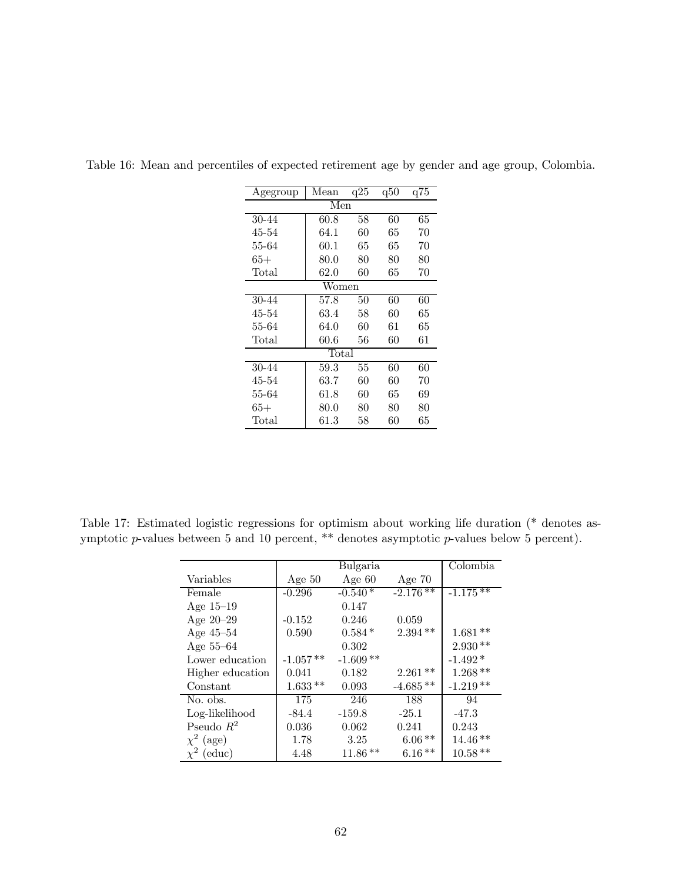| Agegroup | Mean     | q25 | q50 | q75 |  |  |  |  |  |
|----------|----------|-----|-----|-----|--|--|--|--|--|
| Men      |          |     |     |     |  |  |  |  |  |
| 30-44    | 60.8     | 58  | 60  | 65  |  |  |  |  |  |
| 45-54    | 64.1     | 60  | 65  | 70  |  |  |  |  |  |
| 55-64    | 60.1     | 65  | 65  | 70  |  |  |  |  |  |
| $65+$    | 80.0     | 80  | 80  | 80  |  |  |  |  |  |
| Total    | 62.0     | 60  | 65  | 70  |  |  |  |  |  |
| Women    |          |     |     |     |  |  |  |  |  |
| 30-44    | 57.8     | 50  | 60  | 60  |  |  |  |  |  |
| 45-54    | 63.4     | 58  | 60  | 65  |  |  |  |  |  |
| 55-64    | 64.0     | 60  | 61  | 65  |  |  |  |  |  |
| Total    | 60.6     | 56  | 60  | 61  |  |  |  |  |  |
|          | Total    |     |     |     |  |  |  |  |  |
| 30-44    | 59.3     | 55  | 60  | 60  |  |  |  |  |  |
| 45-54    | 63.7     | 60  | 60  | 70  |  |  |  |  |  |
| 55-64    | $61.8\,$ | 60  | 65  | 69  |  |  |  |  |  |
| $65+$    | 80.0     | 80  | 80  | 80  |  |  |  |  |  |
| Total    | 61.3     | 58  | 60  | 65  |  |  |  |  |  |

Table 16: Mean and percentiles of expected retirement age by gender and age group, Colombia.

Table 17: Estimated logistic regressions for optimism about working life duration (\* denotes asymptotic p-values between 5 and 10 percent, \*\* denotes asymptotic p-values below 5 percent).

|                  |            | Bulgaria   |            | Colombia    |
|------------------|------------|------------|------------|-------------|
| Variables        | Age $50$   | Age $60$   | Age $70$   |             |
| Female           | $-0.296$   | $-0.540*$  | $-2.176**$ | $-1.175***$ |
| Age $15-19$      |            | 0.147      |            |             |
| Age $20-29$      | $-0.152$   | 0.246      | 0.059      |             |
| Age 45-54        | 0.590      | $0.584*$   | $2.394**$  | $1.681**$   |
| Age $55-64$      |            | 0.302      |            | $2.930**$   |
| Lower education  | $-1.057**$ | $-1.609**$ |            | $-1.492*$   |
| Higher education | 0.041      | 0.182      | $2.261**$  | $1.268**$   |
| Constant         | $1.633**$  | 0.093      | $-4.685**$ | $-1.219**$  |
| No. obs.         | 175        | 246        | 188        | 94          |
| Log-likelihood   | $-84.4$    | $-159.8$   | $-25.1$    | $-47.3$     |
| Pseudo $R^2$     | 0.036      | 0.062      | 0.241      | 0.243       |
| $\chi^2$ (age)   | 1.78       | 3.25       | $6.06**$   | $14.46**$   |
| $(\text{educ})$  | 4.48       | $11.86**$  | $6.16**$   | $10.58**$   |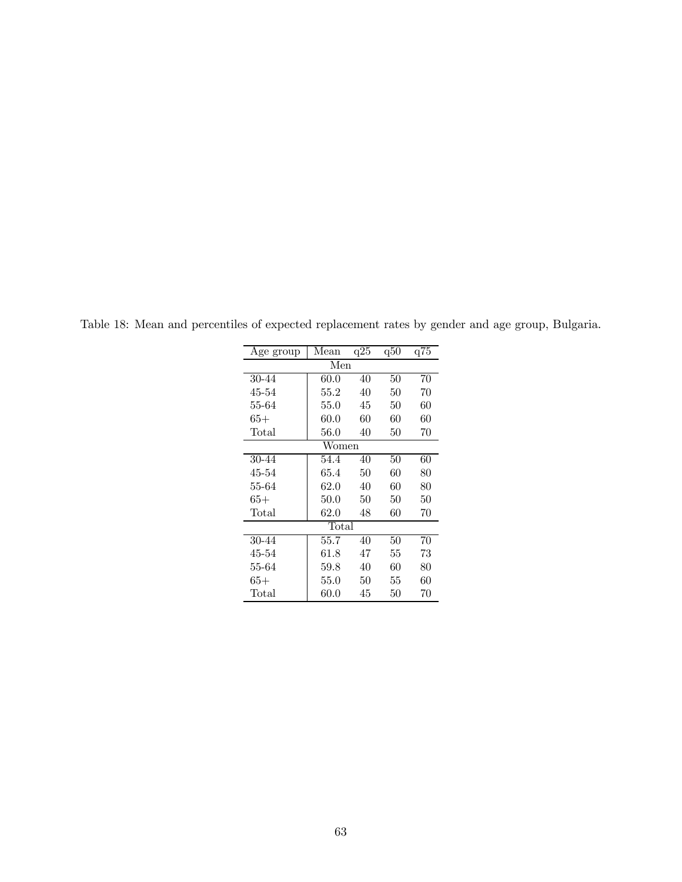| Age group | Mean  | q25 | q50 | q75 |  |  |  |  |
|-----------|-------|-----|-----|-----|--|--|--|--|
|           | Men   |     |     |     |  |  |  |  |
| 30-44     | 60.0  | 40  | 50  | 70  |  |  |  |  |
| 45-54     | 55.2  | 40  | 50  | 70  |  |  |  |  |
| 55-64     | 55.0  | 45  | 50  | 60  |  |  |  |  |
| $65+$     | 60.0  | 60  | 60  | 60  |  |  |  |  |
| Total     | 56.0  | 40  | 50  | 70  |  |  |  |  |
| Women     |       |     |     |     |  |  |  |  |
| 30-44     | 54.4  | 40  | 50  | 60  |  |  |  |  |
| 45-54     | 65.4  | 50  | 60  | 80  |  |  |  |  |
| 55-64     | 62.0  | 40  | 60  | 80  |  |  |  |  |
| $65+$     | 50.0  | 50  | 50  | 50  |  |  |  |  |
| Total     | 62.0  | 48  | 60  | 70  |  |  |  |  |
|           | Total |     |     |     |  |  |  |  |
| 30-44     | 55.7  | 40  | 50  | 70  |  |  |  |  |
| 45-54     | 61.8  | 47  | 55  | 73  |  |  |  |  |
| 55-64     | 59.8  | 40  | 60  | 80  |  |  |  |  |
| $65+$     | 55.0  | 50  | 55  | 60  |  |  |  |  |
| Total     | 60.0  | 45  | 50  | 70  |  |  |  |  |

Table 18: Mean and percentiles of expected replacement rates by gender and age group, Bulgaria.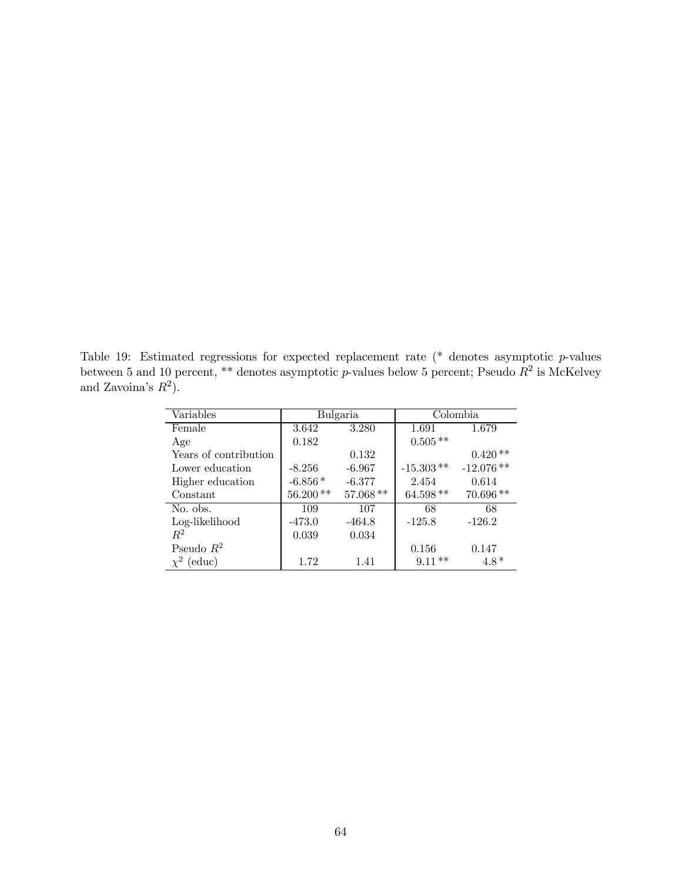Table 19: Estimated regressions for expected replacement rate (\* denotes asymptotic p-values between 5 and 10 percent, \*\* denotes asymptotic p-values below 5 percent; Pseudo  $R^2$  is McKelvey and Zavoina's  $R^2$ ).

| Variables             |            | Bulgaria   | Colombia    |             |  |
|-----------------------|------------|------------|-------------|-------------|--|
| Female                | 3.642      | 3.280      | 1.691       | 1.679       |  |
| Age                   | 0.182      |            | $0.505**$   |             |  |
| Years of contribution |            | 0.132      |             | $0.420**$   |  |
| Lower education       | $-8.256$   | $-6.967$   | $-15.303**$ | $-12.076**$ |  |
| Higher education      | $-6.856*$  | $-6.377$   | 2.454       | 0.614       |  |
| Constant              | $56.200**$ | $57.068**$ | 64.598 **   | $70.696**$  |  |
| No. obs.              | 109        | 107        | 68          | 68          |  |
| Log-likelihood        | $-473.0$   | $-464.8$   | $-125.8$    | $-126.2$    |  |
| $R^2$                 | 0.039      | 0.034      |             |             |  |
| Pseudo $R^2$          |            |            | 0.156       | 0.147       |  |
| $(\text{educ})$       | 1.72       | 1.41       | $9.11**$    | $4.8*$      |  |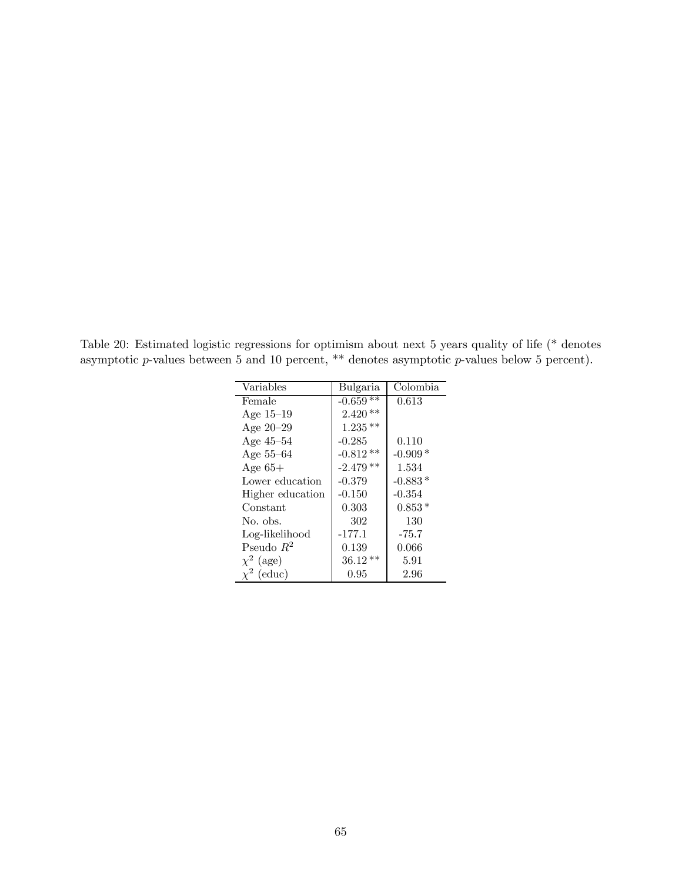Table 20: Estimated logistic regressions for optimism about next 5 years quality of life (\* denotes asymptotic *p*-values between 5 and 10 percent, \*\* denotes asymptotic *p*-values below 5 percent).

| Variables        | Bulgaria   | Colombia  |
|------------------|------------|-----------|
| Female           | $-0.659**$ | 0.613     |
| Age $15-19$      | $2.420**$  |           |
| Age $20-29$      | $1.235**$  |           |
| Age $45-54$      | $-0.285$   | 0.110     |
| Age $55-64$      | $-0.812**$ | $-0.909*$ |
| Age $65+$        | $-2.479**$ | 1.534     |
| Lower education  | $-0.379$   | $-0.883*$ |
| Higher education | $-0.150$   | $-0.354$  |
| Constant         | 0.303      | $0.853*$  |
| No. obs.         | 302        | 130       |
| Log-likelihood   | -177.1     | $-75.7$   |
| Pseudo $R^2$     | 0.139      | 0.066     |
| $\chi^2$ (age)   | $36.12**$  | 5.91      |
| $\chi^2$ (educ)  | 0.95       | 2.96      |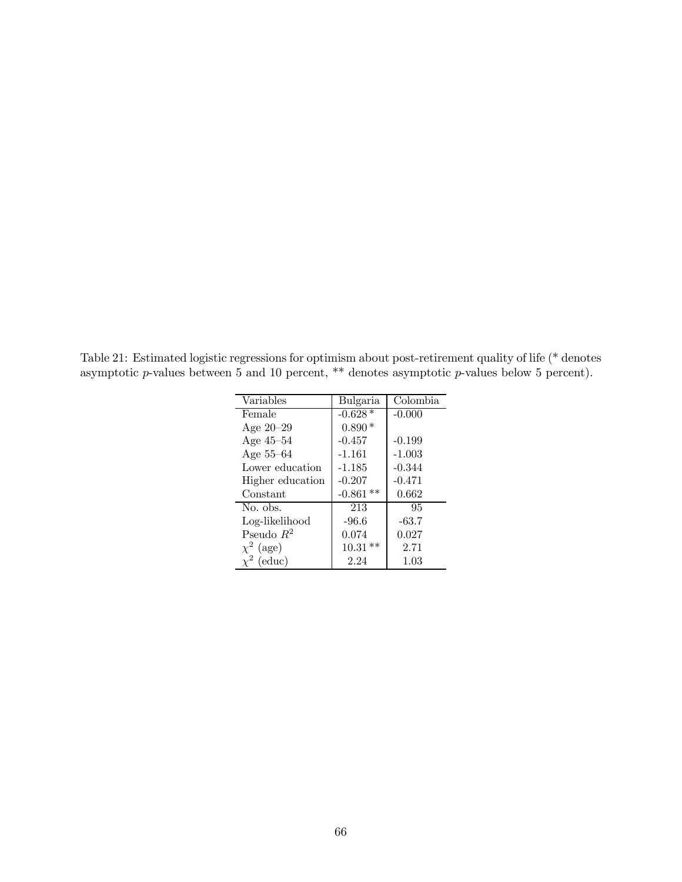Table 21: Estimated logistic regressions for optimism about post-retirement quality of life (\* denotes asymptotic  $p$ -values between 5 and 10 percent, \*\* denotes asymptotic  $p$ -values below 5 percent).

| Variables        | Bulgaria   | Colombia |
|------------------|------------|----------|
| Female           | $-0.628*$  | $-0.000$ |
| Age $20-29$      | $0.890*$   |          |
| Age $45-54$      | $-0.457$   | $-0.199$ |
| Age $55-64$      | $-1.161$   | $-1.003$ |
| Lower education  | $-1.185$   | $-0.344$ |
| Higher education | $-0.207$   | $-0.471$ |
| Constant         | $-0.861**$ | 0.662    |
| No. obs.         | 213        | 95       |
| Log-likelihood   | -96.6      | $-63.7$  |
| Pseudo $R^2$     | 0.074      | 0.027    |
| $\chi^2$ (age)   | $10.31**$  | 2.71     |
| (educ)           | 2.24       | 1.03     |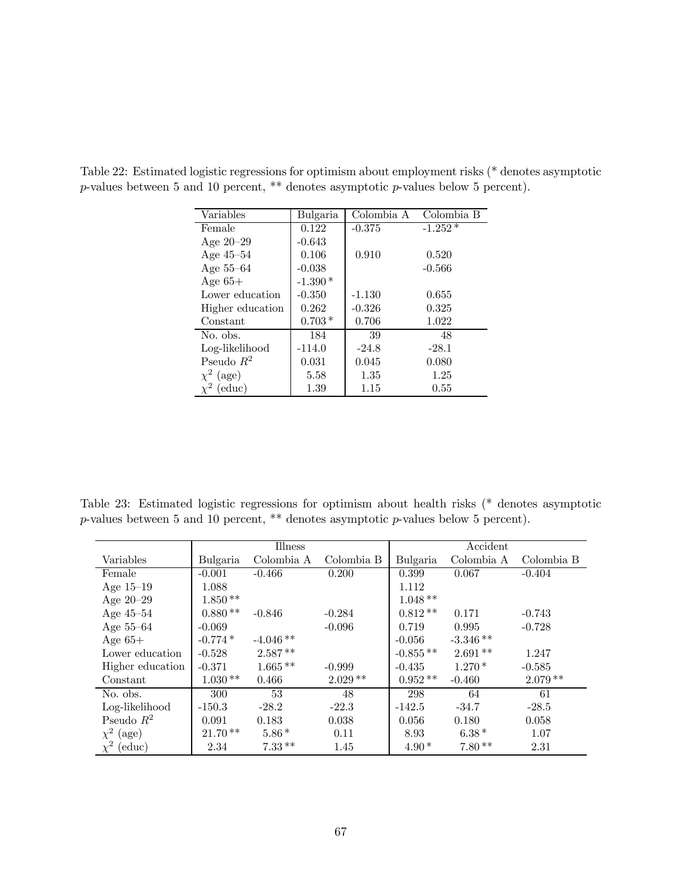| Variables        | Bulgaria  | Colombia A | Colombia B |
|------------------|-----------|------------|------------|
| Female           | 0.122     | $-0.375$   | $-1.252*$  |
| Age $20-29$      | $-0.643$  |            |            |
| Age $45-54$      | 0.106     | 0.910      | 0.520      |
| Age $55-64$      | $-0.038$  |            | $-0.566$   |
| Age $65+$        | $-1.390*$ |            |            |
| Lower education  | $-0.350$  | $-1.130$   | 0.655      |
| Higher education | 0.262     | $-0.326$   | 0.325      |
| Constant         | $0.703*$  | 0.706      | 1.022      |
| No. obs.         | 184       | 39         | 48         |
| Log-likelihood   | $-114.0$  | $-24.8$    | $-28.1$    |
| Pseudo $R^2$     | 0.031     | 0.045      | 0.080      |
| $\chi^2$ (age)   | 5.58      | 1.35       | 1.25       |
| $(\text{educ})$  | 1.39      | 1.15       | 0.55       |

Table 22: Estimated logistic regressions for optimism about employment risks (\* denotes asymptotic p-values between 5 and 10 percent, \*\* denotes asymptotic p-values below 5 percent).

Table 23: Estimated logistic regressions for optimism about health risks (\* denotes asymptotic  $p$ -values between 5 and 10 percent, \*\* denotes asymptotic  $p$ -values below 5 percent).

|                   |           | Illness    |            |            | Accident   |            |
|-------------------|-----------|------------|------------|------------|------------|------------|
| Variables         | Bulgaria  | Colombia A | Colombia B | Bulgaria   | Colombia A | Colombia B |
| Female            | $-0.001$  | $-0.466$   | 0.200      | 0.399      | 0.067      | $-0.404$   |
| Age $15-19$       | 1.088     |            |            | 1.112      |            |            |
| Age $20-29$       | $1.850**$ |            |            | $1.048**$  |            |            |
| Age $45-54$       | $0.880**$ | $-0.846$   | $-0.284$   | $0.812**$  | 0.171      | $-0.743$   |
| Age $55-64$       | $-0.069$  |            | $-0.096$   | 0.719      | 0.995      | $-0.728$   |
| Age $65+$         | $-0.774*$ | $-4.046**$ |            | $-0.056$   | $-3.346**$ |            |
| Lower education   | $-0.528$  | $2.587**$  |            | $-0.855**$ | $2.691**$  | 1.247      |
| Higher education  | $-0.371$  | $1.665**$  | $-0.999$   | $-0.435$   | $1.270*$   | $-0.585$   |
| Constant          | $1.030**$ | 0.466      | $2.029**$  | $0.952**$  | $-0.460$   | $2.079**$  |
| No. obs.          | 300       | 53         | 48         | 298        | 64         | 61         |
| Log-likelihood    | $-150.3$  | $-28.2$    | $-22.3$    | $-142.5$   | $-34.7$    | $-28.5$    |
| Pseudo $R^2$      | 0.091     | 0.183      | 0.038      | 0.056      | 0.180      | 0.058      |
| $\chi^2$<br>(age) | $21.70**$ | $5.86*$    | 0.11       | 8.93       | $6.38*$    | 1.07       |
| $(\text{educ})$   | 2.34      | $7.33**$   | 1.45       | $4.90*$    | $7.80**$   | 2.31       |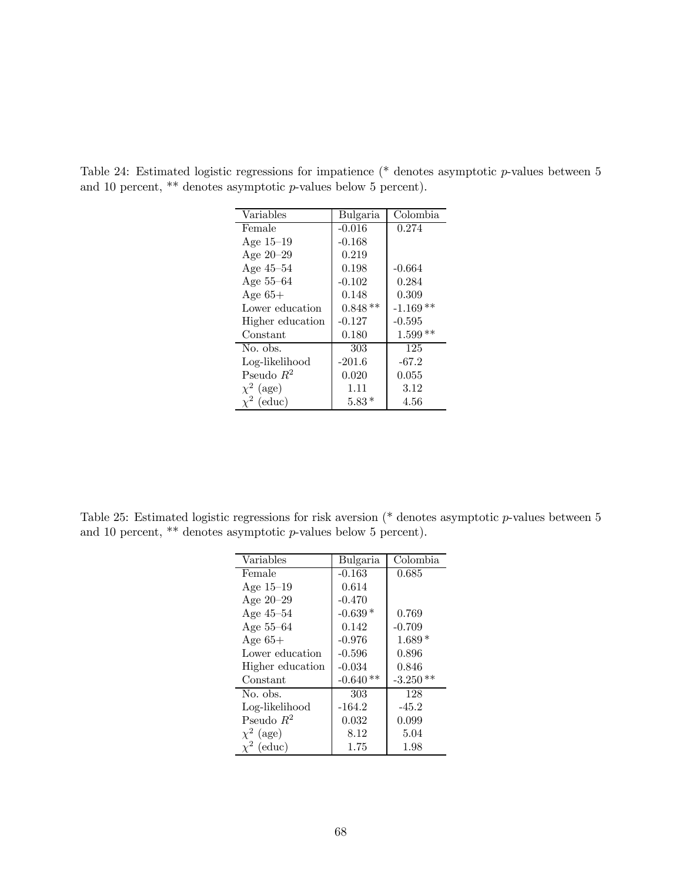| Variables        | Bulgaria  | Colombia   |
|------------------|-----------|------------|
| Female           | $-0.016$  | 0.274      |
| Age $15-19$      | $-0.168$  |            |
| Age $20-29$      | 0.219     |            |
| Age 45-54        | 0.198     | $-0.664$   |
| Age $55-64$      | $-0.102$  | 0.284      |
| Age $65+$        | 0.148     | 0.309      |
| Lower education  | $0.848**$ | $-1.169**$ |
| Higher education | $-0.127$  | $-0.595$   |
| Constant         | 0.180     | $1.599**$  |
| No. obs.         | 303       | 125        |
| Log-likelihood   | $-201.6$  | $-67.2$    |
| Pseudo $R^2$     | 0.020     | 0.055      |
| $\chi^2$ (age)   | 1.11      | 3.12       |
| $\chi^2$ (educ)  | $5.83*$   | $4.56\,$   |

Table 24: Estimated logistic regressions for impatience (\* denotes asymptotic p-values between 5 and 10 percent, \*\* denotes asymptotic p-values below 5 percent).

Table 25: Estimated logistic regressions for risk aversion (\* denotes asymptotic p-values between 5 and 10 percent, \*\* denotes asymptotic p-values below 5 percent).

| Variables        | Bulgaria   | Colombia   |
|------------------|------------|------------|
| Female           | $-0.163$   | 0.685      |
| Age $15-19$      | 0.614      |            |
| Age $20-29$      | $-0.470$   |            |
| Age $45-54$      | $-0.639*$  | 0.769      |
| Age $55-64$      | 0.142      | $-0.709$   |
| Age $65+$        | $-0.976$   | $1.689*$   |
| Lower education  | $-0.596$   | 0.896      |
| Higher education | $-0.034$   | 0.846      |
| Constant         | $-0.640**$ | $-3.250**$ |
| No. obs.         | 303        | 128        |
| Log-likelihood   | $-164.2$   | $-45.2$    |
| Pseudo $R^2$     | 0.032      | 0.099      |
| $\chi^2$ (age)   | 8.12       | 5.04       |
| $\chi^2$ (educ)  | 1.75       | 1.98       |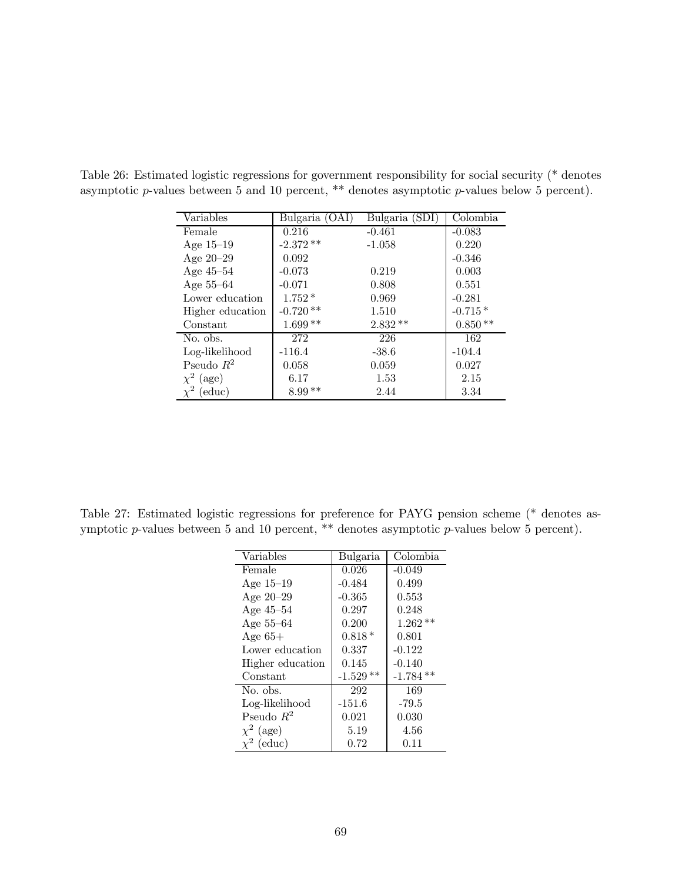| Variables        | Bulgaria (OAI) | Bulgaria (SDI) | Colombia  |
|------------------|----------------|----------------|-----------|
| Female           | 0.216          | $-0.461$       | $-0.083$  |
| Age $15-19$      | $-2.372**$     | $-1.058$       | 0.220     |
| Age $20-29$      | 0.092          |                | $-0.346$  |
| Age $45-54$      | $-0.073$       | 0.219          | 0.003     |
| Age $55-64$      | $-0.071$       | 0.808          | 0.551     |
| Lower education  | $1.752*$       | 0.969          | $-0.281$  |
| Higher education | $-0.720**$     | 1.510          | $-0.715*$ |
| Constant         | $1.699\,**$    | $2.832**$      | $0.850**$ |
| No. obs.         | 272            | 226            | 162       |
| Log-likelihood   | $-116.4$       | $-38.6$        | $-104.4$  |
| Pseudo $R^2$     | 0.058          | 0.059          | 0.027     |
| $\chi^2$ (age)   | 6.17           | 1.53           | 2.15      |
| (educ)           | $8.99**$       | 2.44           | 3.34      |

Table 26: Estimated logistic regressions for government responsibility for social security (\* denotes asymptotic p-values between 5 and 10 percent, \*\* denotes asymptotic p-values below 5 percent).

Table 27: Estimated logistic regressions for preference for PAYG pension scheme (\* denotes asymptotic p-values between 5 and 10 percent, \*\* denotes asymptotic p-values below 5 percent).

| Variables        | Bulgaria   | Colombia   |
|------------------|------------|------------|
| Female           | 0.026      | $-0.049$   |
| Age $15-19$      | $-0.484$   | 0.499      |
| Age $20-29$      | $-0.365$   | 0.553      |
| Age $45-54$      | 0.297      | 0.248      |
| Age 55–64        | 0.200      | $1.262**$  |
| Age $65+$        | $0.818*$   | 0.801      |
| Lower education  | 0.337      | $-0.122$   |
| Higher education | 0.145      | $-0.140$   |
| Constant         | $-1.529**$ | $-1.784**$ |
| No. obs.         | 292        | 169        |
| Log-likelihood   | $-151.6$   | $-79.5$    |
| Pseudo $R^2$     | 0.021      | 0.030      |
| $\chi^2$ (age)   | 5.19       | 4.56       |
| $\chi^2$ (educ)  | 0.72       | 0.11       |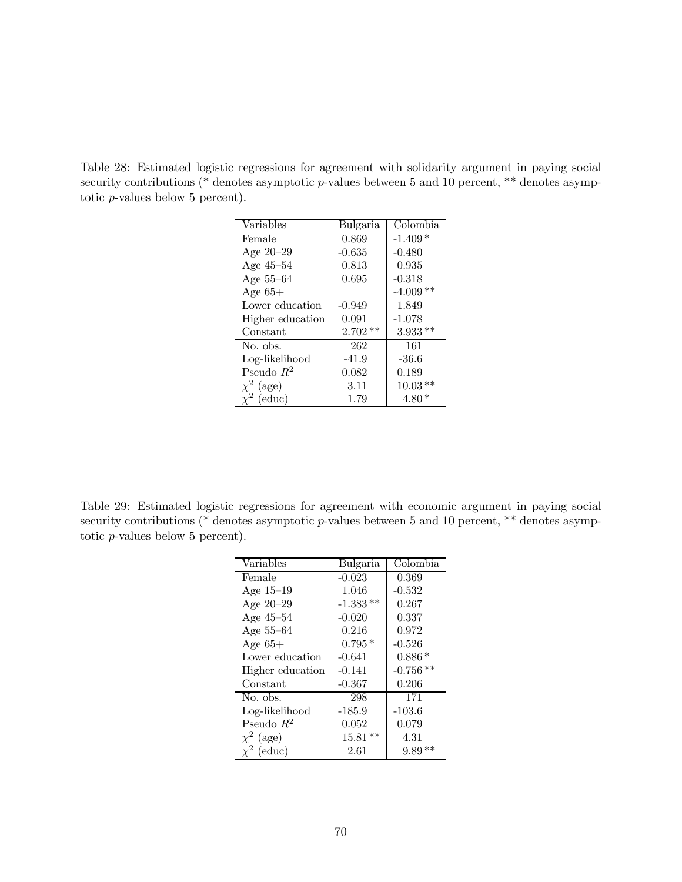Table 28: Estimated logistic regressions for agreement with solidarity argument in paying social security contributions ( $*$  denotes asymptotic p-values between 5 and 10 percent,  $**$  denotes asymptotic p-values below 5 percent).

| Variables        | Bulgaria  | Colombia   |  |
|------------------|-----------|------------|--|
| Female           | 0.869     | $-1.409*$  |  |
| Age $20-29$      | $-0.635$  | $-0.480$   |  |
| Age 45-54        | 0.813     | 0.935      |  |
| Age $55-64$      | 0.695     | $-0.318$   |  |
| Age $65+$        |           | $-4.009**$ |  |
| Lower education  | $-0.949$  | 1.849      |  |
| Higher education | 0.091     | $-1.078$   |  |
| Constant         | $2.702**$ | $3.933**$  |  |
| No. obs.         | 262       | 161        |  |
| Log-likelihood   | $-41.9$   | $-36.6$    |  |
| Pseudo $R^2$     | 0.082     | 0.189      |  |
| $\chi^2$ (age)   | 3.11      | $10.03**$  |  |
| $\chi^2$ (educ)  | 1.79      | $4.80*$    |  |

Table 29: Estimated logistic regressions for agreement with economic argument in paying social security contributions ( $*$  denotes asymptotic p-values between 5 and 10 percent,  $**$  denotes asymptotic p-values below 5 percent).

| Variables        | Bulgaria   | Colombia   |
|------------------|------------|------------|
| Female           | $-0.023$   | 0.369      |
| Age $15-19$      | 1.046      | $-0.532$   |
| Age $20-29$      | $-1.383**$ | 0.267      |
| Age $45-54$      | $-0.020$   | 0.337      |
| Age $55-64$      | 0.216      | 0.972      |
| Age $65+$        | $0.795*$   | $-0.526$   |
| Lower education  | $-0.641$   | $0.886*$   |
| Higher education | $-0.141$   | $-0.756**$ |
| Constant         | $-0.367$   | 0.206      |
| No. obs.         | 298        | 171        |
| Log-likelihood   | $-185.9$   | $-103.6$   |
| Pseudo $R^2$     | 0.052      | 0.079      |
| $\chi^2$ (age)   | $15.81**$  | 4.31       |
| $\chi^2$ (educ)  | 2.61       | $9.89**$   |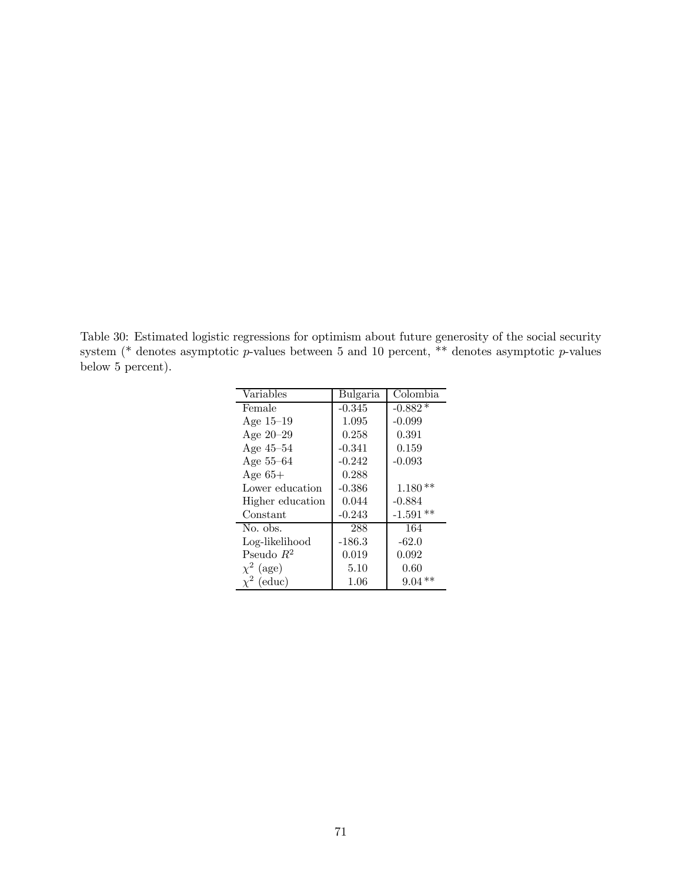Table 30: Estimated logistic regressions for optimism about future generosity of the social security system (\* denotes asymptotic p-values between 5 and 10 percent, \*\* denotes asymptotic p-values below 5 percent).

| Variables        | Bulgaria | Colombia   |
|------------------|----------|------------|
| Female           | $-0.345$ | $-0.882*$  |
| Age $15-19$      | 1.095    | $-0.099$   |
| Age $20-29$      | 0.258    | 0.391      |
| Age $45-54$      | $-0.341$ | 0.159      |
| Age $55-64$      | $-0.242$ | $-0.093$   |
| Age $65+$        | 0.288    |            |
| Lower education  | $-0.386$ | $1.180**$  |
| Higher education | 0.044    | $-0.884$   |
| Constant         | $-0.243$ | $-1.591**$ |
| No. obs.         | 288      | 164        |
| Log-likelihood   | $-186.3$ | $-62.0$    |
| Pseudo $R^2$     | 0.019    | 0.092      |
| $\chi^2$ (age)   | 5.10     | 0.60       |
| $\chi^2$ (educ)  | 1.06     | $9.04**$   |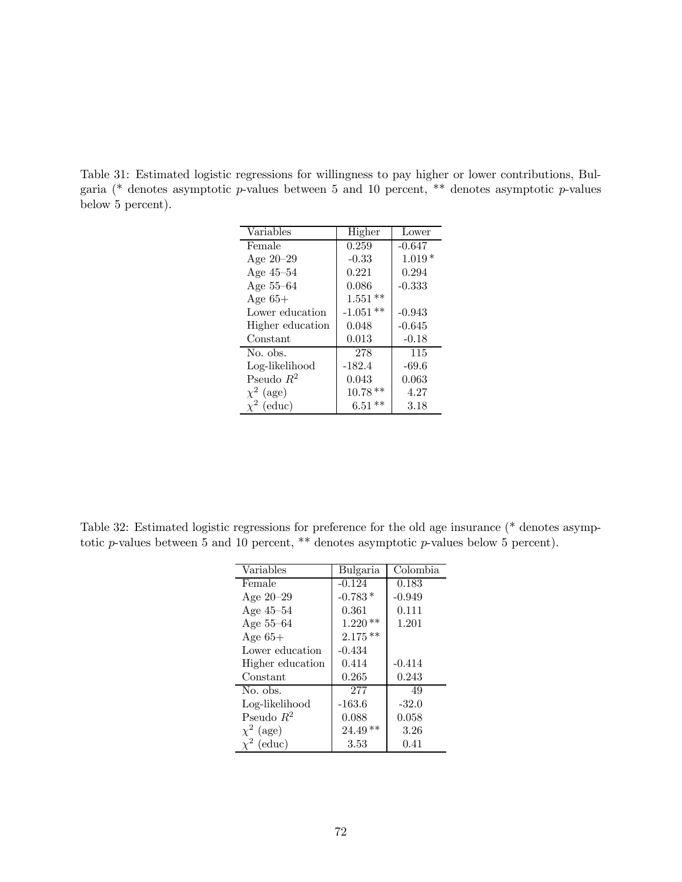Table 31: Estimated logistic regressions for willingness to pay higher or lower contributions, Bulgaria (\* denotes asymptotic  $p$ -values between 5 and 10 percent, \*\* denotes asymptotic  $p$ -values below 5 percent).

| Variables        | Higher     | Lower    |
|------------------|------------|----------|
| Female           | 0.259      | $-0.647$ |
| Age $20-29$      | $-0.33$    | $1.019*$ |
| Age $45-54$      | 0.221      | 0.294    |
| Age $55-64$      | 0.086      | $-0.333$ |
| Age $65+$        | $1.551**$  |          |
| Lower education  | $-1.051**$ | $-0.943$ |
| Higher education | 0.048      | $-0.645$ |
| Constant         | 0.013      | $-0.18$  |
| No. obs.         | 278        | 115      |
| Log-likelihood   | $-182.4$   | $-69.6$  |
| Pseudo $R^2$     | 0.043      | 0.063    |
| $\chi^2$ (age)   | $10.78**$  | 4.27     |
| $(\text{educ})$  | $6.51**$   | 3.18     |

Table 32: Estimated logistic regressions for preference for the old age insurance (\* denotes asymptotic p-values between 5 and 10 percent, \*\* denotes asymptotic p-values below 5 percent).

| Variables        | Bulgaria  | Colombia |
|------------------|-----------|----------|
| Female           | $-0.124$  | 0.183    |
| Age $20-29$      | $-0.783*$ | $-0.949$ |
| Age $45-54$      | 0.361     | 0.111    |
| Age $55-64$      | $1.220**$ | 1.201    |
| Age $65+$        | $2.175**$ |          |
| Lower education  | $-0.434$  |          |
| Higher education | 0.414     | $-0.414$ |
| Constant         | 0.265     | 0.243    |
| No. obs.         | 277       | 49       |
| Log-likelihood   | -163.6    | $-32.0$  |
| Pseudo $R^2$     | 0.088     | 0.058    |
| $\chi^2$ (age)   | $24.49**$ | 3.26     |
| $(\text{educ})$  | 3.53      | 0.41     |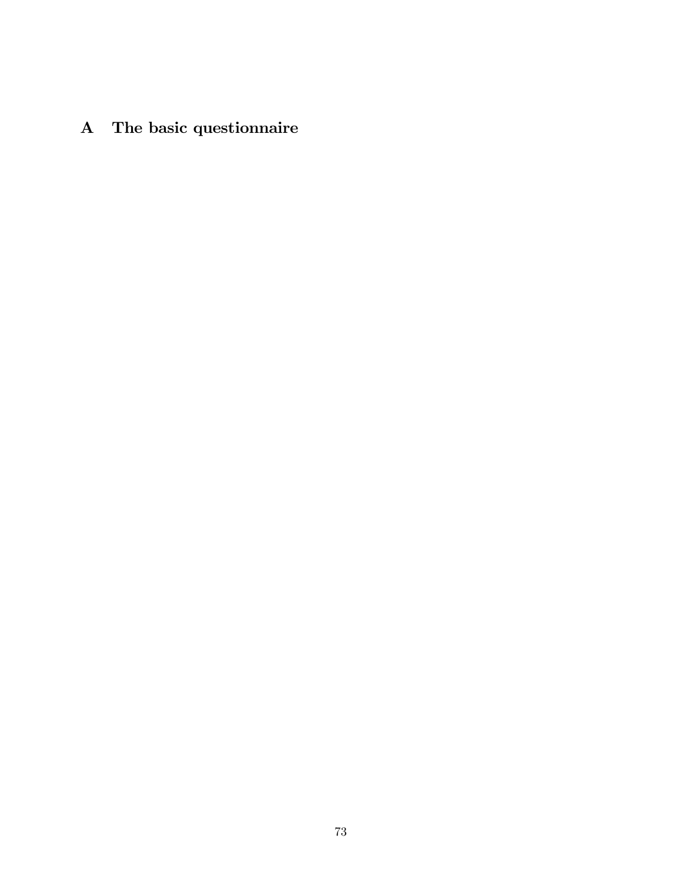## A The basic questionnaire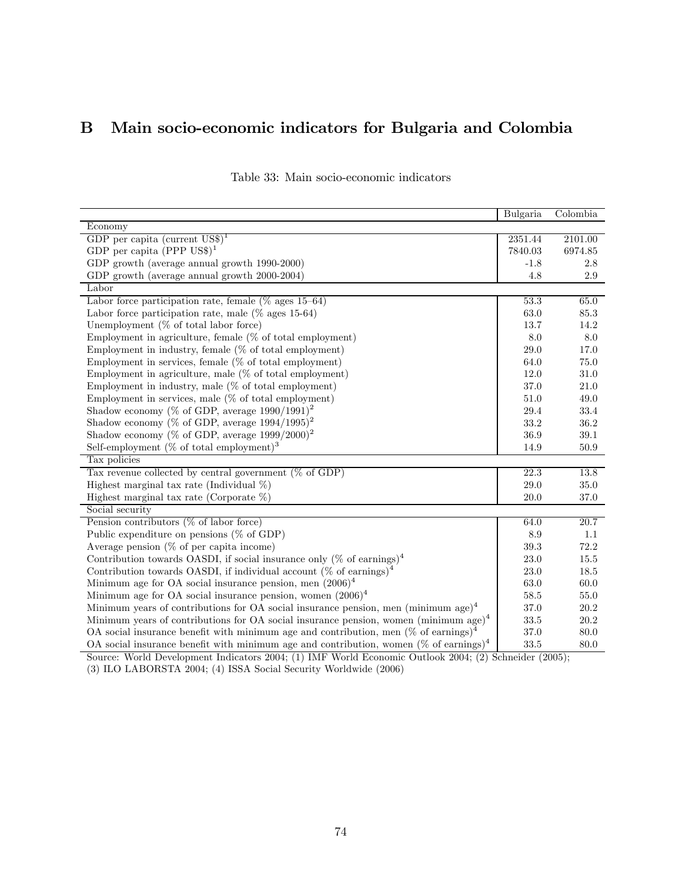## B Main socio-economic indicators for Bulgaria and Colombia

|                                                                                                      | Bulgaria | Colombia |
|------------------------------------------------------------------------------------------------------|----------|----------|
| Economy                                                                                              |          |          |
| GDP per capita (current $\text{US}\$$ ) <sup>1</sup>                                                 | 2351.44  | 2101.00  |
| GDP per capita (PPP US\$) <sup>1</sup>                                                               | 7840.03  | 6974.85  |
| GDP growth (average annual growth 1990-2000)                                                         | $-1.8$   | 2.8      |
| GDP growth (average annual growth 2000-2004)                                                         | 4.8      | 2.9      |
| Labor                                                                                                |          |          |
| Labor force participation rate, female $(\%$ ages 15–64)                                             | 53.3     | 65.0     |
| Labor force participation rate, male $(\%$ ages 15-64)                                               | 63.0     | 85.3     |
| Unemployment $(\%$ of total labor force)                                                             | 13.7     | 14.2     |
| Employment in agriculture, female $(\%$ of total employment)                                         | 8.0      | 8.0      |
| Employment in industry, female (% of total employment)                                               | 29.0     | 17.0     |
| Employment in services, female $(\%$ of total employment)                                            | 64.0     | 75.0     |
| Employment in agriculture, male $(\%$ of total employment)                                           | 12.0     | 31.0     |
| Employment in industry, male $(\%$ of total employment)                                              | 37.0     | 21.0     |
| Employment in services, male $(\%$ of total employment)                                              | $51.0\,$ | 49.0     |
| Shadow economy (% of GDP, average $1990/1991$ ) <sup>2</sup>                                         | 29.4     | 33.4     |
| Shadow economy (% of GDP, average $1994/1995$ ) <sup>2</sup>                                         | 33.2     | 36.2     |
| Shadow economy (% of GDP, average $1999/2000$ ) <sup>2</sup>                                         | 36.9     | 39.1     |
| Self-employment (% of total employment) <sup>3</sup>                                                 | 14.9     | 50.9     |
| Tax policies                                                                                         |          |          |
| Tax revenue collected by central government ( $%$ of GDP)                                            | 22.3     | 13.8     |
| Highest marginal tax rate (Individual $\%$ )                                                         | 29.0     | 35.0     |
| Highest marginal tax rate (Corporate $\%$ )                                                          | 20.0     | 37.0     |
| Social security                                                                                      |          |          |
| Pension contributors ( $\%$ of labor force)                                                          | 64.0     | 20.7     |
| Public expenditure on pensions ( $\%$ of GDP)                                                        | 8.9      | 1.1      |
| Average pension $(\%$ of per capita income)                                                          | 39.3     | 72.2     |
| Contribution towards OASDI, if social insurance only (% of earnings) <sup>4</sup>                    | 23.0     | 15.5     |
| Contribution towards OASDI, if individual account $(\%$ of earnings) <sup>4</sup>                    | 23.0     | 18.5     |
| Minimum age for OA social insurance pension, men $(2006)^4$                                          | 63.0     | 60.0     |
| Minimum age for OA social insurance pension, women $(2006)^4$                                        | 58.5     | 55.0     |
| Minimum years of contributions for OA social insurance pension, men (minimum age) <sup>4</sup>       | 37.0     | 20.2     |
| Minimum years of contributions for OA social insurance pension, women (minimum age) <sup>4</sup>     | 33.5     | 20.2     |
| OA social insurance benefit with minimum age and contribution, men $(\%$ of earnings) <sup>4</sup>   | 37.0     | 80.0     |
| OA social insurance benefit with minimum age and contribution, women $(\%$ of earnings) <sup>4</sup> | 33.5     | 80.0     |

## Table 33: Main socio-economic indicators

Source: World Development Indicators 2004; (1) IMF World Economic Outlook 2004; (2) Schneider (2005); (3) ILO LABORSTA 2004; (4) ISSA Social Security Worldwide (2006)